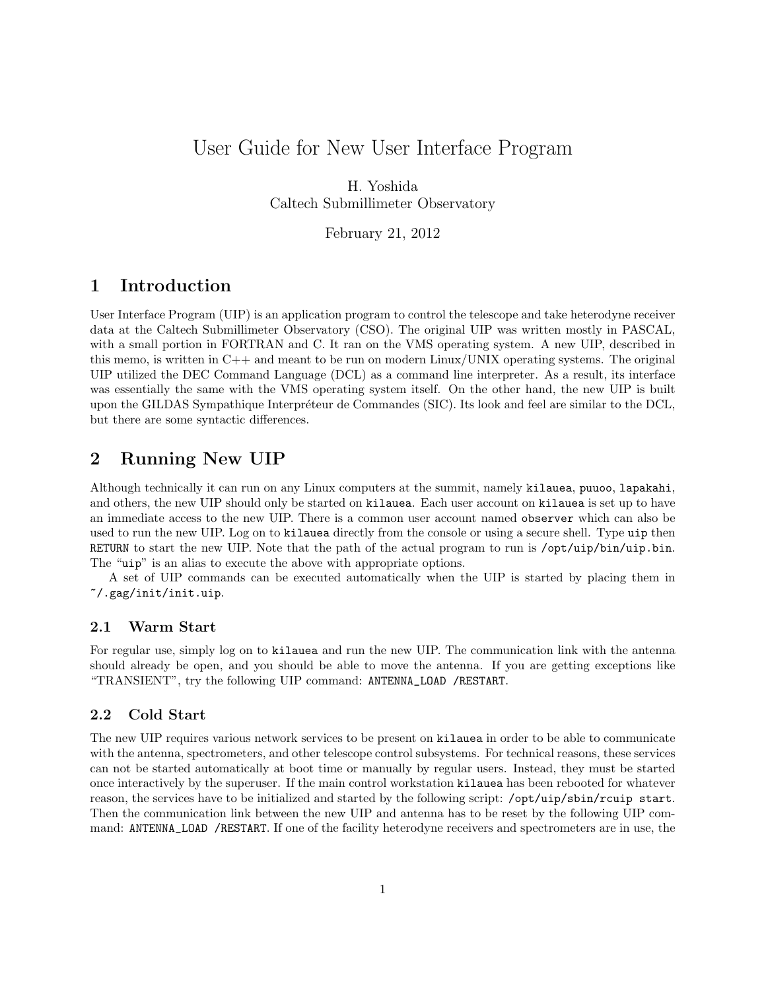# <span id="page-0-0"></span>User Guide for New User Interface Program

H. Yoshida Caltech Submillimeter Observatory

February 21, 2012

# 1 Introduction

User Interface Program (UIP) is an application program to control the telescope and take heterodyne receiver data at the Caltech Submillimeter Observatory (CSO). The original UIP was written mostly in PASCAL, with a small portion in FORTRAN and C. It ran on the VMS operating system. A new UIP, described in this memo, is written in  $C++$  and meant to be run on modern Linux/UNIX operating systems. The original UIP utilized the DEC Command Language (DCL) as a command line interpreter. As a result, its interface was essentially the same with the VMS operating system itself. On the other hand, the new UIP is built upon the GILDAS Sympathique Interpréteur de Commandes (SIC). Its look and feel are similar to the DCL, but there are some syntactic differences.

# 2 Running New UIP

Although technically it can run on any Linux computers at the summit, namely kilauea, puuoo, lapakahi, and others, the new UIP should only be started on kilauea. Each user account on kilauea is set up to have an immediate access to the new UIP. There is a common user account named observer which can also be used to run the new UIP. Log on to kilauea directly from the console or using a secure shell. Type uip then RETURN to start the new UIP. Note that the path of the actual program to run is /opt/uip/bin/uip.bin. The "uip" is an alias to execute the above with appropriate options.

A set of UIP commands can be executed automatically when the UIP is started by placing them in ~/.gag/init/init.uip.

## 2.1 Warm Start

For regular use, simply log on to kilauea and run the new UIP. The communication link with the antenna should already be open, and you should be able to move the antenna. If you are getting exceptions like "TRANSIENT", try the following UIP command: ANTENNA\_LOAD /RESTART.

## 2.2 Cold Start

The new UIP requires various network services to be present on kilauea in order to be able to communicate with the antenna, spectrometers, and other telescope control subsystems. For technical reasons, these services can not be started automatically at boot time or manually by regular users. Instead, they must be started once interactively by the superuser. If the main control workstation kilauea has been rebooted for whatever reason, the services have to be initialized and started by the following script: /opt/uip/sbin/rcuip start. Then the communication link between the new UIP and antenna has to be reset by the following UIP command: ANTENNA\_LOAD /RESTART. If one of the facility heterodyne receivers and spectrometers are in use, the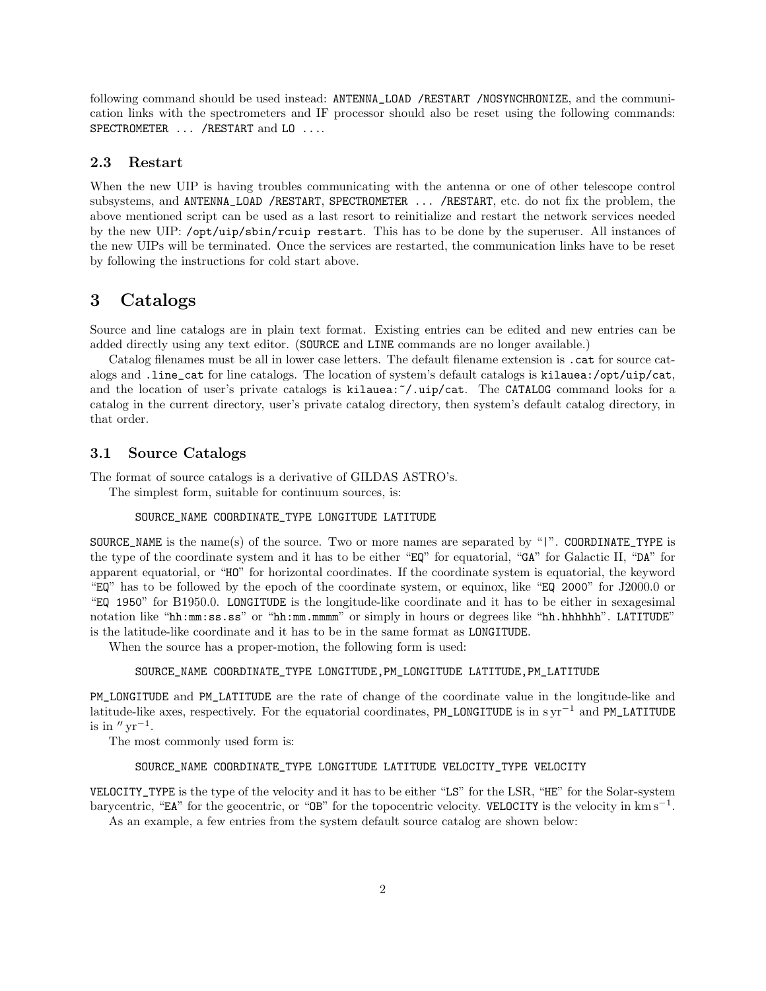following command should be used instead: ANTENNA\_LOAD /RESTART /NOSYNCHRONIZE, and the communication links with the spectrometers and IF processor should also be reset using the following commands: SPECTROMETER ... / RESTART and LO ....

#### 2.3 Restart

When the new UIP is having troubles communicating with the antenna or one of other telescope control subsystems, and ANTENNA\_LOAD /RESTART, SPECTROMETER ... /RESTART, etc. do not fix the problem, the above mentioned script can be used as a last resort to reinitialize and restart the network services needed by the new UIP: /opt/uip/sbin/rcuip restart. This has to be done by the superuser. All instances of the new UIPs will be terminated. Once the services are restarted, the communication links have to be reset by following the instructions for cold start above.

## 3 Catalogs

Source and line catalogs are in plain text format. Existing entries can be edited and new entries can be added directly using any text editor. (SOURCE and LINE commands are no longer available.)

Catalog filenames must be all in lower case letters. The default filename extension is .cat for source catalogs and .line\_cat for line catalogs. The location of system's default catalogs is kilauea:/opt/uip/cat, and the location of user's private catalogs is  $k$ **ilauea:** $\gamma$ .uip/cat. The CATALOG command looks for a catalog in the current directory, user's private catalog directory, then system's default catalog directory, in that order.

## 3.1 Source Catalogs

The format of source catalogs is a derivative of GILDAS ASTRO's.

The simplest form, suitable for continuum sources, is:

### SOURCE\_NAME COORDINATE\_TYPE LONGITUDE LATITUDE

SOURCE\_NAME is the name(s) of the source. Two or more names are separated by "|". COORDINATE\_TYPE is the type of the coordinate system and it has to be either "EQ" for equatorial, "GA" for Galactic II, "DA" for apparent equatorial, or "HO" for horizontal coordinates. If the coordinate system is equatorial, the keyword "EQ" has to be followed by the epoch of the coordinate system, or equinox, like "EQ 2000" for J2000.0 or "EQ 1950" for B1950.0. LONGITUDE is the longitude-like coordinate and it has to be either in sexagesimal notation like "hh:mm:ss.ss" or "hh:mm.mmmm" or simply in hours or degrees like "hh.hhhhhh". LATITUDE" is the latitude-like coordinate and it has to be in the same format as LONGITUDE.

When the source has a proper-motion, the following form is used:

#### SOURCE\_NAME COORDINATE\_TYPE LONGITUDE,PM\_LONGITUDE LATITUDE,PM\_LATITUDE

PM\_LONGITUDE and PM\_LATITUDE are the rate of change of the coordinate value in the longitude-like and latitude-like axes, respectively. For the equatorial coordinates, PM\_LONGITUDE is in  $\text{syn}^{-1}$  and PM\_LATITUDE is in  $''\,\mathrm{yr}^{-1}$ .

The most commonly used form is:

#### SOURCE\_NAME COORDINATE\_TYPE LONGITUDE LATITUDE VELOCITY\_TYPE VELOCITY

VELOCITY\_TYPE is the type of the velocity and it has to be either "LS" for the LSR, "HE" for the Solar-system barycentric, "EA" for the geocentric, or "OB" for the topocentric velocity. VELOCITY is the velocity in km s<sup>−</sup><sup>1</sup> .

As an example, a few entries from the system default source catalog are shown below: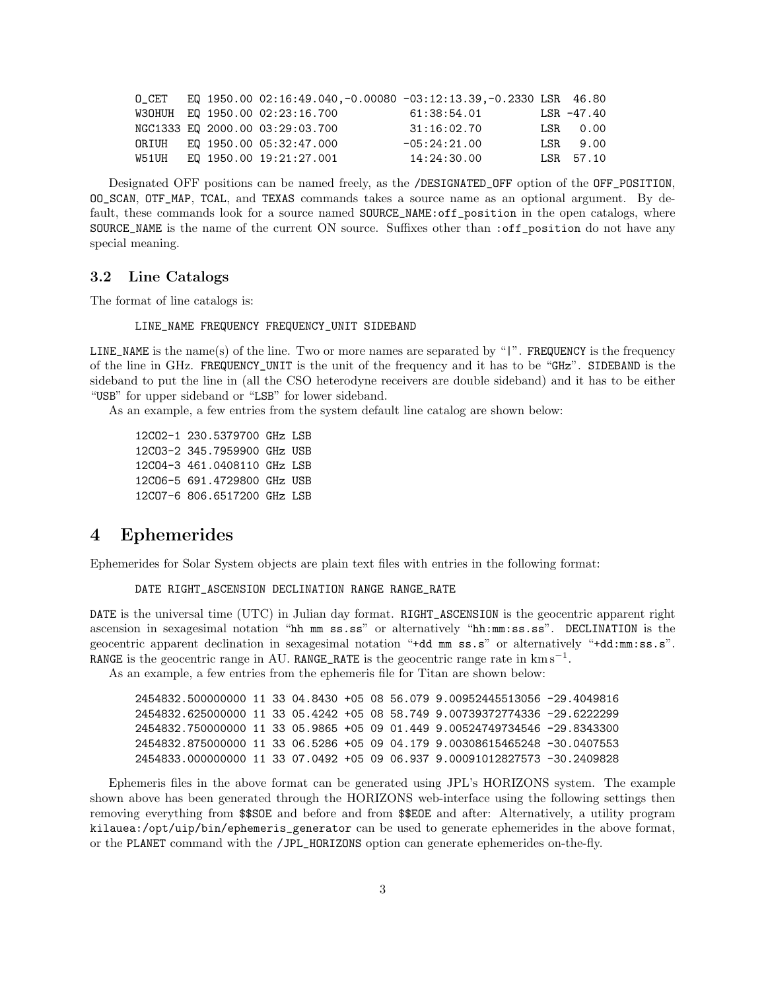|       |  | $0$ CET EQ 1950.00 02:16:49.040,-0.00080 -03:12:13.39,-0.2330 LSR 46.80 |                |                   |
|-------|--|-------------------------------------------------------------------------|----------------|-------------------|
|       |  | W30HUH EQ 1950.00 02:23:16.700                                          | 61:38:54.01    | LSR -47.40        |
|       |  | NGC1333 EQ 2000.00 03:29:03.700                                         | 31:16:02.70    | $LSR \qquad 0.00$ |
|       |  | ORIUH EQ 1950.00 05:32:47.000                                           | $-05:24:21.00$ | LSR 9.00          |
| W51UH |  | EQ 1950.00 19:21:27.001                                                 | 14:24:30.00    | $LSR$ 57.10       |

Designated OFF positions can be named freely, as the /DESIGNATED\_OFF option of the OFF\_POSITION, OO\_SCAN, OTF\_MAP, TCAL, and TEXAS commands takes a source name as an optional argument. By default, these commands look for a source named SOURCE\_NAME:off\_position in the open catalogs, where SOURCE\_NAME is the name of the current ON source. Suffixes other than :off\_position do not have any special meaning.

### 3.2 Line Catalogs

The format of line catalogs is:

#### LINE\_NAME FREQUENCY FREQUENCY\_UNIT SIDEBAND

LINE\_NAME is the name(s) of the line. Two or more names are separated by "|". FREQUENCY is the frequency of the line in GHz. FREQUENCY\_UNIT is the unit of the frequency and it has to be "GHz". SIDEBAND is the sideband to put the line in (all the CSO heterodyne receivers are double sideband) and it has to be either "USB" for upper sideband or "LSB" for lower sideband.

As an example, a few entries from the system default line catalog are shown below:

12CO2-1 230.5379700 GHz LSB 12CO3-2 345.7959900 GHz USB 12CO4-3 461.0408110 GHz LSB 12CO6-5 691.4729800 GHz USB 12CO7-6 806.6517200 GHz LSB

## 4 Ephemerides

Ephemerides for Solar System objects are plain text files with entries in the following format:

DATE RIGHT\_ASCENSION DECLINATION RANGE RANGE\_RATE

DATE is the universal time (UTC) in Julian day format. RIGHT\_ASCENSION is the geocentric apparent right ascension in sexagesimal notation "hh mm ss.ss" or alternatively "hh:mm:ss.ss". DECLINATION is the geocentric apparent declination in sexagesimal notation "+dd mm ss.s" or alternatively "+dd:mm:ss.s". RANGE is the geocentric range in AU. RANGE\_RATE is the geocentric range rate in  $\text{km s}^{-1}$ .

As an example, a few entries from the ephemeris file for Titan are shown below:

2454832.500000000 11 33 04.8430 +05 08 56.079 9.00952445513056 -29.4049816 2454832.625000000 11 33 05.4242 +05 08 58.749 9.00739372774336 -29.6222299 2454832.750000000 11 33 05.9865 +05 09 01.449 9.00524749734546 -29.8343300 2454832.875000000 11 33 06.5286 +05 09 04.179 9.00308615465248 -30.0407553 2454833.000000000 11 33 07.0492 +05 09 06.937 9.00091012827573 -30.2409828

Ephemeris files in the above format can be generated using JPL's HORIZONS system. The example shown above has been generated through the HORIZONS web-interface using the following settings then removing everything from \$\$SOE and before and from \$\$EOE and after: Alternatively, a utility program kilauea:/opt/uip/bin/ephemeris\_generator can be used to generate ephemerides in the above format, or the PLANET command with the /JPL\_HORIZONS option can generate ephemerides on-the-fly.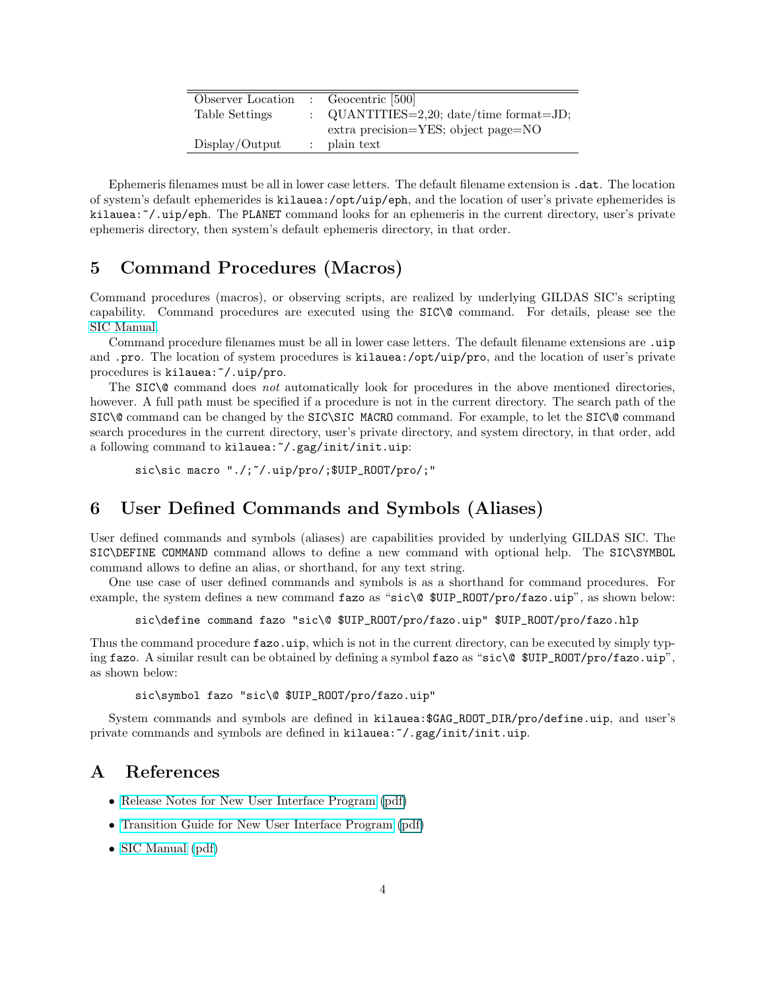| Observer Location | $\therefore$ Geocentric [500]           |
|-------------------|-----------------------------------------|
| Table Settings    | : QUANTITIES=2,20; date/time format=JD; |
|                   | extra precision=YES; object page=NO     |
| Display/Output    | $:$ plain text                          |
|                   |                                         |

Ephemeris filenames must be all in lower case letters. The default filename extension is .dat. The location of system's default ephemerides is kilauea:/opt/uip/eph, and the location of user's private ephemerides is kilauea: "/.uip/eph. The PLANET command looks for an ephemeris in the current directory, user's private ephemeris directory, then system's default ephemeris directory, in that order.

# 5 Command Procedures (Macros)

Command procedures (macros), or observing scripts, are realized by underlying GILDAS SIC's scripting capability. Command procedures are executed using the SIC\@ command. For details, please see the [SIC Manual.](http://www.iram.fr/IRAMFR/GILDAS/doc/html/sic-html/sic.html)

Command procedure filenames must be all in lower case letters. The default filename extensions are .uip and .pro. The location of system procedures is kilauea:/opt/uip/pro, and the location of user's private procedures is kilauea: "/.uip/pro.

The  $STC\&$  command does not automatically look for procedures in the above mentioned directories, however. A full path must be specified if a procedure is not in the current directory. The search path of the SIC\@ command can be changed by the SIC\SIC MACRO command. For example, to let the SIC\@ command search procedures in the current directory, user's private directory, and system directory, in that order, add a following command to kilauea: "/.gag/init/init.uip:

 $sic\simeq$   $\ldots$   $\ldots$   $\ldots$   $\ldots$   $\ldots$   $\ldots$   $\ldots$   $\ldots$   $\ldots$   $\ldots$   $\ldots$   $\ldots$   $\ldots$   $\ldots$   $\ldots$   $\ldots$   $\ldots$   $\ldots$   $\ldots$   $\ldots$   $\ldots$   $\ldots$   $\ldots$   $\ldots$   $\ldots$   $\ldots$   $\ldots$   $\ldots$   $\ldots$   $\ldots$   $\ldots$   $\ldots$   $\ldots$   $\ldots$   $\ldots$   $\ld$ 

# 6 User Defined Commands and Symbols (Aliases)

User defined commands and symbols (aliases) are capabilities provided by underlying GILDAS SIC. The SIC\DEFINE COMMAND command allows to define a new command with optional help. The SIC\SYMBOL command allows to define an alias, or shorthand, for any text string.

One use case of user defined commands and symbols is as a shorthand for command procedures. For example, the system defines a new command fazo as "sic\@ \$UIP\_ROOT/pro/fazo.uip", as shown below:

sic\define command fazo "sic\@ \$UIP\_ROOT/pro/fazo.uip" \$UIP\_ROOT/pro/fazo.hlp

Thus the command procedure **fazo.uip**, which is not in the current directory, can be executed by simply typing fazo. A similar result can be obtained by defining a symbol fazo as "sic\@ \$UIP\_ROOT/pro/fazo.uip", as shown below:

```
sic\symbol fazo "sic\@ $UIP_ROOT/pro/fazo.uip"
```
System commands and symbols are defined in kilauea:\$GAG\_ROOT\_DIR/pro/define.uip, and user's private commands and symbols are defined in kilauea:~/.gag/init/init.uip.

# A References

- [Release Notes for New User Interface Program](file:Release_Notes.html) [\(pdf\)](#page-0-0)
- [Transition Guide for New User Interface Program](file:Transition_Guide.html) [\(pdf\)](#page-0-0)
- [SIC Manual](http://www.iram.fr/IRAMFR/GILDAS/doc/html/sic-html/sic.html) [\(pdf\)](http://www.iram.fr/IRAMFR/GILDAS/doc/pdf/sic.pdf)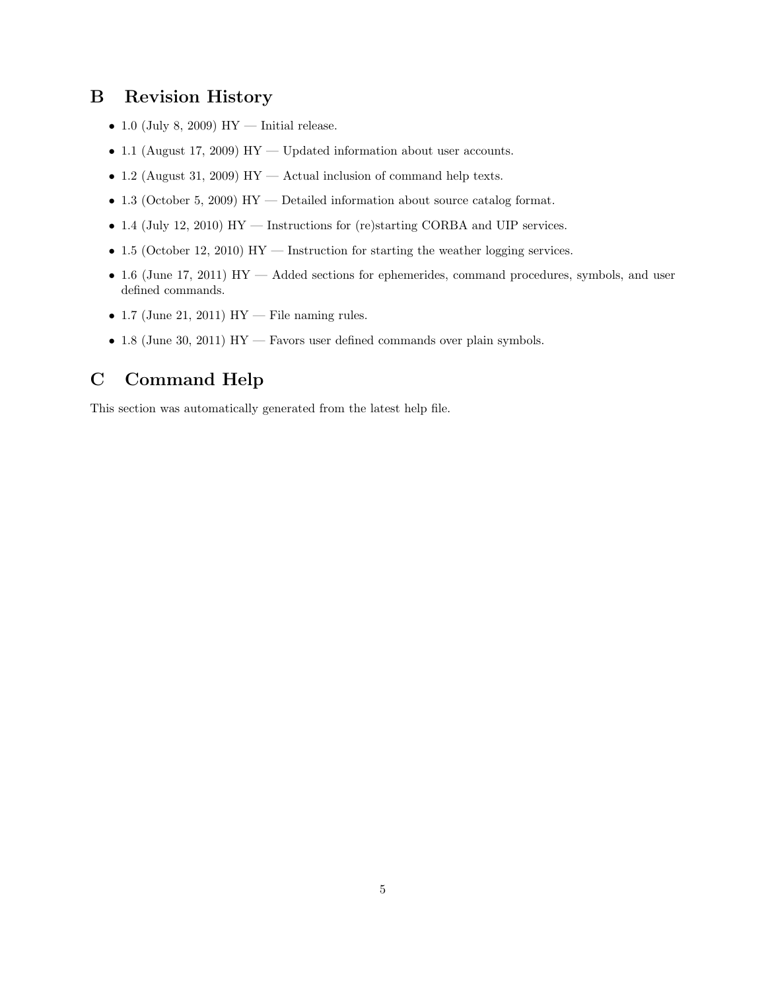# B Revision History

- 1.0 (July 8, 2009) HY Initial release.
- 1.1 (August 17, 2009) HY Updated information about user accounts.
- 1.2 (August 31, 2009) HY Actual inclusion of command help texts.
- 1.3 (October 5, 2009) HY Detailed information about source catalog format.
- 1.4 (July 12, 2010) HY Instructions for (re)starting CORBA and UIP services.
- 1.5 (October 12, 2010) HY Instruction for starting the weather logging services.
- $\bullet$  1.6 (June 17, 2011) HY  $-$  Added sections for ephemerides, command procedures, symbols, and user defined commands.
- 1.7 (June 21, 2011) HY File naming rules.
- 1.8 (June 30, 2011) HY Favors user defined commands over plain symbols.

# C Command Help

This section was automatically generated from the latest help file.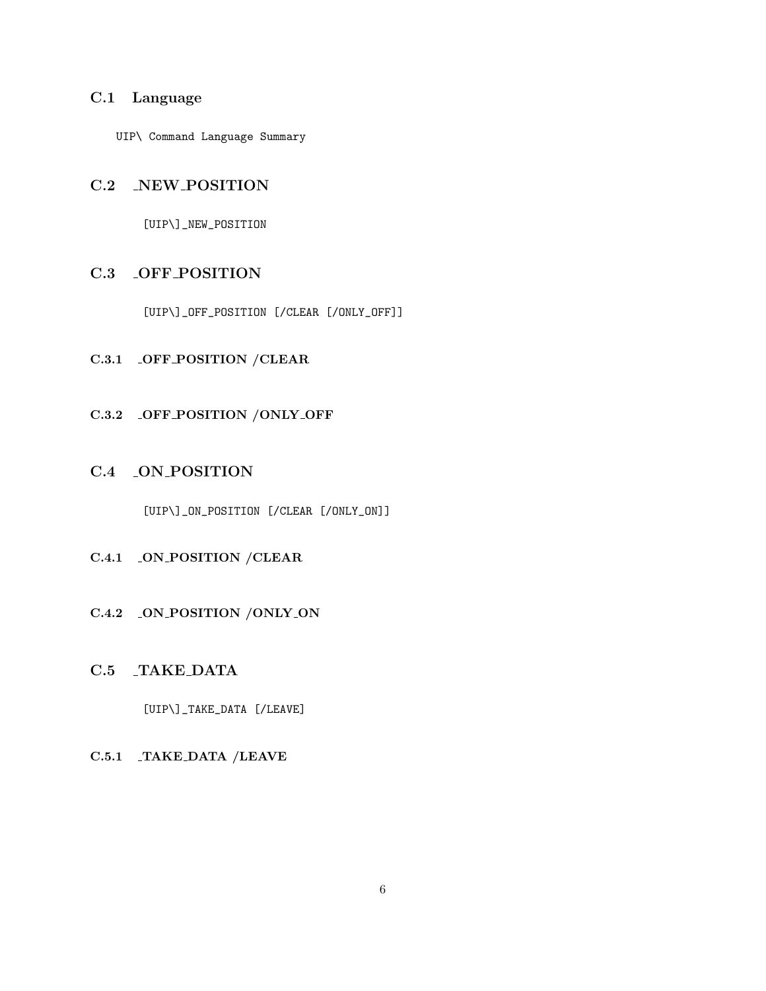## C.1 Language

UIP\ Command Language Summary

## C.2 NEW POSITION

[UIP\]\_NEW\_POSITION

## C.3 OFF POSITION

[UIP\]\_OFF\_POSITION [/CLEAR [/ONLY\_OFF]]

# C.3.1 OFF POSITION /CLEAR

## C.3.2 OFF POSITION / ONLY OFF

# C.4 ON POSITION

[UIP\]\_ON\_POSITION [/CLEAR [/ONLY\_ON]]

# C.4.1 ON POSITION /CLEAR

## C.4.2 ON POSITION / ONLY ON

# C.5 TAKE DATA

[UIP\]\_TAKE\_DATA [/LEAVE]

## C.5.1 TAKE DATA /LEAVE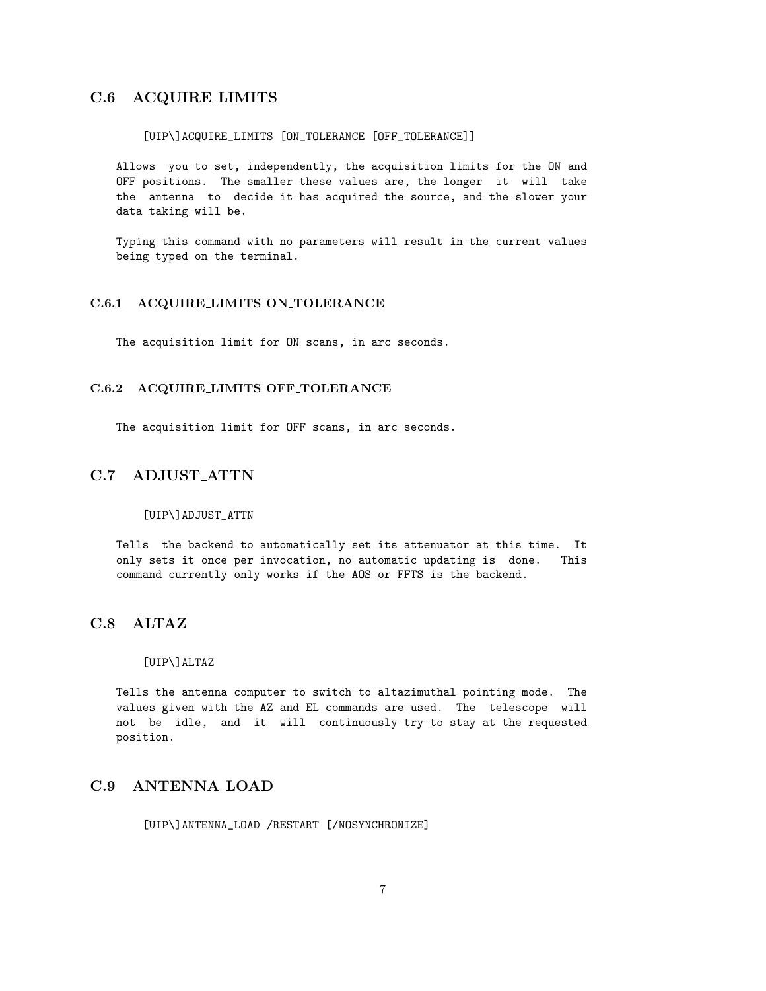## C.6 ACQUIRE LIMITS

#### [UIP\]ACQUIRE\_LIMITS [ON\_TOLERANCE [OFF\_TOLERANCE]]

Allows you to set, independently, the acquisition limits for the ON and OFF positions. The smaller these values are, the longer it will take the antenna to decide it has acquired the source, and the slower your data taking will be.

Typing this command with no parameters will result in the current values being typed on the terminal.

#### C.6.1 ACQUIRE LIMITS ON TOLERANCE

The acquisition limit for ON scans, in arc seconds.

#### C.6.2 ACQUIRE LIMITS OFF TOLERANCE

The acquisition limit for OFF scans, in arc seconds.

## C.7 ADJUST ATTN

#### [UIP\]ADJUST\_ATTN

Tells the backend to automatically set its attenuator at this time. It only sets it once per invocation, no automatic updating is done. This command currently only works if the AOS or FFTS is the backend.

## C.8 ALTAZ

#### [UIP\]ALTAZ

Tells the antenna computer to switch to altazimuthal pointing mode. The values given with the AZ and EL commands are used. The telescope will not be idle, and it will continuously try to stay at the requested position.

## C.9 ANTENNA LOAD

[UIP\]ANTENNA\_LOAD /RESTART [/NOSYNCHRONIZE]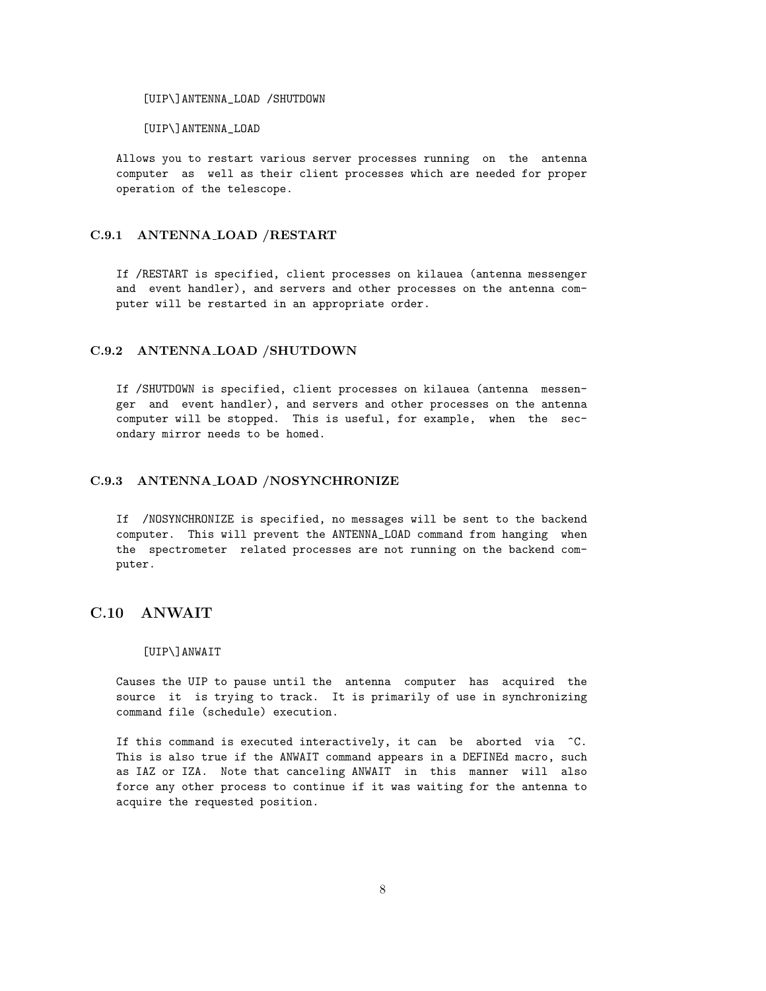[UIP\]ANTENNA\_LOAD /SHUTDOWN

[UIP\]ANTENNA\_LOAD

Allows you to restart various server processes running on the antenna computer as well as their client processes which are needed for proper operation of the telescope.

### C.9.1 ANTENNA LOAD /RESTART

If /RESTART is specified, client processes on kilauea (antenna messenger and event handler), and servers and other processes on the antenna computer will be restarted in an appropriate order.

### C.9.2 ANTENNA LOAD /SHUTDOWN

If /SHUTDOWN is specified, client processes on kilauea (antenna messenger and event handler), and servers and other processes on the antenna computer will be stopped. This is useful, for example, when the secondary mirror needs to be homed.

### C.9.3 ANTENNA LOAD /NOSYNCHRONIZE

If /NOSYNCHRONIZE is specified, no messages will be sent to the backend computer. This will prevent the ANTENNA\_LOAD command from hanging when the spectrometer related processes are not running on the backend computer.

## C.10 ANWAIT

#### [UIP\]ANWAIT

Causes the UIP to pause until the antenna computer has acquired the source it is trying to track. It is primarily of use in synchronizing command file (schedule) execution.

If this command is executed interactively, it can be aborted via  $\hat{C}$ . This is also true if the ANWAIT command appears in a DEFINEd macro, such as IAZ or IZA. Note that canceling ANWAIT in this manner will also force any other process to continue if it was waiting for the antenna to acquire the requested position.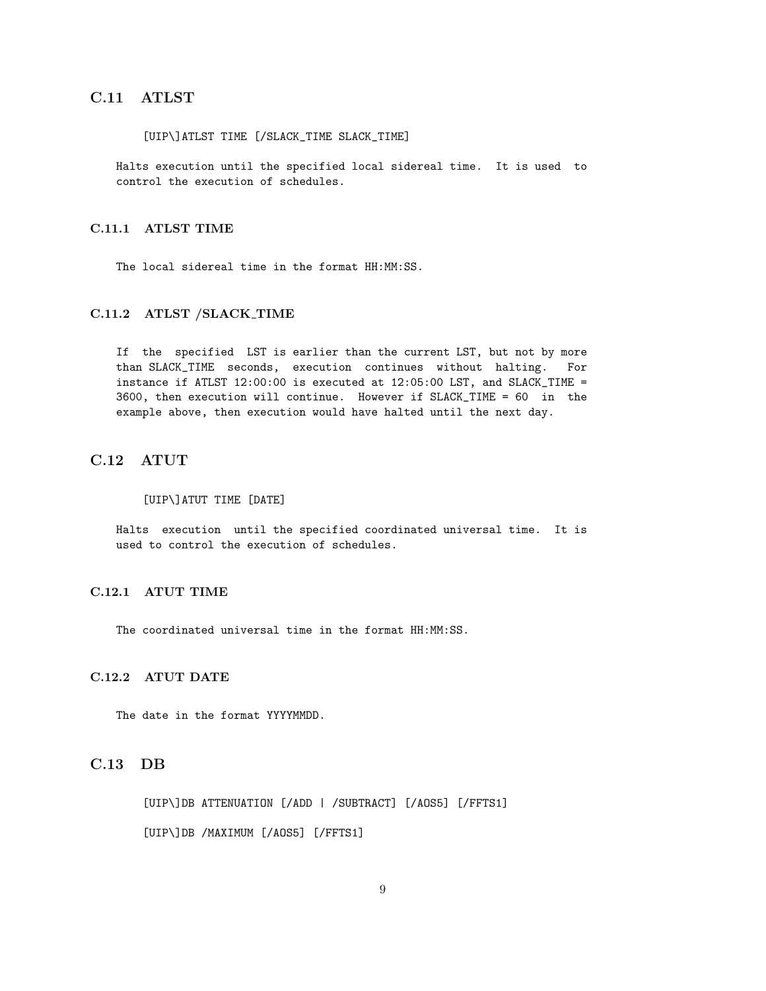## C.11 ATLST

#### [UIP\]ATLST TIME [/SLACK\_TIME SLACK\_TIME]

Halts execution until the specified local sidereal time. It is used to control the execution of schedules.

#### C.11.1 ATLST TIME

The local sidereal time in the format HH:MM:SS.

#### C.11.2 ATLST /SLACK TIME

If the specified LST is earlier than the current LST, but not by more than SLACK\_TIME seconds, execution continues without halting. For instance if ATLST 12:00:00 is executed at 12:05:00 LST, and SLACK\_TIME = 3600, then execution will continue. However if SLACK\_TIME = 60 in the example above, then execution would have halted until the next day.

## C.12 ATUT

#### [UIP\]ATUT TIME [DATE]

Halts execution until the specified coordinated universal time. It is used to control the execution of schedules.

### C.12.1 ATUT TIME

The coordinated universal time in the format HH:MM:SS.

### C.12.2 ATUT DATE

The date in the format YYYYMMDD.

## C.13 DB

[UIP\]DB ATTENUATION [/ADD | /SUBTRACT] [/AOS5] [/FFTS1] [UIP\]DB /MAXIMUM [/AOS5] [/FFTS1]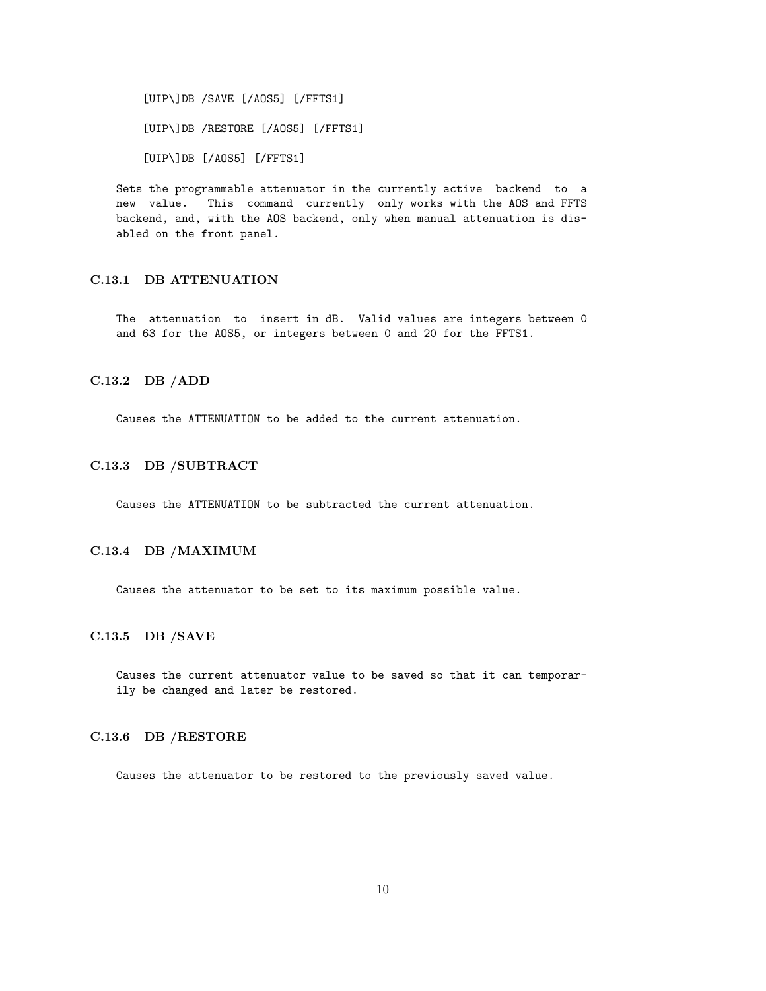[UIP\]DB /SAVE [/AOS5] [/FFTS1] [UIP\]DB /RESTORE [/AOS5] [/FFTS1] [UIP\]DB [/AOS5] [/FFTS1]

Sets the programmable attenuator in the currently active backend to a new value. This command currently only works with the AOS and FFTS backend, and, with the AOS backend, only when manual attenuation is disabled on the front panel.

## C.13.1 DB ATTENUATION

The attenuation to insert in dB. Valid values are integers between 0 and 63 for the AOS5, or integers between 0 and 20 for the FFTS1.

### C.13.2 DB /ADD

Causes the ATTENUATION to be added to the current attenuation.

#### C.13.3 DB /SUBTRACT

Causes the ATTENUATION to be subtracted the current attenuation.

## C.13.4 DB /MAXIMUM

Causes the attenuator to be set to its maximum possible value.

#### C.13.5 DB /SAVE

Causes the current attenuator value to be saved so that it can temporarily be changed and later be restored.

### C.13.6 DB /RESTORE

Causes the attenuator to be restored to the previously saved value.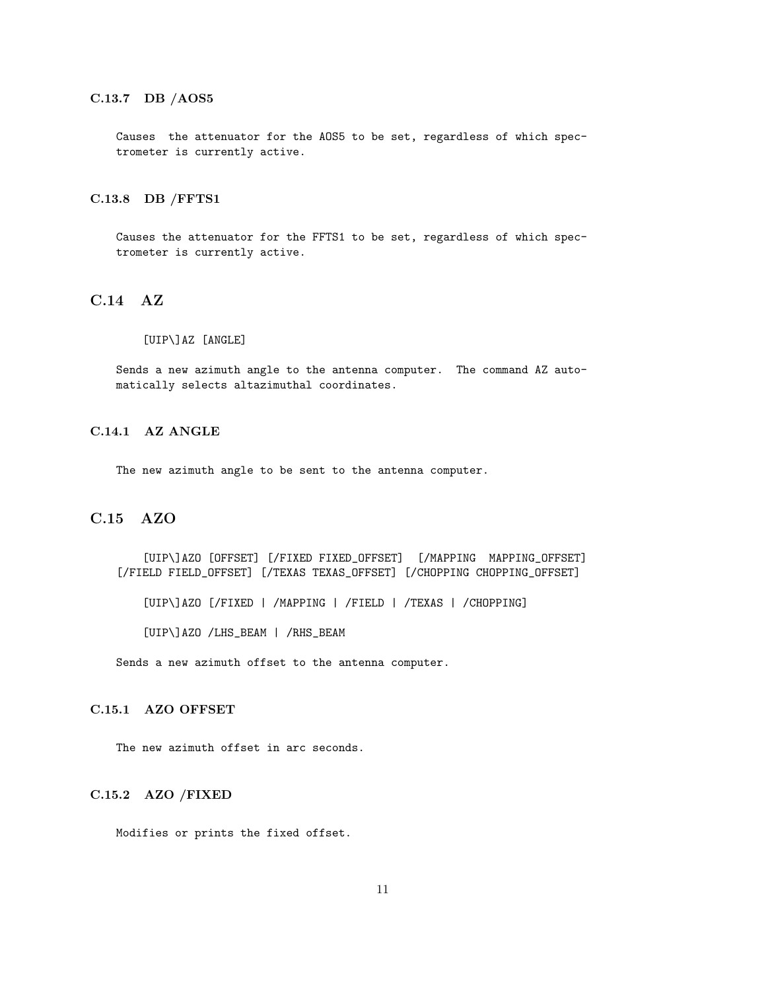## C.13.7 DB /AOS5

Causes the attenuator for the AOS5 to be set, regardless of which spectrometer is currently active.

#### C.13.8 DB /FFTS1

Causes the attenuator for the FFTS1 to be set, regardless of which spectrometer is currently active.

## C.14 AZ

#### [UIP\]AZ [ANGLE]

Sends a new azimuth angle to the antenna computer. The command AZ automatically selects altazimuthal coordinates.

## C.14.1 AZ ANGLE

The new azimuth angle to be sent to the antenna computer.

## C.15 AZO

[UIP\]AZO [OFFSET] [/FIXED FIXED\_OFFSET] [/MAPPING MAPPING\_OFFSET] [/FIELD FIELD\_OFFSET] [/TEXAS TEXAS\_OFFSET] [/CHOPPING CHOPPING\_OFFSET]

[UIP\]AZO [/FIXED | /MAPPING | /FIELD | /TEXAS | /CHOPPING]

[UIP\]AZO /LHS\_BEAM | /RHS\_BEAM

Sends a new azimuth offset to the antenna computer.

## C.15.1 AZO OFFSET

The new azimuth offset in arc seconds.

## C.15.2 AZO /FIXED

Modifies or prints the fixed offset.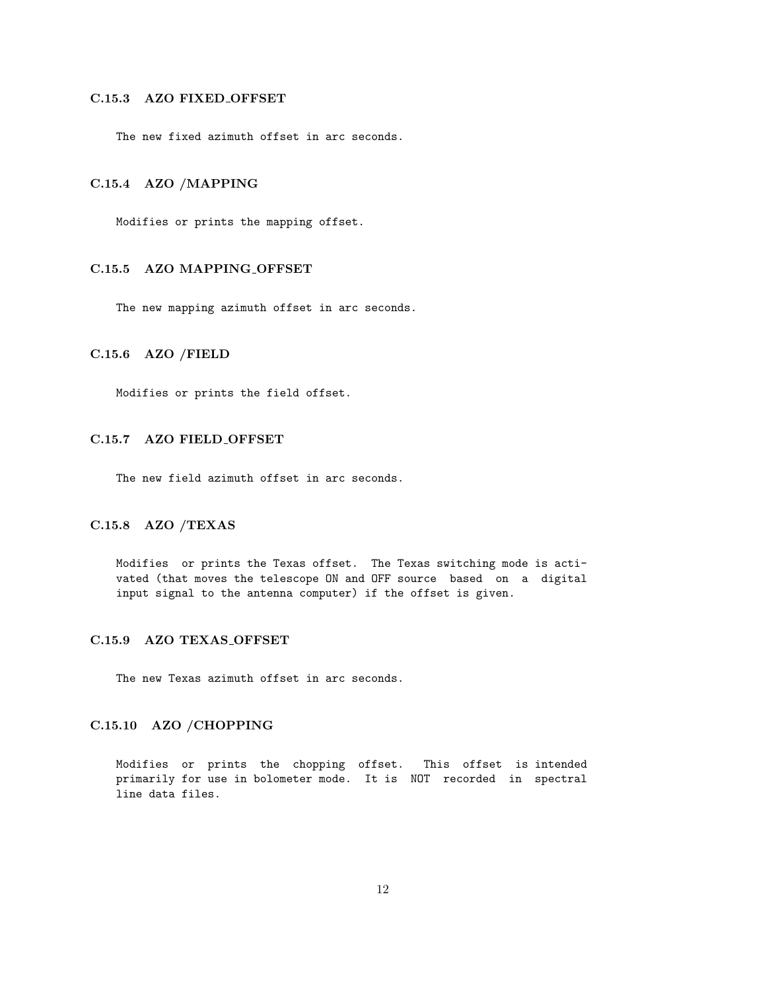## C.15.3 AZO FIXED OFFSET

The new fixed azimuth offset in arc seconds.

#### C.15.4 AZO /MAPPING

Modifies or prints the mapping offset.

## C.15.5 AZO MAPPING OFFSET

The new mapping azimuth offset in arc seconds.

### C.15.6 AZO /FIELD

Modifies or prints the field offset.

#### C.15.7 AZO FIELD OFFSET

The new field azimuth offset in arc seconds.

### C.15.8 AZO /TEXAS

Modifies or prints the Texas offset. The Texas switching mode is activated (that moves the telescope ON and OFF source based on a digital input signal to the antenna computer) if the offset is given.

## C.15.9 AZO TEXAS OFFSET

The new Texas azimuth offset in arc seconds.

## C.15.10 AZO /CHOPPING

Modifies or prints the chopping offset. This offset is intended primarily for use in bolometer mode. It is NOT recorded in spectral line data files.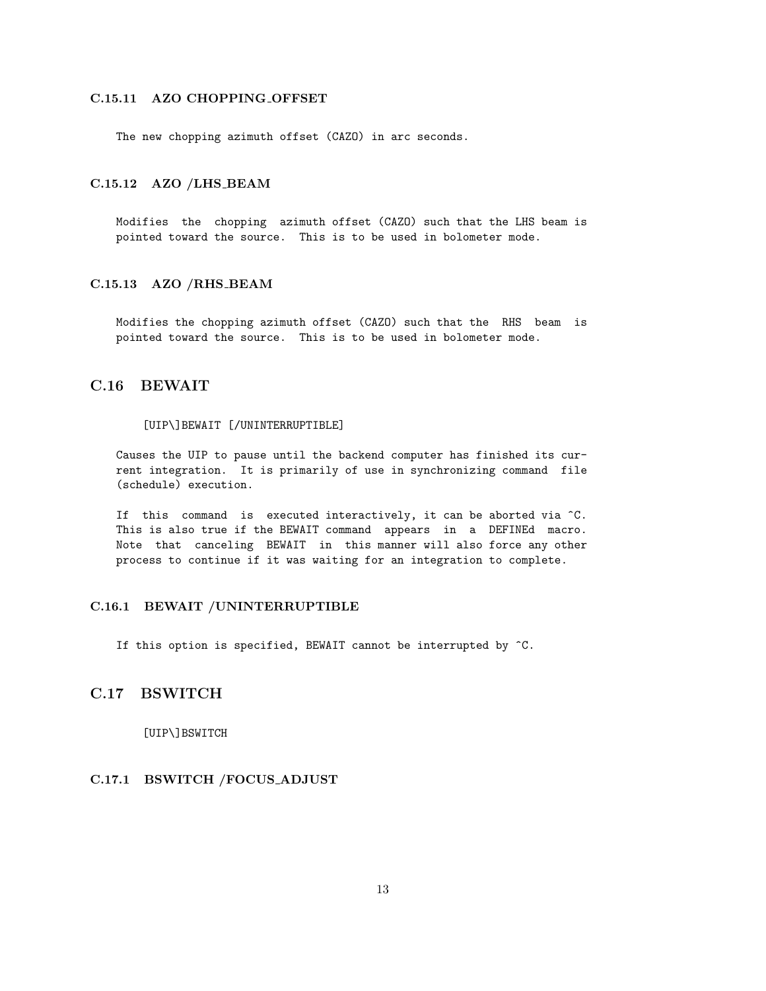## C.15.11 AZO CHOPPING OFFSET

The new chopping azimuth offset (CAZO) in arc seconds.

### C.15.12 AZO /LHS BEAM

Modifies the chopping azimuth offset (CAZO) such that the LHS beam is pointed toward the source. This is to be used in bolometer mode.

### C.15.13 AZO /RHS BEAM

Modifies the chopping azimuth offset (CAZO) such that the RHS beam is pointed toward the source. This is to be used in bolometer mode.

## C.16 BEWAIT

#### [UIP\]BEWAIT [/UNINTERRUPTIBLE]

Causes the UIP to pause until the backend computer has finished its current integration. It is primarily of use in synchronizing command file (schedule) execution.

If this command is executed interactively, it can be aborted via ^C. This is also true if the BEWAIT command appears in a DEFINEd macro. Note that canceling BEWAIT in this manner will also force any other process to continue if it was waiting for an integration to complete.

#### C.16.1 BEWAIT /UNINTERRUPTIBLE

If this option is specified, BEWAIT cannot be interrupted by  $\hat{C}$ .

## C.17 BSWITCH

[UIP\]BSWITCH

## C.17.1 BSWITCH /FOCUS ADJUST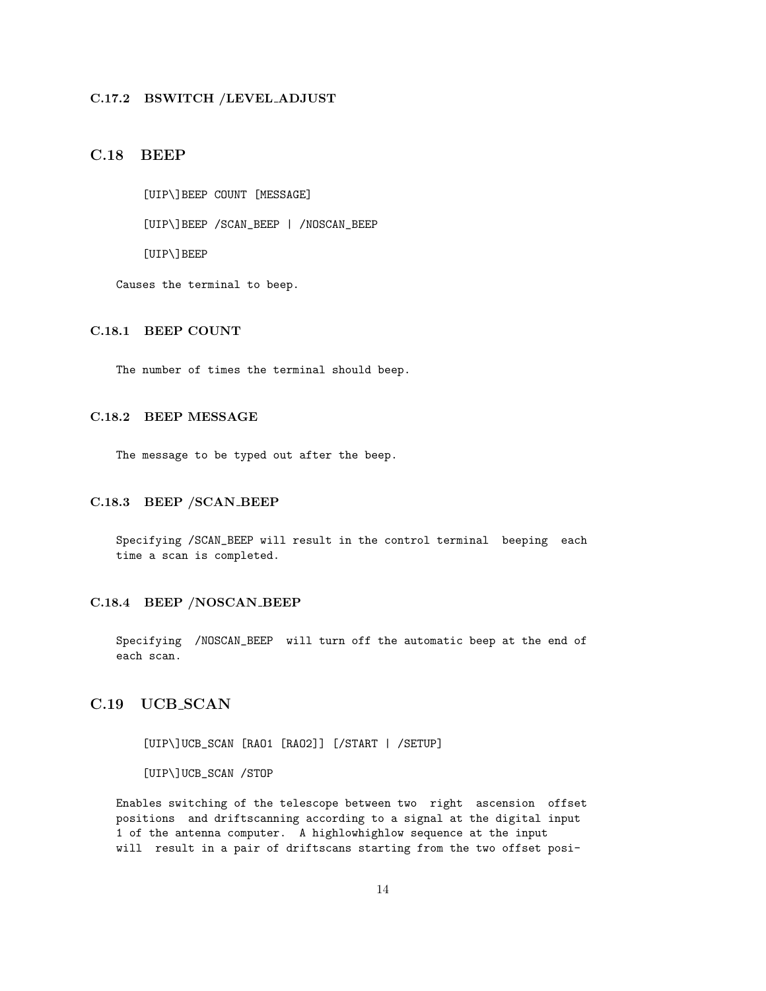### C.17.2 BSWITCH /LEVEL ADJUST

## C.18 BEEP

[UIP\]BEEP COUNT [MESSAGE]

[UIP\]BEEP /SCAN\_BEEP | /NOSCAN\_BEEP

[UIP\]BEEP

Causes the terminal to beep.

## C.18.1 BEEP COUNT

The number of times the terminal should beep.

## C.18.2 BEEP MESSAGE

The message to be typed out after the beep.

## C.18.3 BEEP /SCAN BEEP

Specifying /SCAN\_BEEP will result in the control terminal beeping each time a scan is completed.

#### C.18.4 BEEP /NOSCAN BEEP

Specifying /NOSCAN\_BEEP will turn off the automatic beep at the end of each scan.

## C.19 UCB\_SCAN

[UIP\]UCB\_SCAN [RAO1 [RAO2]] [/START | /SETUP]

[UIP\]UCB\_SCAN /STOP

Enables switching of the telescope between two right ascension offset positions and driftscanning according to a signal at the digital input 1 of the antenna computer. A highlowhighlow sequence at the input will result in a pair of driftscans starting from the two offset posi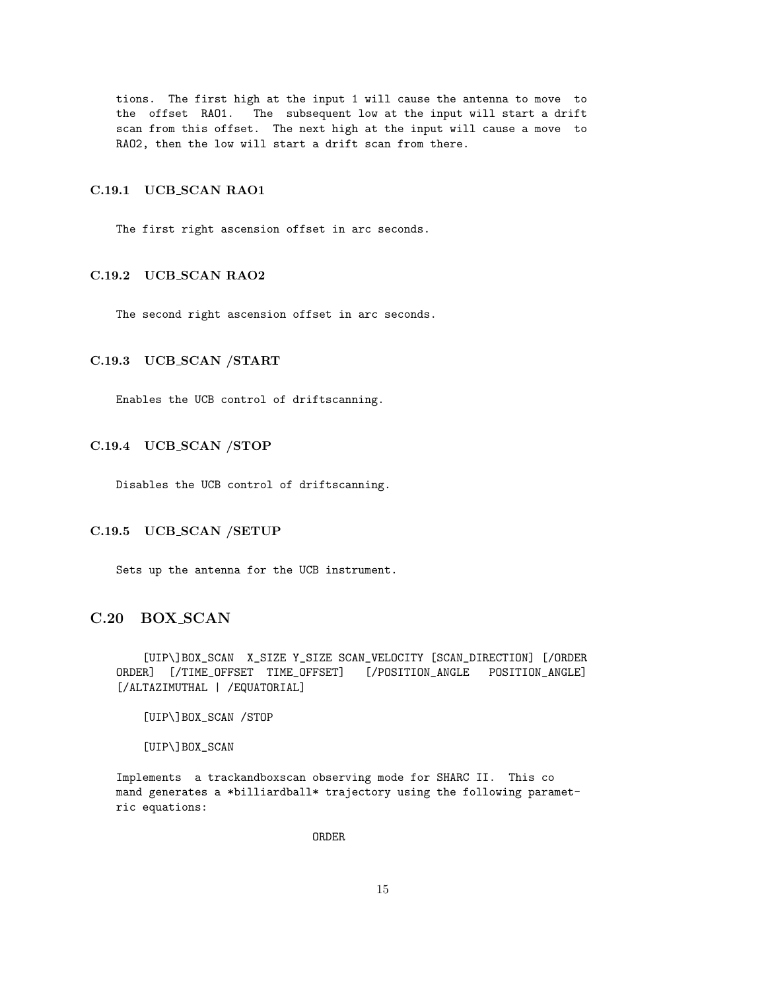tions. The first high at the input 1 will cause the antenna to move to the offset RAO1. The subsequent low at the input will start a drift scan from this offset. The next high at the input will cause a move to RAO2, then the low will start a drift scan from there.

#### C.19.1 UCB\_SCAN RAO1

The first right ascension offset in arc seconds.

## C.19.2 UCB SCAN RAO2

The second right ascension offset in arc seconds.

#### C.19.3 UCB SCAN /START

Enables the UCB control of driftscanning.

### C.19.4 UCB SCAN /STOP

Disables the UCB control of driftscanning.

#### C.19.5 UCB SCAN /SETUP

Sets up the antenna for the UCB instrument.

## C.20 BOX SCAN

[UIP\]BOX\_SCAN X\_SIZE Y\_SIZE SCAN\_VELOCITY [SCAN\_DIRECTION] [/ORDER ORDER] [/TIME\_OFFSET TIME\_OFFSET] [/POSITION\_ANGLE POSITION\_ANGLE] [/ALTAZIMUTHAL | /EQUATORIAL]

[UIP\]BOX\_SCAN /STOP

[UIP\]BOX\_SCAN

Implements a trackandboxscan observing mode for SHARC II. This co mand generates a \*billiardball\* trajectory using the following parametric equations:

ORDER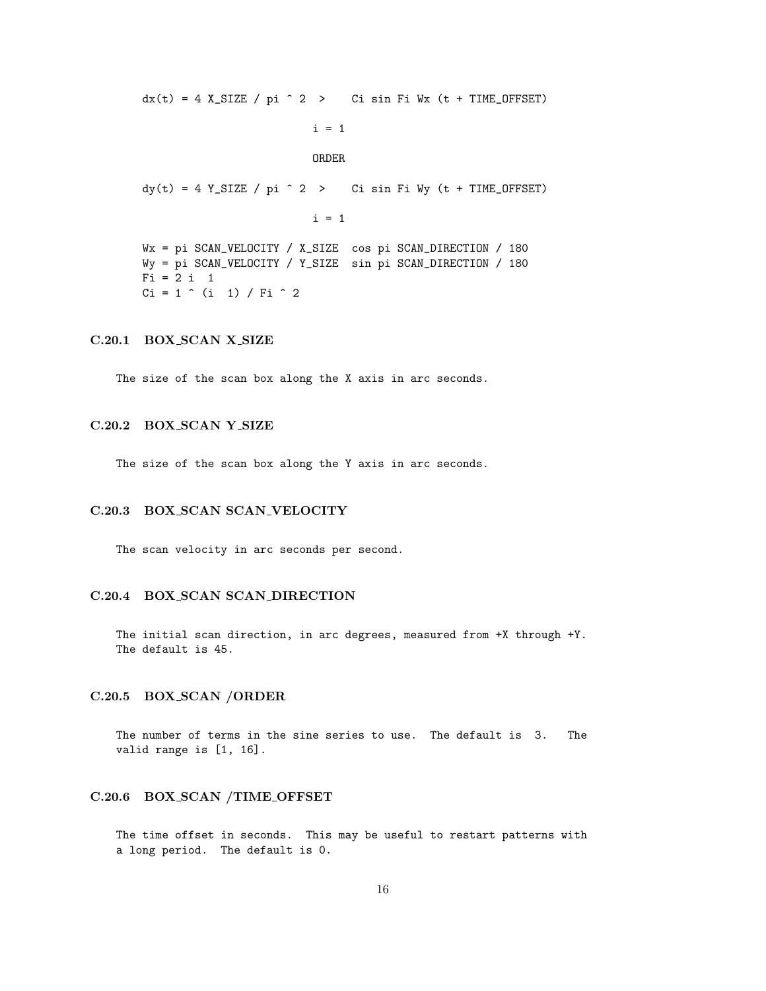$dx(t) = 4$  X\_SIZE / pi  $\hat{c}$  > Ci sin Fi Wx (t + TIME\_OFFSET)

$$
i = 1
$$

#### ORDER

 $dy(t) = 4 Y_SIZE / pi ^ 2 >$  Ci sin Fi Wy (t + TIME\_OFFSET)

 $i = 1$ 

Wx = pi SCAN\_VELOCITY / X\_SIZE cos pi SCAN\_DIRECTION / 180 Wy = pi SCAN\_VELOCITY / Y\_SIZE sin pi SCAN\_DIRECTION / 180  $Fi = 2 i 1$  $Ci = 1$  ^ (i 1) / Fi ^ 2

#### C.20.1 BOX SCAN X SIZE

The size of the scan box along the X axis in arc seconds.

#### C.20.2 BOX SCAN Y SIZE

The size of the scan box along the Y axis in arc seconds.

## C.20.3 BOX SCAN SCAN VELOCITY

The scan velocity in arc seconds per second.

#### C.20.4 BOX SCAN SCAN DIRECTION

The initial scan direction, in arc degrees, measured from +X through +Y. The default is 45.

#### C.20.5 BOX SCAN /ORDER

The number of terms in the sine series to use. The default is 3. The valid range is [1, 16].

#### C.20.6 BOX SCAN /TIME OFFSET

The time offset in seconds. This may be useful to restart patterns with a long period. The default is 0.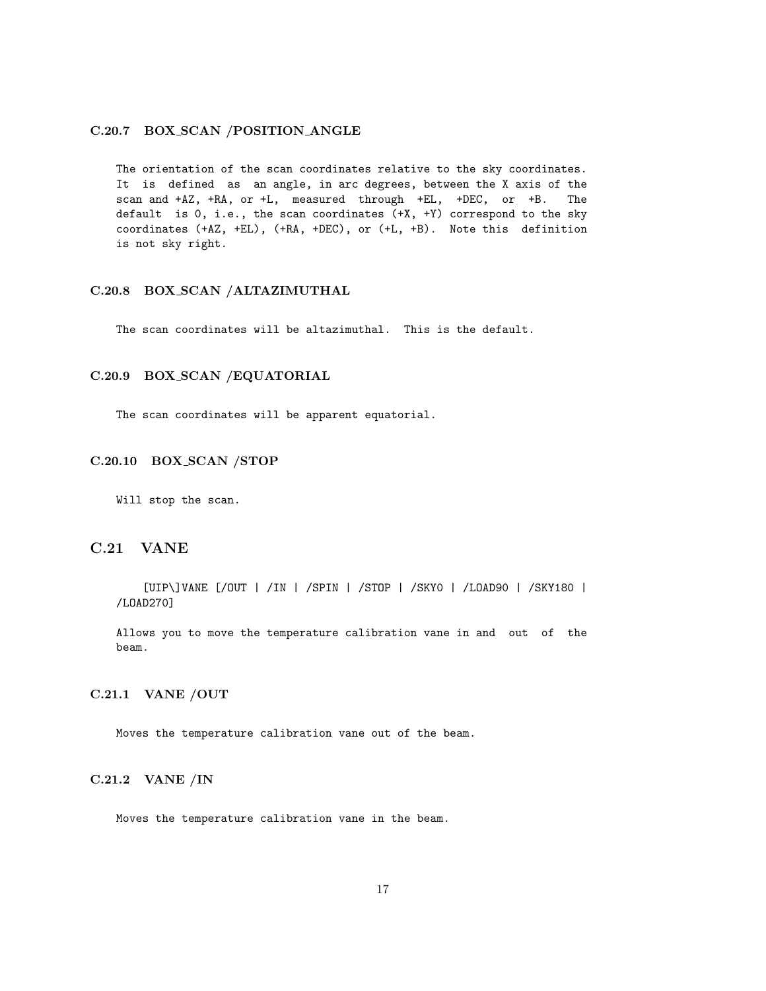### C.20.7 BOX SCAN /POSITION ANGLE

The orientation of the scan coordinates relative to the sky coordinates. It is defined as an angle, in arc degrees, between the X axis of the scan and +AZ, +RA, or +L, measured through +EL, +DEC, or +B. The default is 0, i.e., the scan coordinates (+X, +Y) correspond to the sky coordinates (+AZ, +EL), (+RA, +DEC), or (+L, +B). Note this definition is not sky right.

#### C.20.8 BOX SCAN /ALTAZIMUTHAL

The scan coordinates will be altazimuthal. This is the default.

#### C.20.9 BOX SCAN /EQUATORIAL

The scan coordinates will be apparent equatorial.

#### C.20.10 BOX SCAN /STOP

Will stop the scan.

## C.21 VANE

[UIP\]VANE [/OUT | /IN | /SPIN | /STOP | /SKY0 | /LOAD90 | /SKY180 | /LOAD270]

Allows you to move the temperature calibration vane in and out of the beam.

## C.21.1 VANE /OUT

Moves the temperature calibration vane out of the beam.

## C.21.2 VANE /IN

Moves the temperature calibration vane in the beam.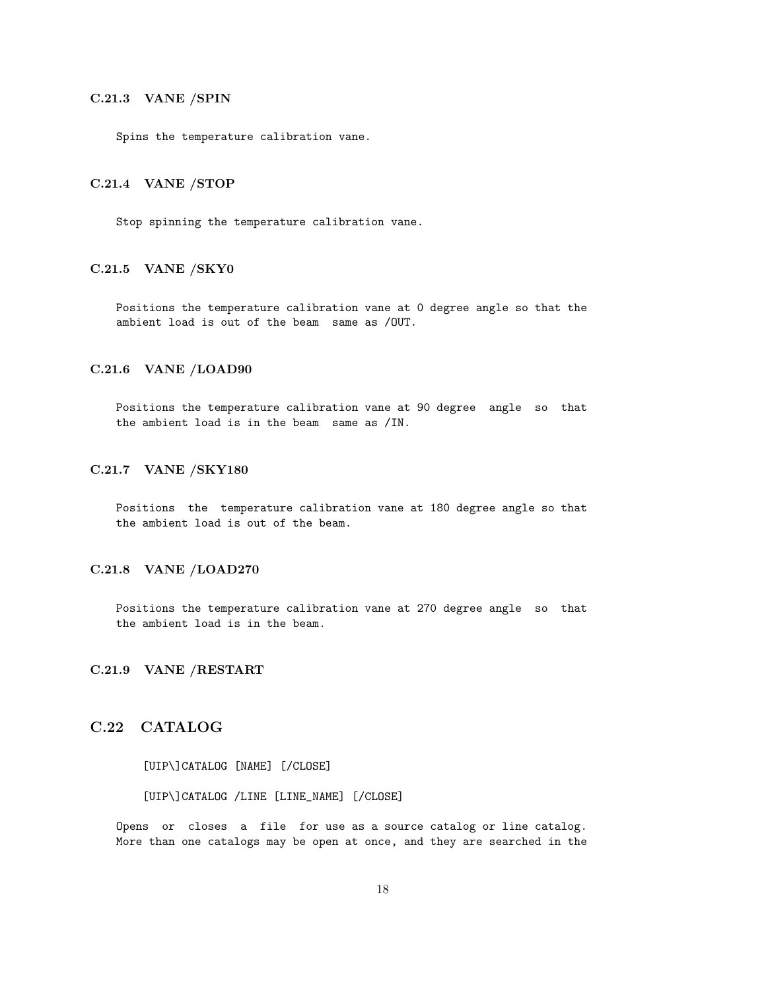## C.21.3 VANE /SPIN

Spins the temperature calibration vane.

#### C.21.4 VANE /STOP

Stop spinning the temperature calibration vane.

### C.21.5 VANE /SKY0

Positions the temperature calibration vane at 0 degree angle so that the ambient load is out of the beam same as /OUT.

#### C.21.6 VANE /LOAD90

Positions the temperature calibration vane at 90 degree angle so that the ambient load is in the beam same as /IN.

### C.21.7 VANE /SKY180

Positions the temperature calibration vane at 180 degree angle so that the ambient load is out of the beam.

### C.21.8 VANE /LOAD270

Positions the temperature calibration vane at 270 degree angle so that the ambient load is in the beam.

#### C.21.9 VANE /RESTART

## C.22 CATALOG

[UIP\]CATALOG [NAME] [/CLOSE]

#### [UIP\]CATALOG /LINE [LINE\_NAME] [/CLOSE]

Opens or closes a file for use as a source catalog or line catalog. More than one catalogs may be open at once, and they are searched in the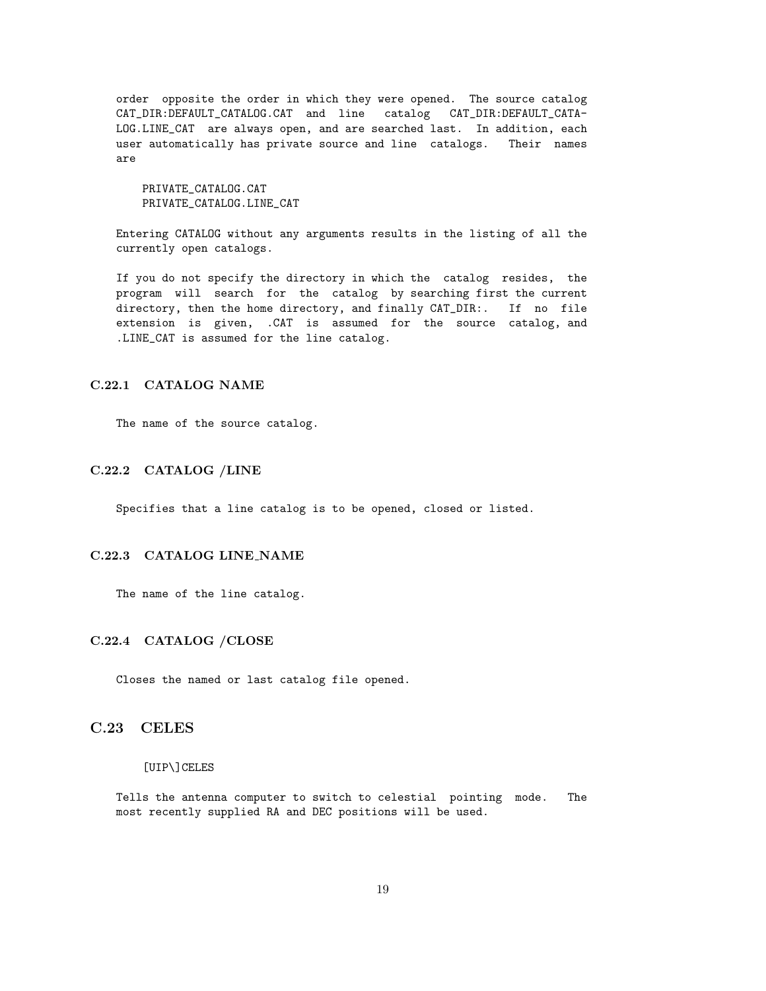order opposite the order in which they were opened. The source catalog CAT\_DIR:DEFAULT\_CATALOG.CAT and line catalog CAT\_DIR:DEFAULT\_CATA-LOG.LINE\_CAT are always open, and are searched last. In addition, each user automatically has private source and line catalogs. Their names are

PRIVATE\_CATALOG.CAT PRIVATE\_CATALOG.LINE\_CAT

Entering CATALOG without any arguments results in the listing of all the currently open catalogs.

If you do not specify the directory in which the catalog resides, the program will search for the catalog by searching first the current directory, then the home directory, and finally CAT\_DIR:. If no file extension is given, .CAT is assumed for the source catalog, and .LINE\_CAT is assumed for the line catalog.

### C.22.1 CATALOG NAME

The name of the source catalog.

#### C.22.2 CATALOG /LINE

Specifies that a line catalog is to be opened, closed or listed.

### C.22.3 CATALOG LINE NAME

The name of the line catalog.

### C.22.4 CATALOG /CLOSE

Closes the named or last catalog file opened.

## C.23 CELES

#### [UIP\]CELES

Tells the antenna computer to switch to celestial pointing mode. The most recently supplied RA and DEC positions will be used.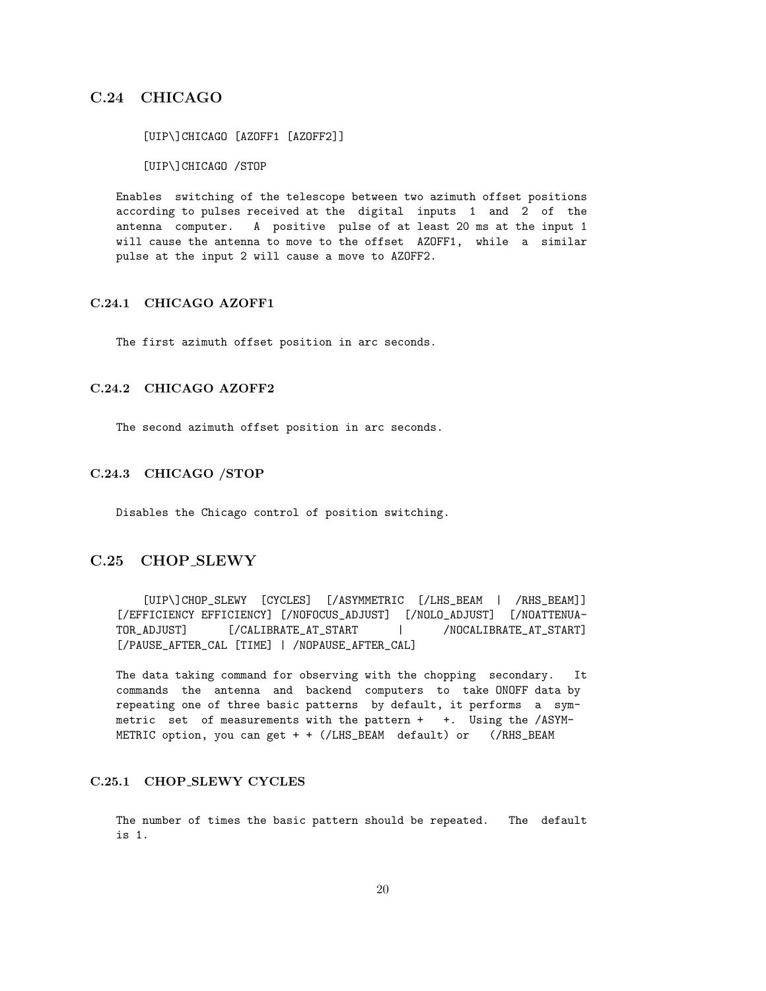## C.24 CHICAGO

[UIP\]CHICAGO [AZOFF1 [AZOFF2]] [UIP\]CHICAGO /STOP

Enables switching of the telescope between two azimuth offset positions according to pulses received at the digital inputs 1 and 2 of the antenna computer. A positive pulse of at least 20 ms at the input 1 will cause the antenna to move to the offset AZOFF1, while a similar pulse at the input 2 will cause a move to AZOFF2.

## C.24.1 CHICAGO AZOFF1

The first azimuth offset position in arc seconds.

### C.24.2 CHICAGO AZOFF2

The second azimuth offset position in arc seconds.

### C.24.3 CHICAGO /STOP

Disables the Chicago control of position switching.

## C.25 CHOP SLEWY

[UIP\]CHOP\_SLEWY [CYCLES] [/ASYMMETRIC [/LHS\_BEAM | /RHS\_BEAM]] [/EFFICIENCY EFFICIENCY] [/NOFOCUS\_ADJUST] [/NOLO\_ADJUST] [/NOATTENUA-TOR\_ADJUST] [/CALIBRATE\_AT\_START | /NOCALIBRATE\_AT\_START] [/PAUSE\_AFTER\_CAL [TIME] | /NOPAUSE\_AFTER\_CAL]

The data taking command for observing with the chopping secondary. It commands the antenna and backend computers to take ONOFF data by repeating one of three basic patterns by default, it performs a symmetric set of measurements with the pattern + +. Using the /ASYM-METRIC option, you can get + + (/LHS\_BEAM default) or (/RHS\_BEAM

## C.25.1 CHOP SLEWY CYCLES

The number of times the basic pattern should be repeated. The default is 1.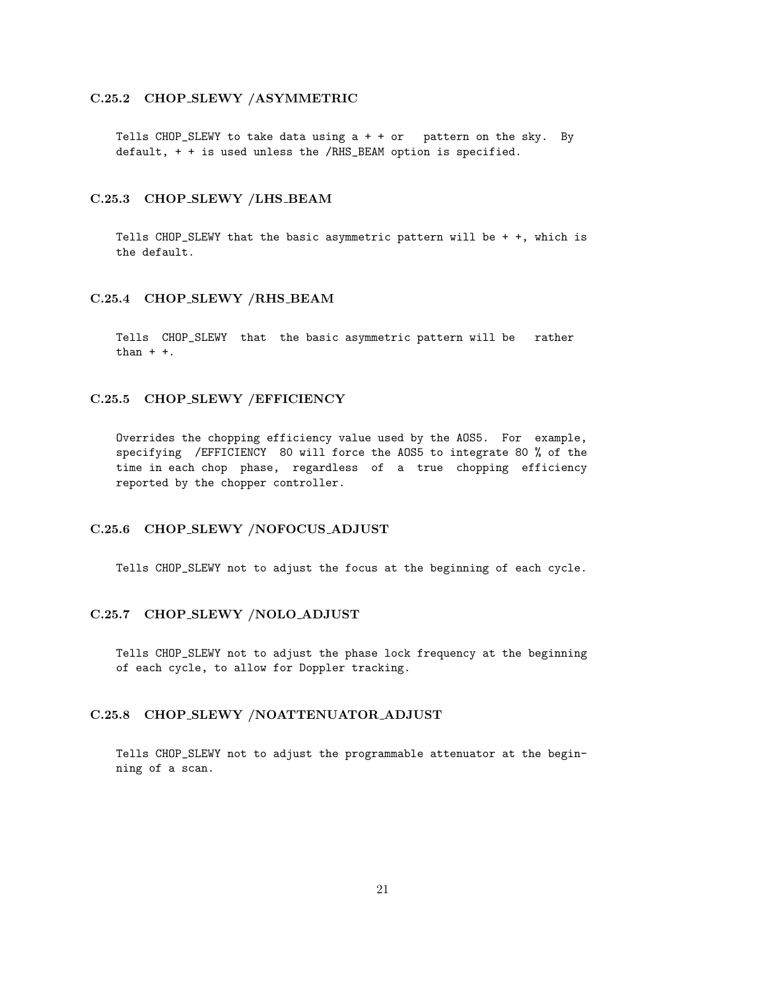### C.25.2 CHOP SLEWY /ASYMMETRIC

Tells CHOP\_SLEWY to take data using  $a + + or$  pattern on the sky. By default, + + is used unless the /RHS\_BEAM option is specified.

### C.25.3 CHOP SLEWY /LHS BEAM

Tells CHOP\_SLEWY that the basic asymmetric pattern will be + +, which is the default.

#### C.25.4 CHOP SLEWY /RHS BEAM

Tells CHOP\_SLEWY that the basic asymmetric pattern will be rather than  $+ +$ .

### C.25.5 CHOP SLEWY /EFFICIENCY

Overrides the chopping efficiency value used by the AOS5. For example, specifying /EFFICIENCY 80 will force the AOS5 to integrate 80 % of the time in each chop phase, regardless of a true chopping efficiency reported by the chopper controller.

## C.25.6 CHOP SLEWY /NOFOCUS ADJUST

Tells CHOP\_SLEWY not to adjust the focus at the beginning of each cycle.

### C.25.7 CHOP SLEWY /NOLO ADJUST

Tells CHOP\_SLEWY not to adjust the phase lock frequency at the beginning of each cycle, to allow for Doppler tracking.

### C.25.8 CHOP SLEWY /NOATTENUATOR ADJUST

Tells CHOP\_SLEWY not to adjust the programmable attenuator at the beginning of a scan.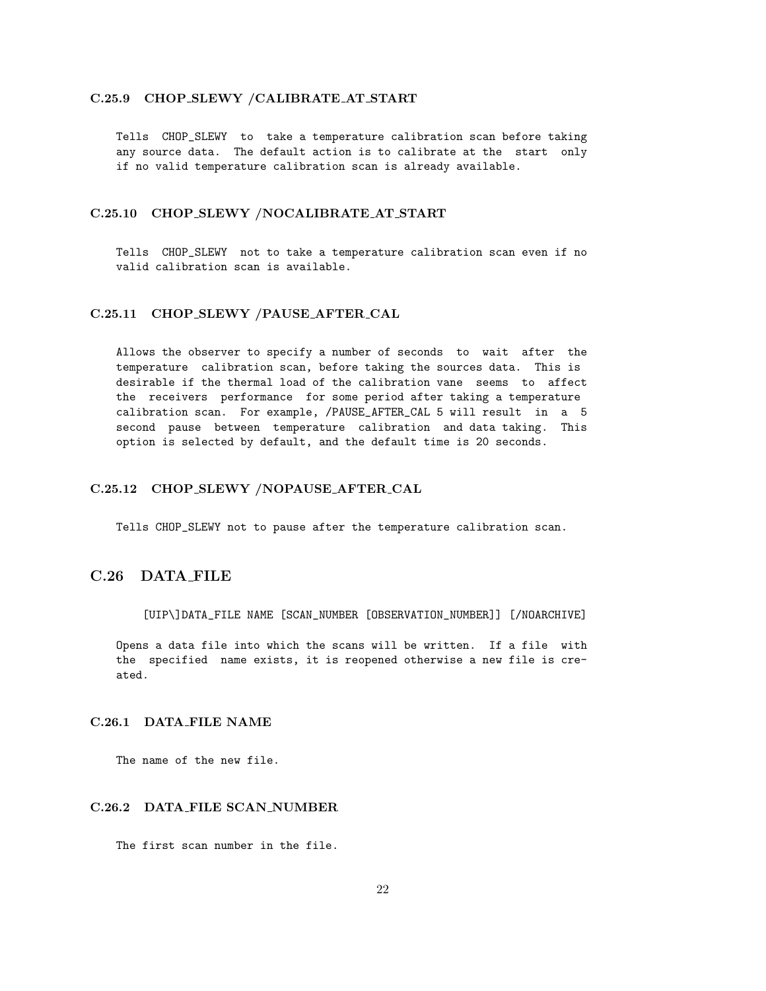## C.25.9 CHOP SLEWY /CALIBRATE AT START

Tells CHOP\_SLEWY to take a temperature calibration scan before taking any source data. The default action is to calibrate at the start only if no valid temperature calibration scan is already available.

### C.25.10 CHOP SLEWY /NOCALIBRATE AT START

Tells CHOP\_SLEWY not to take a temperature calibration scan even if no valid calibration scan is available.

#### C.25.11 CHOP SLEWY /PAUSE AFTER CAL

Allows the observer to specify a number of seconds to wait after the temperature calibration scan, before taking the sources data. This is desirable if the thermal load of the calibration vane seems to affect the receivers performance for some period after taking a temperature calibration scan. For example, /PAUSE\_AFTER\_CAL 5 will result in a 5 second pause between temperature calibration and data taking. This option is selected by default, and the default time is 20 seconds.

### C.25.12 CHOP SLEWY /NOPAUSE AFTER CAL

Tells CHOP\_SLEWY not to pause after the temperature calibration scan.

## C.26 DATA FILE

[UIP\]DATA\_FILE NAME [SCAN\_NUMBER [OBSERVATION\_NUMBER]] [/NOARCHIVE]

Opens a data file into which the scans will be written. If a file with the specified name exists, it is reopened otherwise a new file is created.

## C.26.1 DATA FILE NAME

The name of the new file.

#### C.26.2 DATA FILE SCAN NUMBER

The first scan number in the file.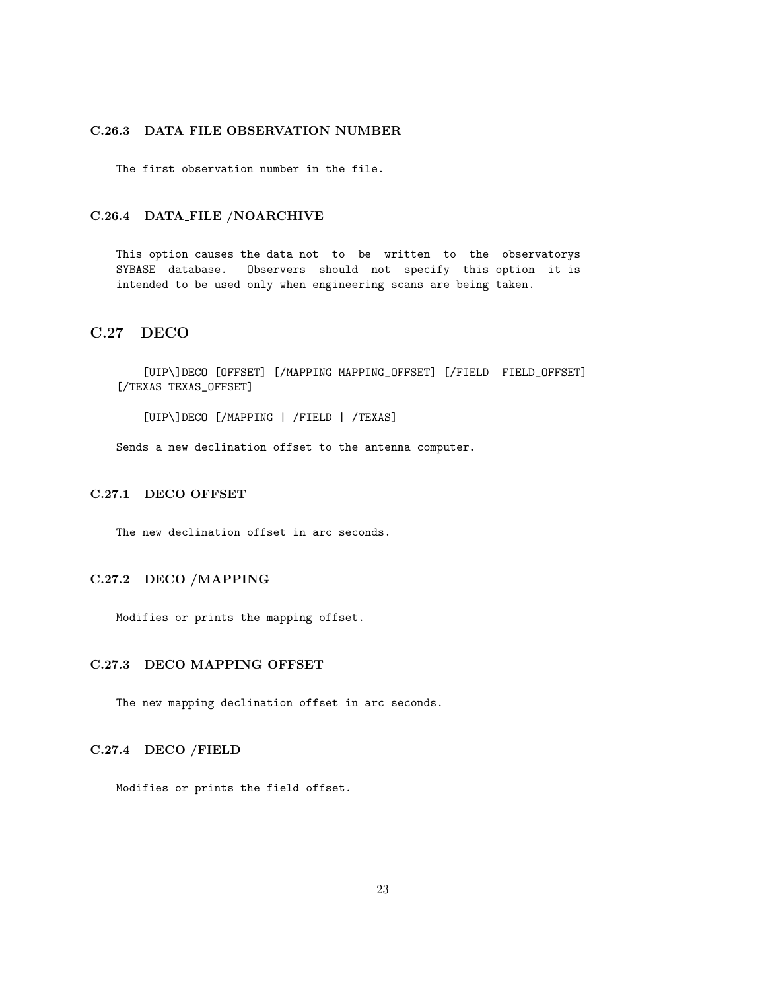## C.26.3 DATA FILE OBSERVATION NUMBER

The first observation number in the file.

#### C.26.4 DATA FILE /NOARCHIVE

This option causes the data not to be written to the observatorys SYBASE database. Observers should not specify this option it is intended to be used only when engineering scans are being taken.

## C.27 DECO

[UIP\]DECO [OFFSET] [/MAPPING MAPPING\_OFFSET] [/FIELD FIELD\_OFFSET] [/TEXAS TEXAS\_OFFSET]

[UIP\]DECO [/MAPPING | /FIELD | /TEXAS]

Sends a new declination offset to the antenna computer.

## C.27.1 DECO OFFSET

The new declination offset in arc seconds.

## C.27.2 DECO /MAPPING

Modifies or prints the mapping offset.

#### C.27.3 DECO MAPPING OFFSET

The new mapping declination offset in arc seconds.

## C.27.4 DECO /FIELD

Modifies or prints the field offset.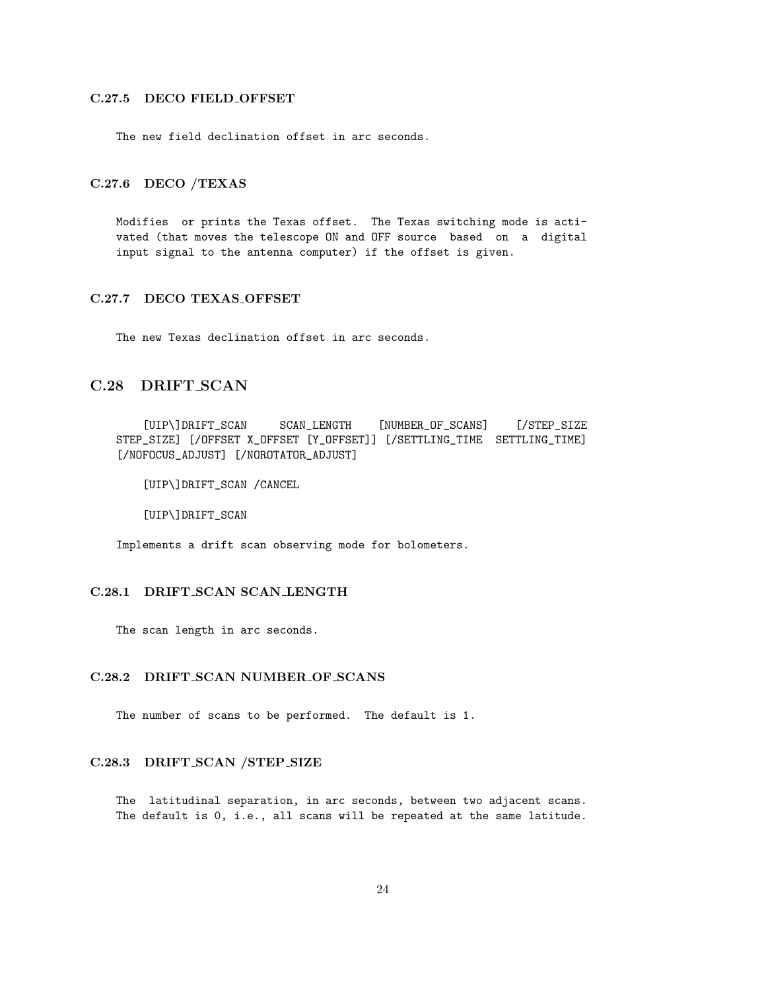## C.27.5 DECO FIELD OFFSET

The new field declination offset in arc seconds.

## C.27.6 DECO /TEXAS

Modifies or prints the Texas offset. The Texas switching mode is activated (that moves the telescope ON and OFF source based on a digital input signal to the antenna computer) if the offset is given.

## C.27.7 DECO TEXAS OFFSET

The new Texas declination offset in arc seconds.

## C.28 DRIFT SCAN

[UIP\]DRIFT\_SCAN SCAN\_LENGTH [NUMBER\_OF\_SCANS] [/STEP\_SIZE STEP\_SIZE] [/OFFSET X\_OFFSET [Y\_OFFSET]] [/SETTLING\_TIME SETTLING\_TIME] [/NOFOCUS\_ADJUST] [/NOROTATOR\_ADJUST]

[UIP\]DRIFT\_SCAN /CANCEL

[UIP\]DRIFT\_SCAN

Implements a drift scan observing mode for bolometers.

#### C.28.1 DRIFT SCAN SCAN LENGTH

The scan length in arc seconds.

#### C.28.2 DRIFT SCAN NUMBER OF SCANS

The number of scans to be performed. The default is 1.

#### C.28.3 DRIFT SCAN /STEP SIZE

The latitudinal separation, in arc seconds, between two adjacent scans. The default is 0, i.e., all scans will be repeated at the same latitude.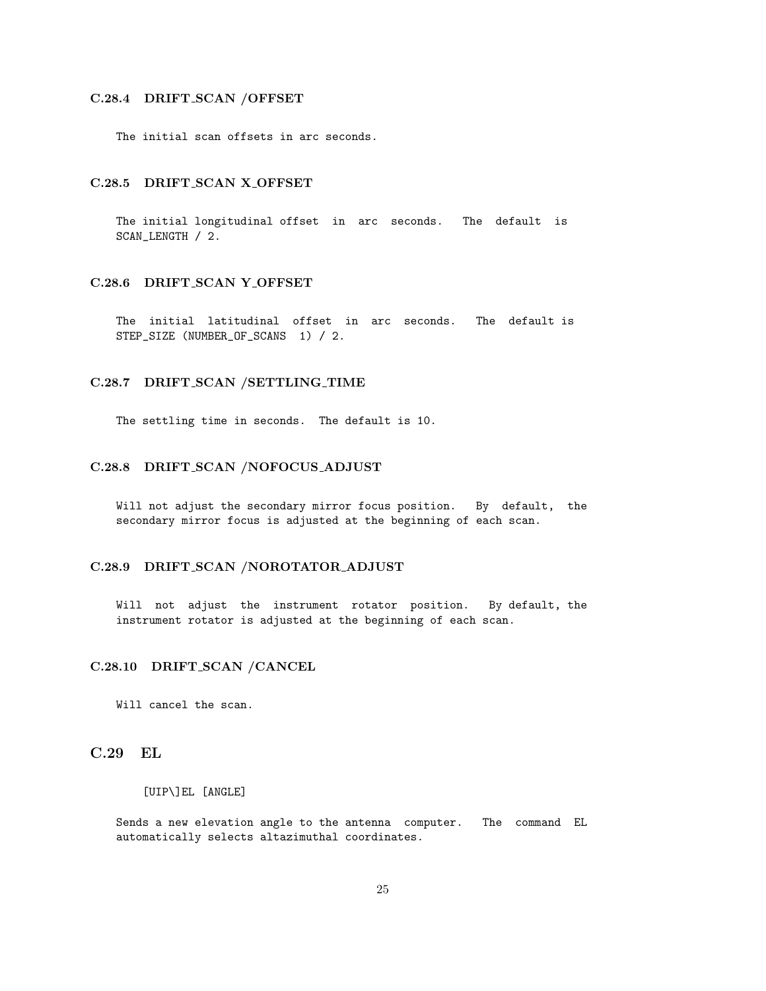#### C.28.4 DRIFT SCAN /OFFSET

The initial scan offsets in arc seconds.

#### C.28.5 DRIFT SCAN X OFFSET

The initial longitudinal offset in arc seconds. The default is SCAN\_LENGTH / 2.

## C.28.6 DRIFT\_SCAN Y\_OFFSET

The initial latitudinal offset in arc seconds. The default is STEP\_SIZE (NUMBER\_OF\_SCANS 1) / 2.

#### C.28.7 DRIFT SCAN /SETTLING TIME

The settling time in seconds. The default is 10.

## C.28.8 DRIFT SCAN /NOFOCUS ADJUST

Will not adjust the secondary mirror focus position. By default, the secondary mirror focus is adjusted at the beginning of each scan.

### C.28.9 DRIFT SCAN /NOROTATOR ADJUST

Will not adjust the instrument rotator position. By default, the instrument rotator is adjusted at the beginning of each scan.

#### C.28.10 DRIFT SCAN /CANCEL

Will cancel the scan.

## C.29 EL

[UIP\]EL [ANGLE]

Sends a new elevation angle to the antenna computer. The command EL automatically selects altazimuthal coordinates.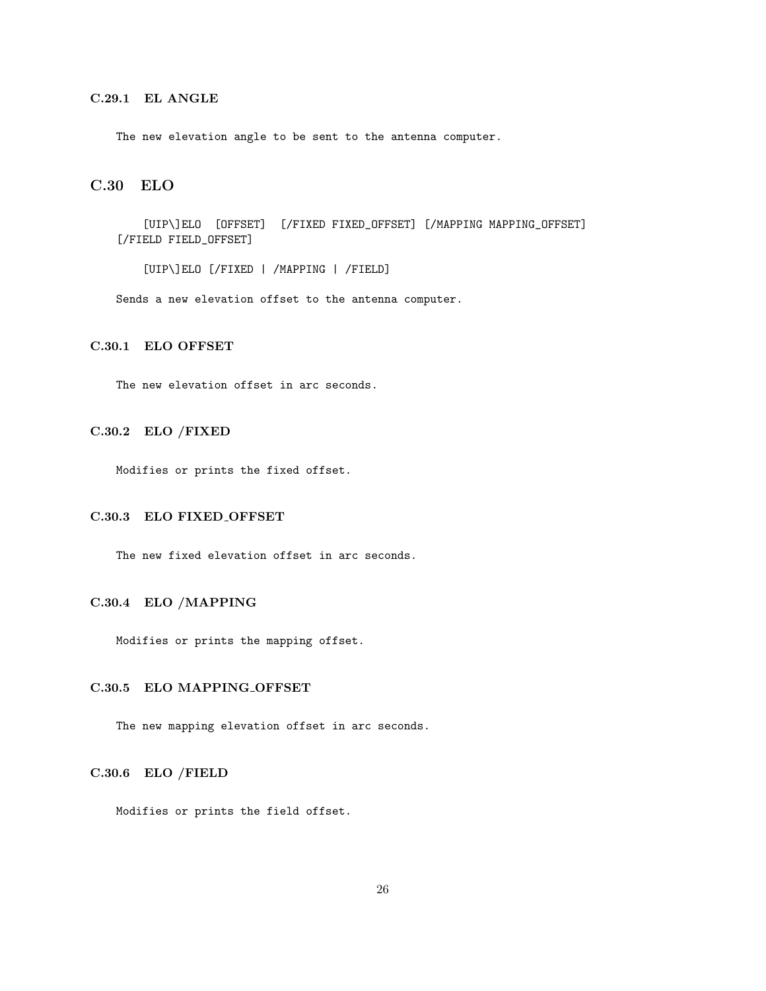## C.29.1 EL ANGLE

The new elevation angle to be sent to the antenna computer.

## C.30 ELO

[UIP\]ELO [OFFSET] [/FIXED FIXED\_OFFSET] [/MAPPING MAPPING\_OFFSET] [/FIELD FIELD\_OFFSET]

[UIP\]ELO [/FIXED | /MAPPING | /FIELD]

Sends a new elevation offset to the antenna computer.

## C.30.1 ELO OFFSET

The new elevation offset in arc seconds.

### C.30.2 ELO /FIXED

Modifies or prints the fixed offset.

### C.30.3 ELO FIXED OFFSET

The new fixed elevation offset in arc seconds.

### C.30.4 ELO /MAPPING

Modifies or prints the mapping offset.

#### C.30.5 ELO MAPPING OFFSET

The new mapping elevation offset in arc seconds.

#### C.30.6 ELO /FIELD

Modifies or prints the field offset.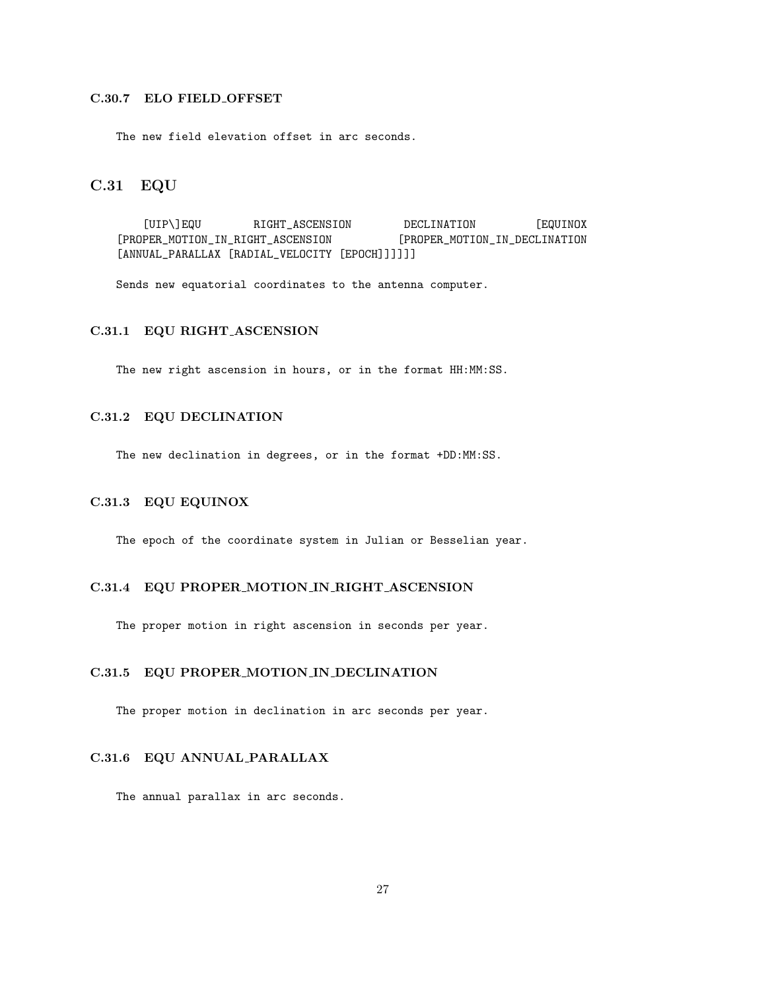## C.30.7 ELO FIELD OFFSET

The new field elevation offset in arc seconds.

## C.31 EQU

[UIP\]EQU RIGHT\_ASCENSION DECLINATION [EQUINOX [PROPER\_MOTION\_IN\_RIGHT\_ASCENSION [PROPER\_MOTION\_IN\_DECLINATION [ANNUAL\_PARALLAX [RADIAL\_VELOCITY [EPOCH]]]]]]

Sends new equatorial coordinates to the antenna computer.

## C.31.1 EQU RIGHT ASCENSION

The new right ascension in hours, or in the format HH:MM:SS.

### C.31.2 EQU DECLINATION

The new declination in degrees, or in the format +DD:MM:SS.

## C.31.3 EQU EQUINOX

The epoch of the coordinate system in Julian or Besselian year.

#### C.31.4 EQU PROPER MOTION IN RIGHT ASCENSION

The proper motion in right ascension in seconds per year.

## C.31.5 EQU PROPER MOTION IN DECLINATION

The proper motion in declination in arc seconds per year.

## C.31.6 EQU ANNUAL PARALLAX

The annual parallax in arc seconds.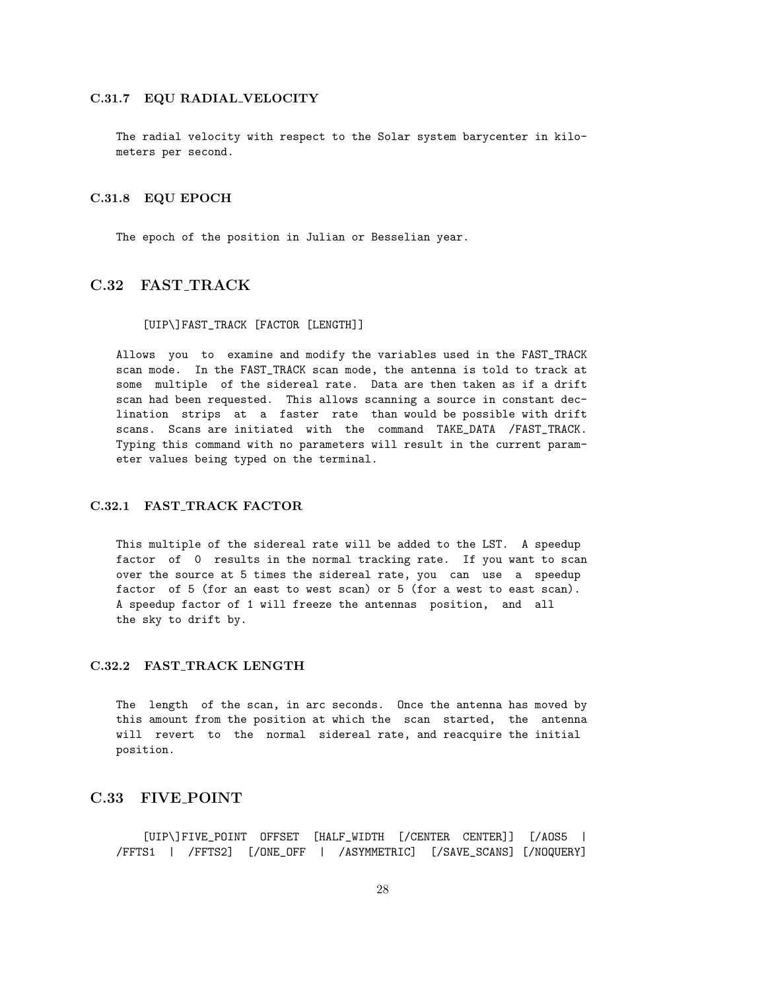#### C.31.7 EQU RADIAL VELOCITY

The radial velocity with respect to the Solar system barycenter in kilometers per second.

#### C.31.8 EQU EPOCH

The epoch of the position in Julian or Besselian year.

## C.32 FAST TRACK

#### [UIP\]FAST\_TRACK [FACTOR [LENGTH]]

Allows you to examine and modify the variables used in the FAST\_TRACK scan mode. In the FAST\_TRACK scan mode, the antenna is told to track at some multiple of the sidereal rate. Data are then taken as if a drift scan had been requested. This allows scanning a source in constant declination strips at a faster rate than would be possible with drift scans. Scans are initiated with the command TAKE\_DATA /FAST\_TRACK. Typing this command with no parameters will result in the current parameter values being typed on the terminal.

### C.32.1 FAST TRACK FACTOR

This multiple of the sidereal rate will be added to the LST. A speedup factor of 0 results in the normal tracking rate. If you want to scan over the source at 5 times the sidereal rate, you can use a speedup factor of 5 (for an east to west scan) or 5 (for a west to east scan). A speedup factor of 1 will freeze the antennas position, and all the sky to drift by.

#### C.32.2 FAST\_TRACK LENGTH

The length of the scan, in arc seconds. Once the antenna has moved by this amount from the position at which the scan started, the antenna will revert to the normal sidereal rate, and reacquire the initial position.

## C.33 FIVE POINT

[UIP\]FIVE\_POINT OFFSET [HALF\_WIDTH [/CENTER CENTER]] [/AOS5 | /FFTS1 | /FFTS2] [/ONE\_OFF | /ASYMMETRIC] [/SAVE\_SCANS] [/NOQUERY]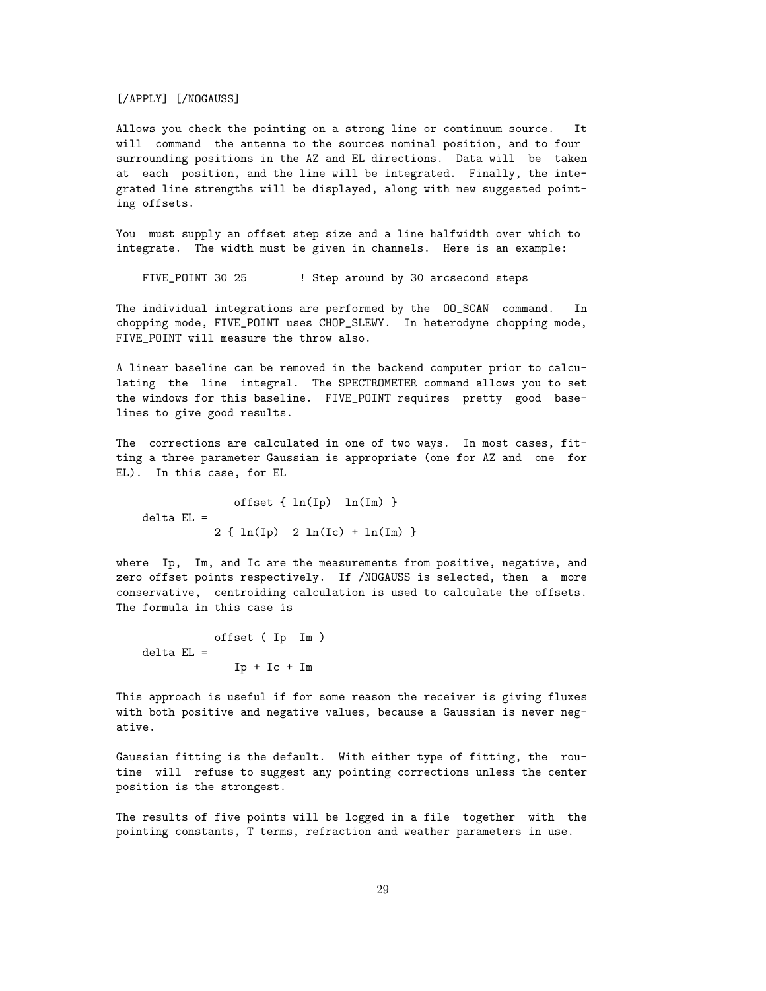[/APPLY] [/NOGAUSS]

Allows you check the pointing on a strong line or continuum source. It will command the antenna to the sources nominal position, and to four surrounding positions in the AZ and EL directions. Data will be taken at each position, and the line will be integrated. Finally, the integrated line strengths will be displayed, along with new suggested pointing offsets.

You must supply an offset step size and a line halfwidth over which to integrate. The width must be given in channels. Here is an example:

FIVE\_POINT 30 25 : Step around by 30 arcsecond steps

The individual integrations are performed by the OO\_SCAN command. In chopping mode, FIVE\_POINT uses CHOP\_SLEWY. In heterodyne chopping mode, FIVE\_POINT will measure the throw also.

A linear baseline can be removed in the backend computer prior to calculating the line integral. The SPECTROMETER command allows you to set the windows for this baseline. FIVE\_POINT requires pretty good baselines to give good results.

The corrections are calculated in one of two ways. In most cases, fitting a three parameter Gaussian is appropriate (one for AZ and one for EL). In this case, for EL

offset  $\{ ln(Ip) < ln(Im) \}$ delta EL = 2 { ln(Ip) 2 ln(Ic) + ln(Im) }

where Ip, Im, and Ic are the measurements from positive, negative, and zero offset points respectively. If /NOGAUSS is selected, then a more conservative, centroiding calculation is used to calculate the offsets. The formula in this case is

```
offset ( Ip Im )
delta EL =Ip + Ic + Im
```
This approach is useful if for some reason the receiver is giving fluxes with both positive and negative values, because a Gaussian is never negative.

Gaussian fitting is the default. With either type of fitting, the routine will refuse to suggest any pointing corrections unless the center position is the strongest.

The results of five points will be logged in a file together with the pointing constants, T terms, refraction and weather parameters in use.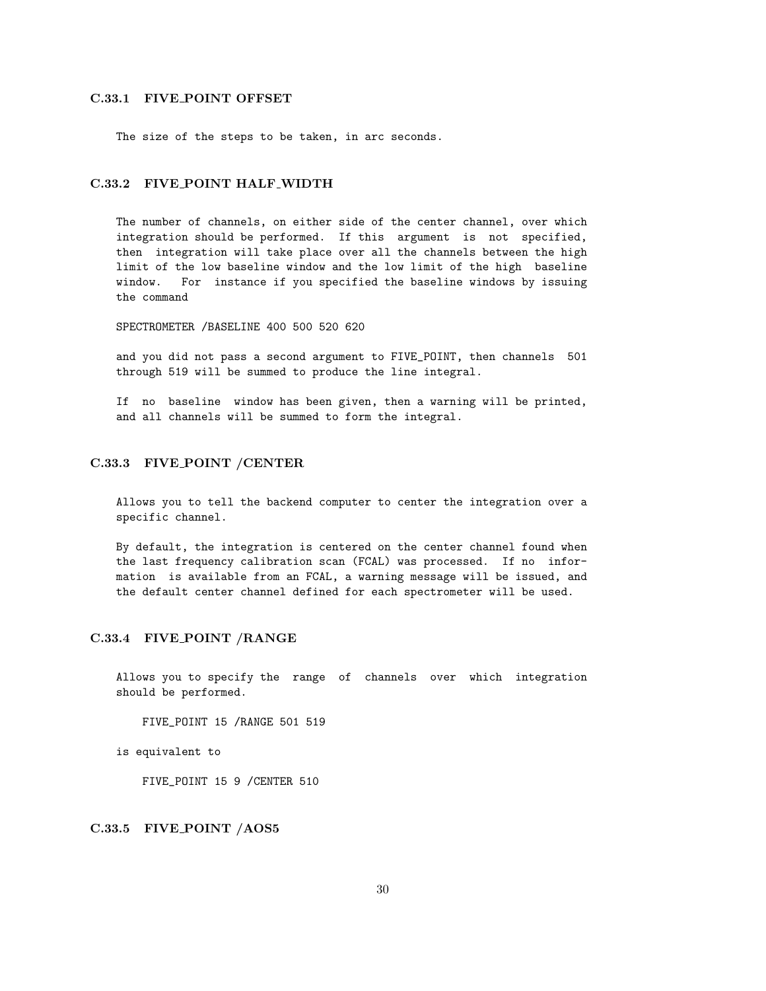## C.33.1 FIVE POINT OFFSET

The size of the steps to be taken, in arc seconds.

### C.33.2 FIVE POINT HALF WIDTH

The number of channels, on either side of the center channel, over which integration should be performed. If this argument is not specified, then integration will take place over all the channels between the high limit of the low baseline window and the low limit of the high baseline window. For instance if you specified the baseline windows by issuing the command

SPECTROMETER /BASELINE 400 500 520 620

and you did not pass a second argument to FIVE\_POINT, then channels 501 through 519 will be summed to produce the line integral.

If no baseline window has been given, then a warning will be printed, and all channels will be summed to form the integral.

#### C.33.3 FIVE POINT /CENTER

Allows you to tell the backend computer to center the integration over a specific channel.

By default, the integration is centered on the center channel found when the last frequency calibration scan (FCAL) was processed. If no information is available from an FCAL, a warning message will be issued, and the default center channel defined for each spectrometer will be used.

#### C.33.4 FIVE POINT /RANGE

Allows you to specify the range of channels over which integration should be performed.

FIVE\_POINT 15 /RANGE 501 519

is equivalent to

FIVE\_POINT 15 9 /CENTER 510

#### C.33.5 FIVE POINT /AOS5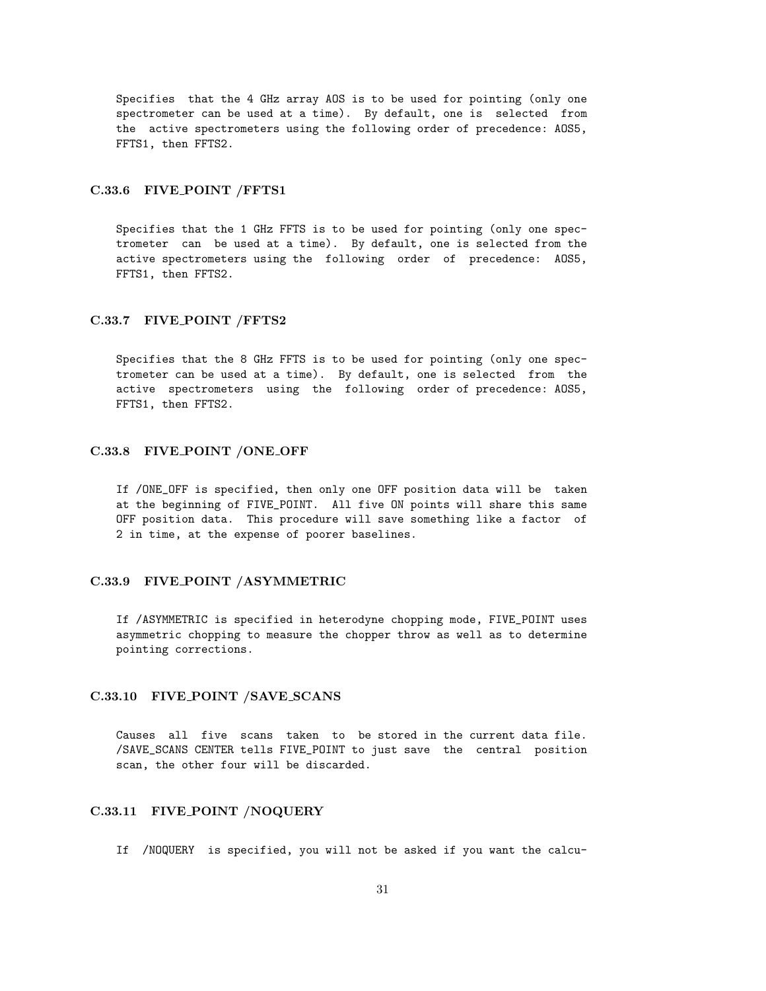Specifies that the 4 GHz array AOS is to be used for pointing (only one spectrometer can be used at a time). By default, one is selected from the active spectrometers using the following order of precedence: AOS5, FFTS1, then FFTS2.

#### C.33.6 FIVE POINT /FFTS1

Specifies that the 1 GHz FFTS is to be used for pointing (only one spectrometer can be used at a time). By default, one is selected from the active spectrometers using the following order of precedence: AOS5, FFTS1, then FFTS2.

#### C.33.7 FIVE POINT /FFTS2

Specifies that the 8 GHz FFTS is to be used for pointing (only one spectrometer can be used at a time). By default, one is selected from the active spectrometers using the following order of precedence: AOS5, FFTS1, then FFTS2.

### C.33.8 FIVE POINT /ONE OFF

If /ONE\_OFF is specified, then only one OFF position data will be taken at the beginning of FIVE\_POINT. All five ON points will share this same OFF position data. This procedure will save something like a factor of 2 in time, at the expense of poorer baselines.

#### C.33.9 FIVE POINT /ASYMMETRIC

If /ASYMMETRIC is specified in heterodyne chopping mode, FIVE\_POINT uses asymmetric chopping to measure the chopper throw as well as to determine pointing corrections.

#### C.33.10 FIVE POINT /SAVE SCANS

Causes all five scans taken to be stored in the current data file. /SAVE\_SCANS CENTER tells FIVE\_POINT to just save the central position scan, the other four will be discarded.

## C.33.11 FIVE POINT /NOQUERY

If /NOQUERY is specified, you will not be asked if you want the calcu-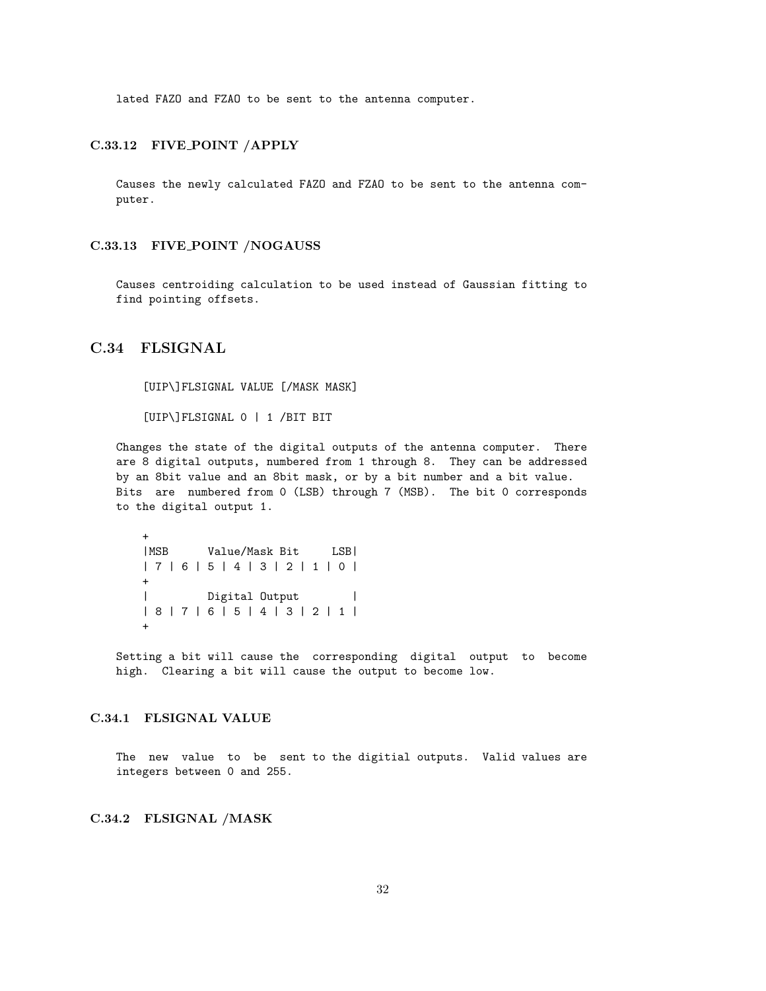lated FAZO and FZAO to be sent to the antenna computer.

### C.33.12 FIVE POINT /APPLY

Causes the newly calculated FAZO and FZAO to be sent to the antenna computer.

#### C.33.13 FIVE POINT /NOGAUSS

Causes centroiding calculation to be used instead of Gaussian fitting to find pointing offsets.

## C.34 FLSIGNAL

[UIP\]FLSIGNAL VALUE [/MASK MASK]

[UIP\]FLSIGNAL 0 | 1 /BIT BIT

Changes the state of the digital outputs of the antenna computer. There are 8 digital outputs, numbered from 1 through 8. They can be addressed by an 8bit value and an 8bit mask, or by a bit number and a bit value. Bits are numbered from 0 (LSB) through 7 (MSB). The bit 0 corresponds to the digital output 1.

```
+
|MSB Value/Mask Bit LSB|
| 7 | 6 | 5 | 4 | 3 | 2 | 1 | 0 |
+| Digital Output |
| 8 | 7 | 6 | 5 | 4 | 3 | 2 | 1 |
+
```
Setting a bit will cause the corresponding digital output to become high. Clearing a bit will cause the output to become low.

## C.34.1 FLSIGNAL VALUE

The new value to be sent to the digitial outputs. Valid values are integers between 0 and 255.

## C.34.2 FLSIGNAL /MASK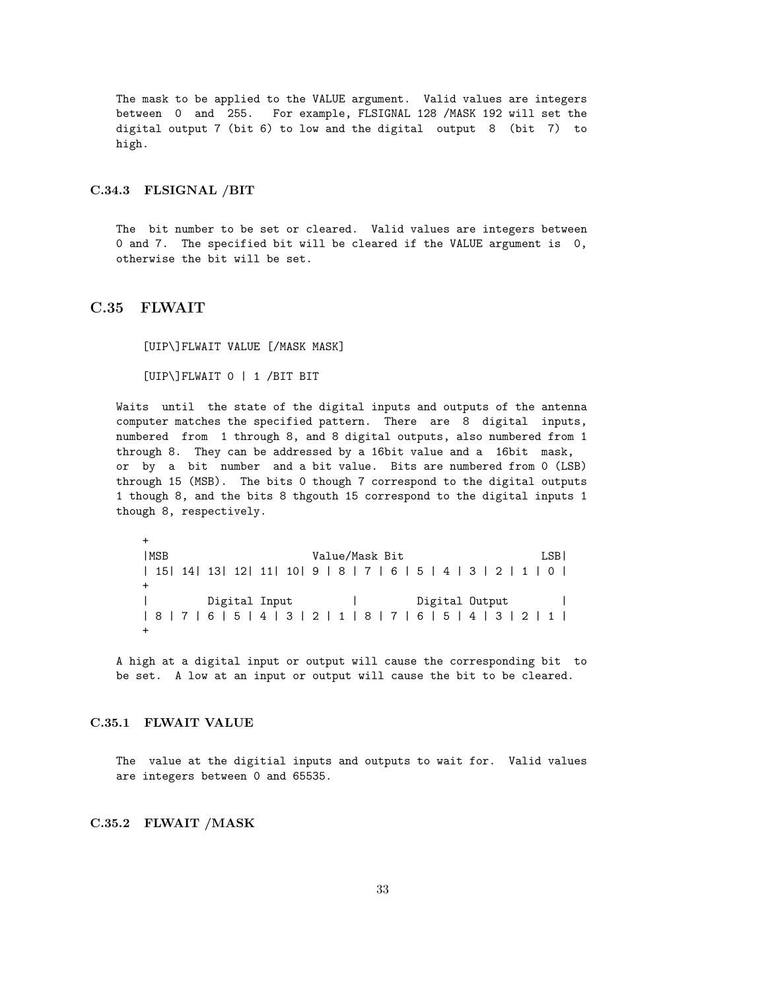The mask to be applied to the VALUE argument. Valid values are integers between 0 and 255. For example, FLSIGNAL 128 /MASK 192 will set the digital output 7 (bit 6) to low and the digital output 8 (bit 7) to high.

#### C.34.3 FLSIGNAL /BIT

The bit number to be set or cleared. Valid values are integers between 0 and 7. The specified bit will be cleared if the VALUE argument is 0, otherwise the bit will be set.

### C.35 FLWAIT

[UIP\]FLWAIT VALUE [/MASK MASK]

[UIP\]FLWAIT 0 | 1 /BIT BIT

Waits until the state of the digital inputs and outputs of the antenna computer matches the specified pattern. There are 8 digital inputs, numbered from 1 through 8, and 8 digital outputs, also numbered from 1 through 8. They can be addressed by a 16bit value and a 16bit mask, or by a bit number and a bit value. Bits are numbered from 0 (LSB) through 15 (MSB). The bits 0 though 7 correspond to the digital outputs 1 though 8, and the bits 8 thgouth 15 correspond to the digital inputs 1 though 8, respectively.

+ |MSB Value/Mask Bit LSB| | 15| 14| 13| 12| 11| 10| 9 | 8 | 7 | 6 | 5 | 4 | 3 | 2 | 1 | 0 | + | Digital Input | Digital Output | | 8 | 7 | 6 | 5 | 4 | 3 | 2 | 1 | 8 | 7 | 6 | 5 | 4 | 3 | 2 | 1 | +

A high at a digital input or output will cause the corresponding bit to be set. A low at an input or output will cause the bit to be cleared.

## C.35.1 FLWAIT VALUE

The value at the digitial inputs and outputs to wait for. Valid values are integers between 0 and 65535.

#### C.35.2 FLWAIT /MASK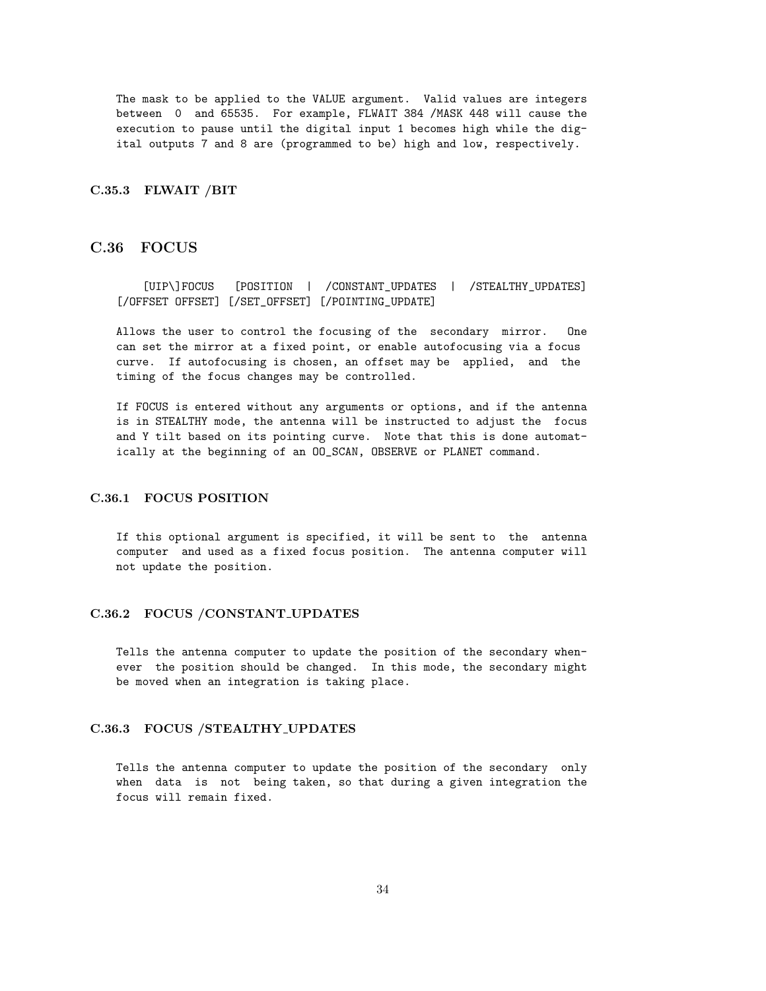The mask to be applied to the VALUE argument. Valid values are integers between 0 and 65535. For example, FLWAIT 384 /MASK 448 will cause the execution to pause until the digital input 1 becomes high while the digital outputs 7 and 8 are (programmed to be) high and low, respectively.

#### C.35.3 FLWAIT /BIT

## C.36 FOCUS

[UIP\]FOCUS [POSITION | /CONSTANT\_UPDATES | /STEALTHY\_UPDATES] [/OFFSET OFFSET] [/SET\_OFFSET] [/POINTING\_UPDATE]

Allows the user to control the focusing of the secondary mirror. One can set the mirror at a fixed point, or enable autofocusing via a focus curve. If autofocusing is chosen, an offset may be applied, and the timing of the focus changes may be controlled.

If FOCUS is entered without any arguments or options, and if the antenna is in STEALTHY mode, the antenna will be instructed to adjust the focus and Y tilt based on its pointing curve. Note that this is done automatically at the beginning of an OO\_SCAN, OBSERVE or PLANET command.

## C.36.1 FOCUS POSITION

If this optional argument is specified, it will be sent to the antenna computer and used as a fixed focus position. The antenna computer will not update the position.

## C.36.2 FOCUS /CONSTANT UPDATES

Tells the antenna computer to update the position of the secondary whenever the position should be changed. In this mode, the secondary might be moved when an integration is taking place.

#### C.36.3 FOCUS /STEALTHY UPDATES

Tells the antenna computer to update the position of the secondary only when data is not being taken, so that during a given integration the focus will remain fixed.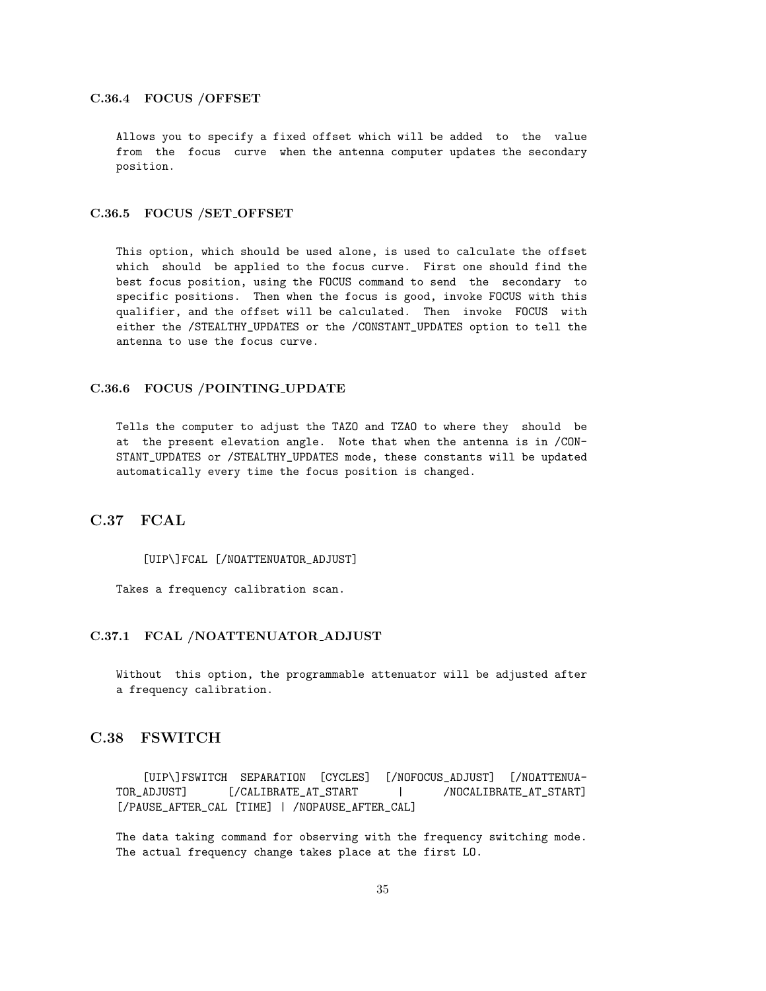#### C.36.4 FOCUS /OFFSET

Allows you to specify a fixed offset which will be added to the value from the focus curve when the antenna computer updates the secondary position.

## C.36.5 FOCUS /SET OFFSET

This option, which should be used alone, is used to calculate the offset which should be applied to the focus curve. First one should find the best focus position, using the FOCUS command to send the secondary to specific positions. Then when the focus is good, invoke FOCUS with this qualifier, and the offset will be calculated. Then invoke FOCUS with either the /STEALTHY\_UPDATES or the /CONSTANT\_UPDATES option to tell the antenna to use the focus curve.

### C.36.6 FOCUS /POINTING UPDATE

Tells the computer to adjust the TAZO and TZAO to where they should be at the present elevation angle. Note that when the antenna is in /CON-STANT\_UPDATES or /STEALTHY\_UPDATES mode, these constants will be updated automatically every time the focus position is changed.

## C.37 FCAL

#### [UIP\]FCAL [/NOATTENUATOR\_ADJUST]

Takes a frequency calibration scan.

#### C.37.1 FCAL /NOATTENUATOR ADJUST

Without this option, the programmable attenuator will be adjusted after a frequency calibration.

## C.38 FSWITCH

[UIP\]FSWITCH SEPARATION [CYCLES] [/NOFOCUS\_ADJUST] [/NOATTENUA-TOR\_ADJUST] [/CALIBRATE\_AT\_START | /NOCALIBRATE\_AT\_START] [/PAUSE\_AFTER\_CAL [TIME] | /NOPAUSE\_AFTER\_CAL]

The data taking command for observing with the frequency switching mode. The actual frequency change takes place at the first LO.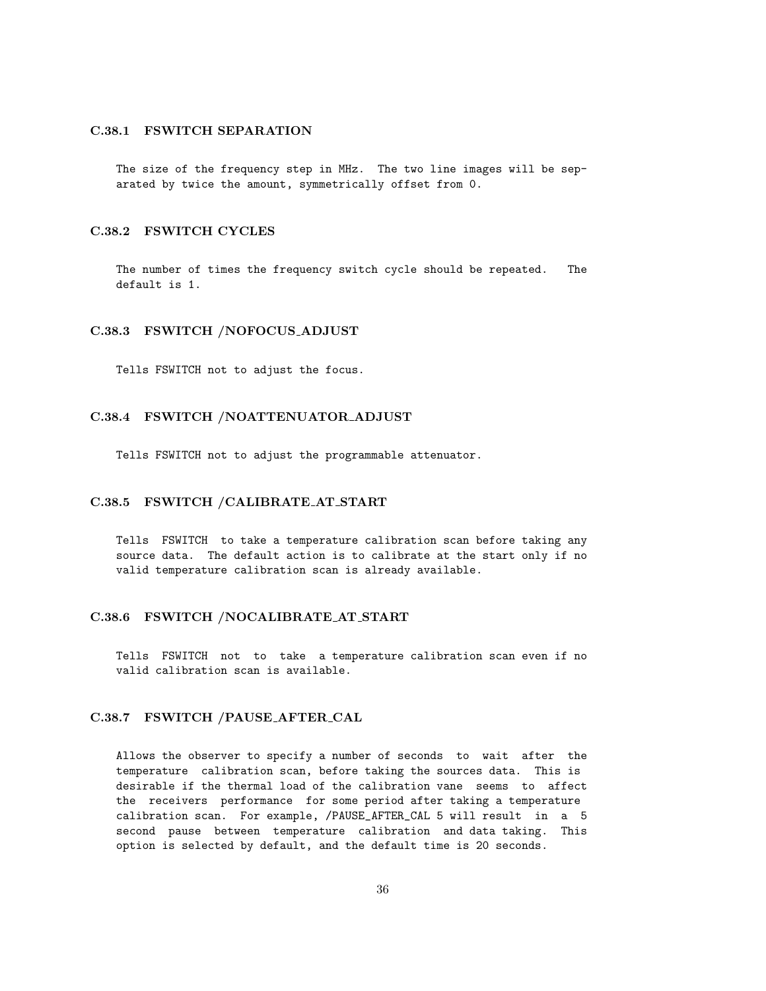## C.38.1 FSWITCH SEPARATION

The size of the frequency step in MHz. The two line images will be separated by twice the amount, symmetrically offset from 0.

#### C.38.2 FSWITCH CYCLES

The number of times the frequency switch cycle should be repeated. The default is 1.

#### C.38.3 FSWITCH /NOFOCUS ADJUST

Tells FSWITCH not to adjust the focus.

#### C.38.4 FSWITCH /NOATTENUATOR ADJUST

Tells FSWITCH not to adjust the programmable attenuator.

### C.38.5 FSWITCH /CALIBRATE AT START

Tells FSWITCH to take a temperature calibration scan before taking any source data. The default action is to calibrate at the start only if no valid temperature calibration scan is already available.

#### C.38.6 FSWITCH /NOCALIBRATE AT START

Tells FSWITCH not to take a temperature calibration scan even if no valid calibration scan is available.

## C.38.7 FSWITCH /PAUSE AFTER CAL

Allows the observer to specify a number of seconds to wait after the temperature calibration scan, before taking the sources data. This is desirable if the thermal load of the calibration vane seems to affect the receivers performance for some period after taking a temperature calibration scan. For example, /PAUSE\_AFTER\_CAL 5 will result in a 5 second pause between temperature calibration and data taking. This option is selected by default, and the default time is 20 seconds.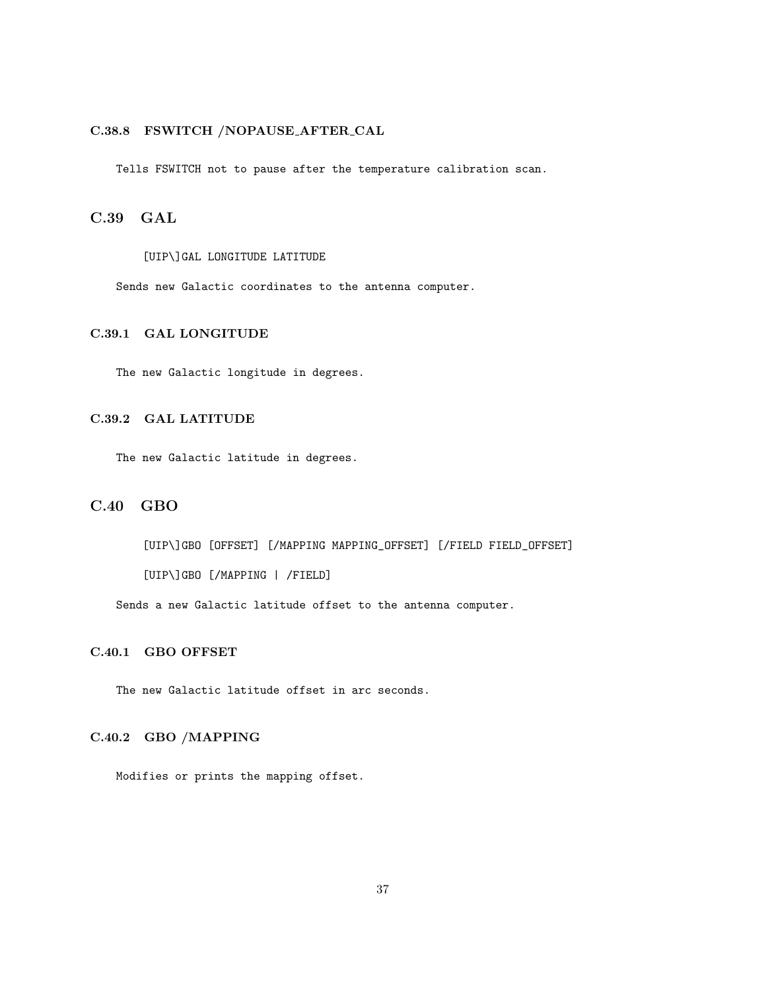# C.38.8 FSWITCH /NOPAUSE AFTER CAL

Tells FSWITCH not to pause after the temperature calibration scan.

C.39 GAL

[UIP\]GAL LONGITUDE LATITUDE

Sends new Galactic coordinates to the antenna computer.

# C.39.1 GAL LONGITUDE

The new Galactic longitude in degrees.

# C.39.2 GAL LATITUDE

The new Galactic latitude in degrees.

# C.40 GBO

[UIP\]GBO [OFFSET] [/MAPPING MAPPING\_OFFSET] [/FIELD FIELD\_OFFSET]

[UIP\]GBO [/MAPPING | /FIELD]

Sends a new Galactic latitude offset to the antenna computer.

# C.40.1 GBO OFFSET

The new Galactic latitude offset in arc seconds.

# C.40.2 GBO /MAPPING

Modifies or prints the mapping offset.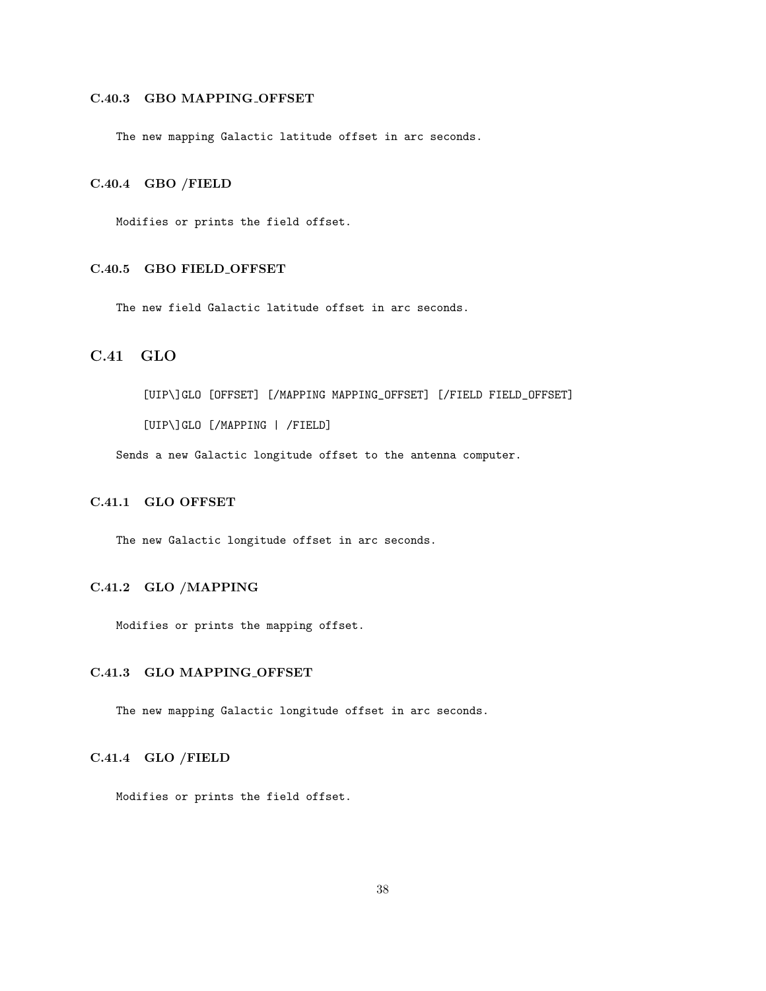# C.40.3 GBO MAPPING OFFSET

The new mapping Galactic latitude offset in arc seconds.

# C.40.4 GBO /FIELD

Modifies or prints the field offset.

# C.40.5 GBO FIELD OFFSET

The new field Galactic latitude offset in arc seconds.

# C.41 GLO

[UIP\]GLO [OFFSET] [/MAPPING MAPPING\_OFFSET] [/FIELD FIELD\_OFFSET] [UIP\]GLO [/MAPPING | /FIELD]

Sends a new Galactic longitude offset to the antenna computer.

# C.41.1 GLO OFFSET

The new Galactic longitude offset in arc seconds.

# C.41.2 GLO /MAPPING

Modifies or prints the mapping offset.

# C.41.3 GLO MAPPING OFFSET

The new mapping Galactic longitude offset in arc seconds.

# C.41.4 GLO /FIELD

Modifies or prints the field offset.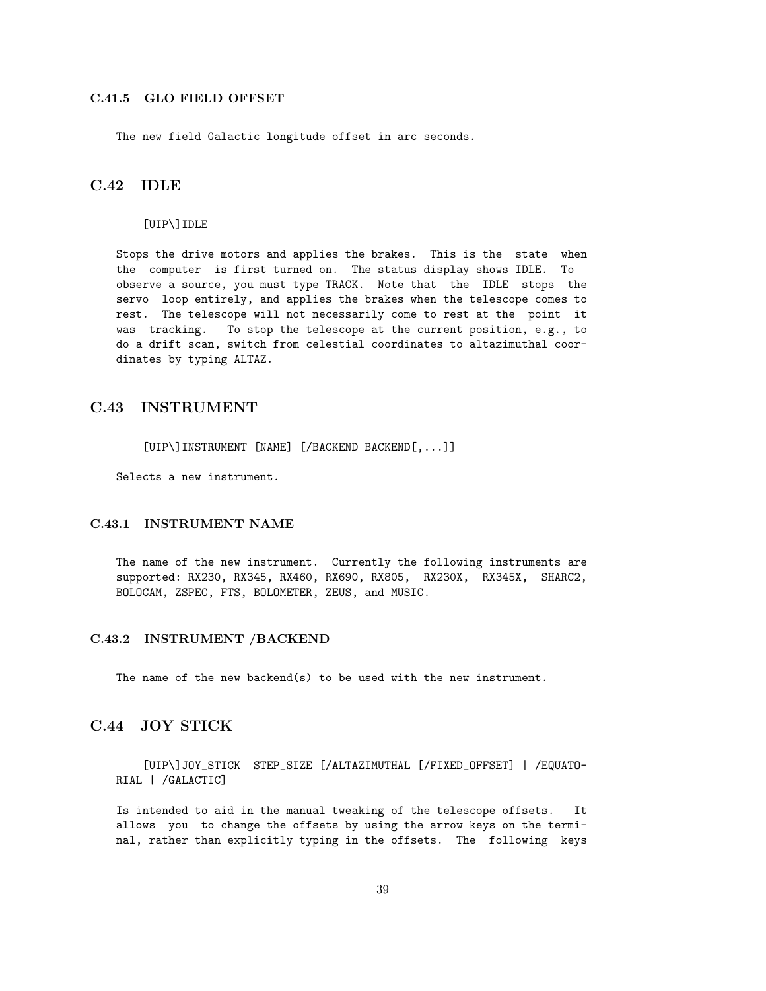### C.41.5 GLO FIELD OFFSET

The new field Galactic longitude offset in arc seconds.

# C.42 IDLE

#### [UIP\]IDLE

Stops the drive motors and applies the brakes. This is the state when the computer is first turned on. The status display shows IDLE. To observe a source, you must type TRACK. Note that the IDLE stops the servo loop entirely, and applies the brakes when the telescope comes to rest. The telescope will not necessarily come to rest at the point it was tracking. To stop the telescope at the current position, e.g., to do a drift scan, switch from celestial coordinates to altazimuthal coordinates by typing ALTAZ.

# C.43 INSTRUMENT

[UIP\]INSTRUMENT [NAME] [/BACKEND BACKEND[,...]]

Selects a new instrument.

# C.43.1 INSTRUMENT NAME

The name of the new instrument. Currently the following instruments are supported: RX230, RX345, RX460, RX690, RX805, RX230X, RX345X, SHARC2, BOLOCAM, ZSPEC, FTS, BOLOMETER, ZEUS, and MUSIC.

# C.43.2 INSTRUMENT /BACKEND

The name of the new backend(s) to be used with the new instrument.

# C.44 JOY STICK

[UIP\]JOY\_STICK STEP\_SIZE [/ALTAZIMUTHAL [/FIXED\_OFFSET] | /EQUATO-RIAL | /GALACTIC]

Is intended to aid in the manual tweaking of the telescope offsets. It allows you to change the offsets by using the arrow keys on the terminal, rather than explicitly typing in the offsets. The following keys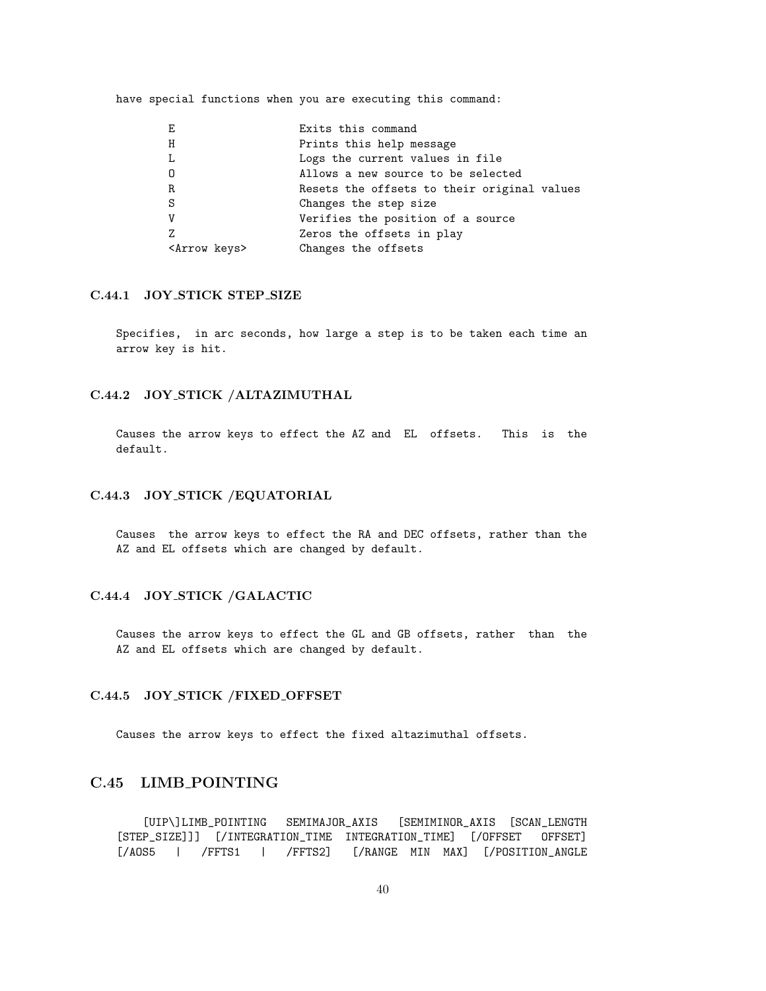have special functions when you are executing this command:

| Е                       | Exits this command                          |
|-------------------------|---------------------------------------------|
| H                       | Prints this help message                    |
| L                       | Logs the current values in file             |
| 0                       | Allows a new source to be selected          |
| $\mathbf R$             | Resets the offsets to their original values |
| S                       | Changes the step size                       |
| V                       | Verifies the position of a source           |
| Z                       | Zeros the offsets in play                   |
| <arrow keys=""></arrow> | Changes the offsets                         |

### C.44.1 JOY STICK STEP SIZE

Specifies, in arc seconds, how large a step is to be taken each time an arrow key is hit.

## C.44.2 JOY STICK /ALTAZIMUTHAL

Causes the arrow keys to effect the AZ and EL offsets. This is the default.

# C.44.3 JOY STICK /EQUATORIAL

Causes the arrow keys to effect the RA and DEC offsets, rather than the AZ and EL offsets which are changed by default.

# C.44.4 JOY STICK /GALACTIC

Causes the arrow keys to effect the GL and GB offsets, rather than the AZ and EL offsets which are changed by default.

# C.44.5 JOY STICK /FIXED OFFSET

Causes the arrow keys to effect the fixed altazimuthal offsets.

# C.45 LIMB POINTING

[UIP\]LIMB\_POINTING SEMIMAJOR\_AXIS [SEMIMINOR\_AXIS [SCAN\_LENGTH [STEP\_SIZE]]] [/INTEGRATION\_TIME INTEGRATION\_TIME] [/OFFSET OFFSET] [/AOS5 | /FFTS1 | /FFTS2] [/RANGE MIN MAX] [/POSITION\_ANGLE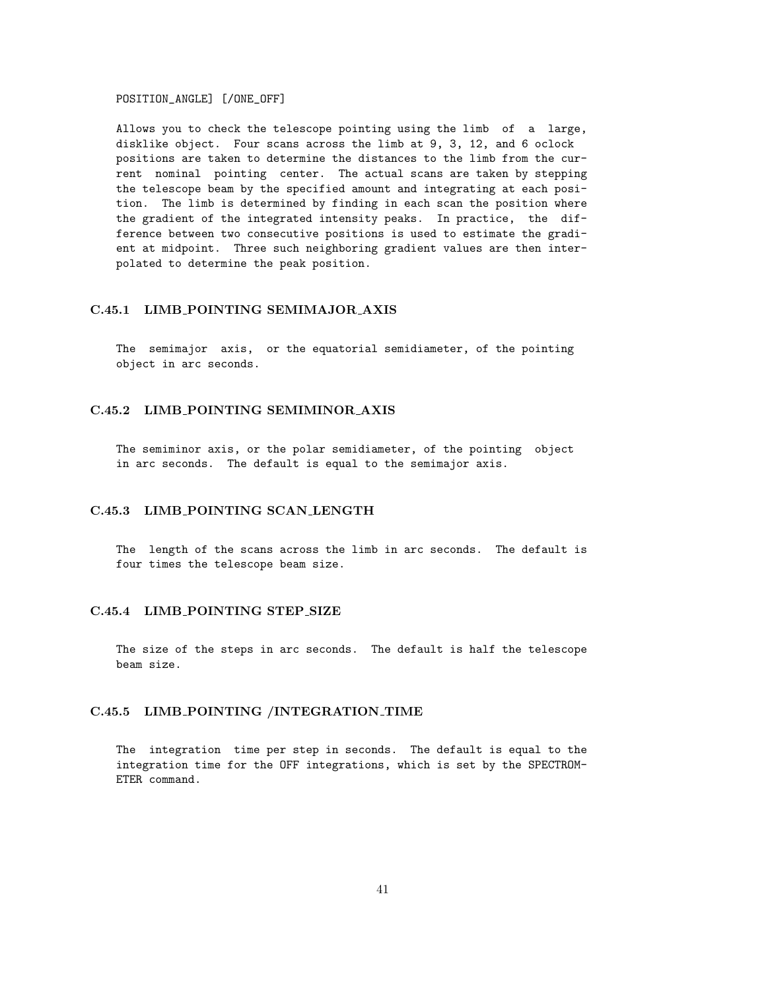POSITION\_ANGLE] [/ONE\_OFF]

Allows you to check the telescope pointing using the limb of a large, disklike object. Four scans across the limb at 9, 3, 12, and 6 oclock positions are taken to determine the distances to the limb from the current nominal pointing center. The actual scans are taken by stepping the telescope beam by the specified amount and integrating at each position. The limb is determined by finding in each scan the position where the gradient of the integrated intensity peaks. In practice, the difference between two consecutive positions is used to estimate the gradient at midpoint. Three such neighboring gradient values are then interpolated to determine the peak position.

### C.45.1 LIMB POINTING SEMIMAJOR AXIS

The semimajor axis, or the equatorial semidiameter, of the pointing object in arc seconds.

# C.45.2 LIMB POINTING SEMIMINOR AXIS

The semiminor axis, or the polar semidiameter, of the pointing object in arc seconds. The default is equal to the semimajor axis.

### C.45.3 LIMB POINTING SCAN LENGTH

The length of the scans across the limb in arc seconds. The default is four times the telescope beam size.

#### C.45.4 LIMB POINTING STEP SIZE

The size of the steps in arc seconds. The default is half the telescope beam size.

# C.45.5 LIMB POINTING /INTEGRATION TIME

The integration time per step in seconds. The default is equal to the integration time for the OFF integrations, which is set by the SPECTROM-ETER command.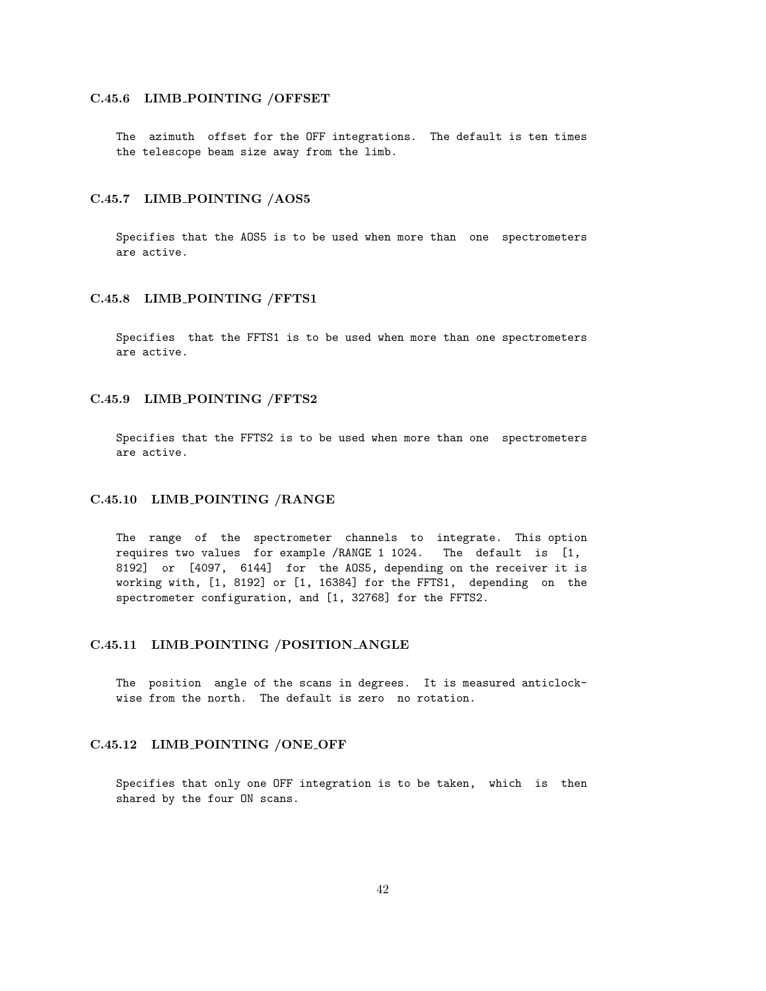### C.45.6 LIMB\_POINTING /OFFSET

The azimuth offset for the OFF integrations. The default is ten times the telescope beam size away from the limb.

### C.45.7 LIMB POINTING /AOS5

Specifies that the AOS5 is to be used when more than one spectrometers are active.

#### C.45.8 LIMB POINTING /FFTS1

Specifies that the FFTS1 is to be used when more than one spectrometers are active.

### C.45.9 LIMB POINTING /FFTS2

Specifies that the FFTS2 is to be used when more than one spectrometers are active.

#### C.45.10 LIMB POINTING /RANGE

The range of the spectrometer channels to integrate. This option requires two values for example /RANGE 1 1024. The default is [1, 8192] or [4097, 6144] for the AOS5, depending on the receiver it is working with, [1, 8192] or [1, 16384] for the FFTS1, depending on the spectrometer configuration, and [1, 32768] for the FFTS2.

#### C.45.11 LIMB POINTING /POSITION ANGLE

The position angle of the scans in degrees. It is measured anticlockwise from the north. The default is zero no rotation.

### C.45.12 LIMB\_POINTING /ONE\_OFF

Specifies that only one OFF integration is to be taken, which is then shared by the four ON scans.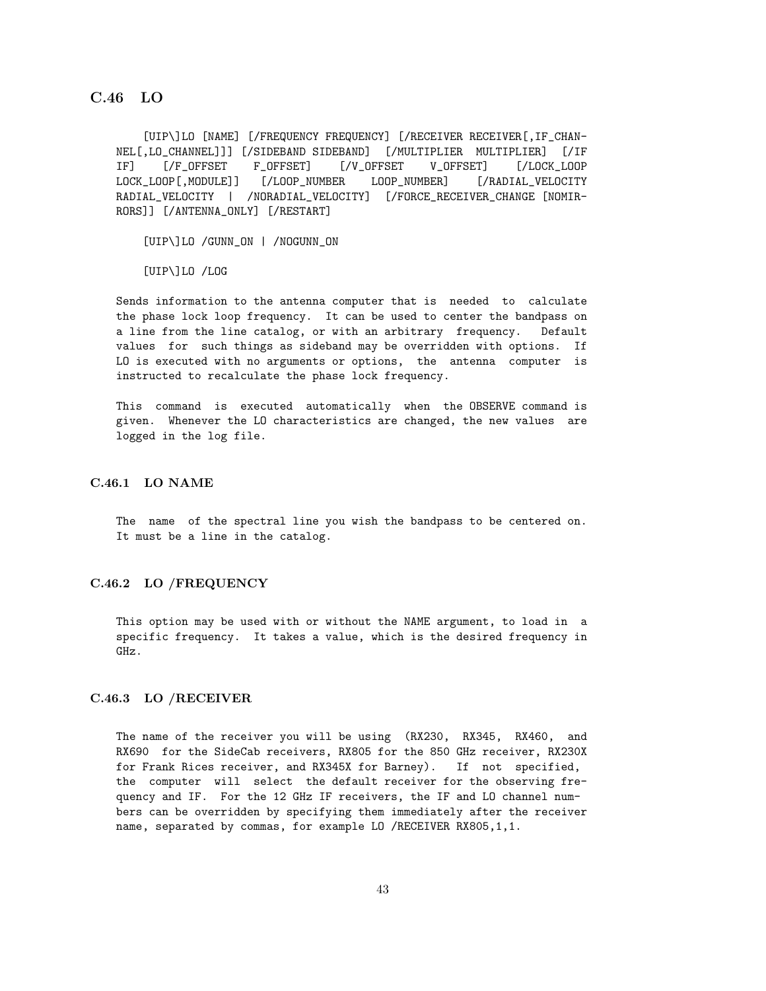# C.46 LO

[UIP\]LO [NAME] [/FREQUENCY FREQUENCY] [/RECEIVER RECEIVER[,IF\_CHAN-NEL[,LO\_CHANNEL]]] [/SIDEBAND SIDEBAND] [/MULTIPLIER MULTIPLIER] [/IF IF] [/F\_OFFSET F\_OFFSET] [/V\_OFFSET V\_OFFSET] [/LOCK\_LOOP LOCK\_LOOP[,MODULE]] [/LOOP\_NUMBER LOOP\_NUMBER] [/RADIAL\_VELOCITY RADIAL\_VELOCITY | /NORADIAL\_VELOCITY] [/FORCE\_RECEIVER\_CHANGE [NOMIR-RORS]] [/ANTENNA\_ONLY] [/RESTART]

[UIP\]LO /GUNN\_ON | /NOGUNN\_ON

[UIP\]LO /LOG

Sends information to the antenna computer that is needed to calculate the phase lock loop frequency. It can be used to center the bandpass on a line from the line catalog, or with an arbitrary frequency. Default values for such things as sideband may be overridden with options. If LO is executed with no arguments or options, the antenna computer is instructed to recalculate the phase lock frequency.

This command is executed automatically when the OBSERVE command is given. Whenever the LO characteristics are changed, the new values are logged in the log file.

# C.46.1 LO NAME

The name of the spectral line you wish the bandpass to be centered on. It must be a line in the catalog.

#### C.46.2 LO /FREQUENCY

This option may be used with or without the NAME argument, to load in a specific frequency. It takes a value, which is the desired frequency in GHz.

#### C.46.3 LO /RECEIVER

The name of the receiver you will be using (RX230, RX345, RX460, and RX690 for the SideCab receivers, RX805 for the 850 GHz receiver, RX230X for Frank Rices receiver, and RX345X for Barney). If not specified, the computer will select the default receiver for the observing frequency and IF. For the 12 GHz IF receivers, the IF and LO channel numbers can be overridden by specifying them immediately after the receiver name, separated by commas, for example LO /RECEIVER RX805,1,1.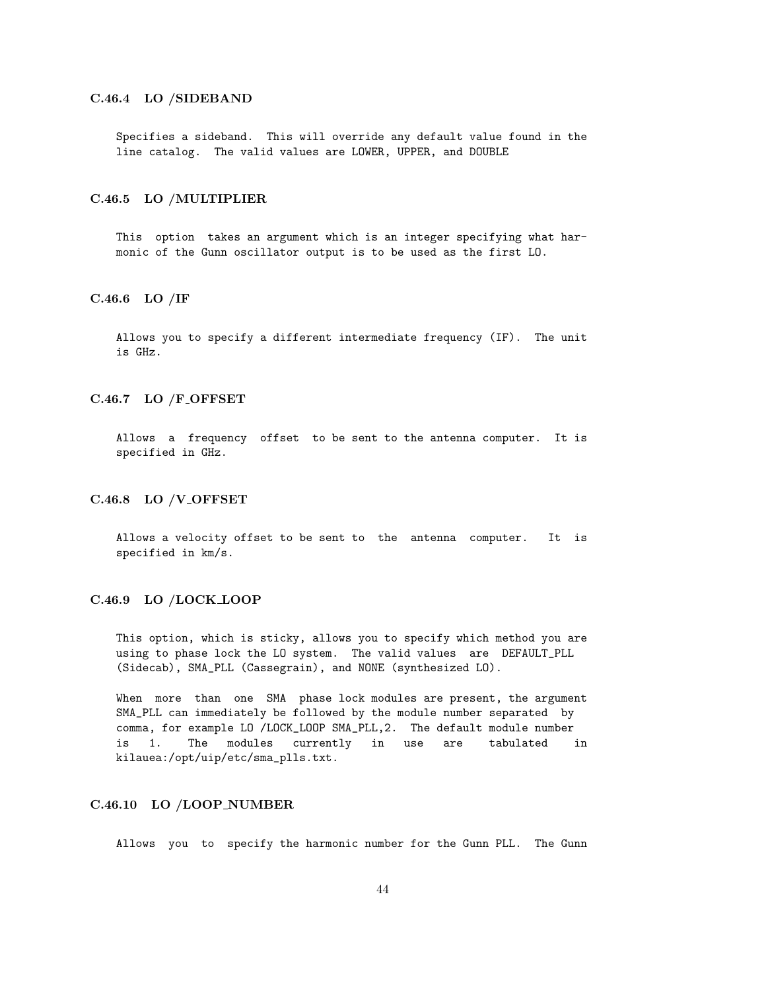### C.46.4 LO /SIDEBAND

Specifies a sideband. This will override any default value found in the line catalog. The valid values are LOWER, UPPER, and DOUBLE

#### C.46.5 LO /MULTIPLIER

This option takes an argument which is an integer specifying what harmonic of the Gunn oscillator output is to be used as the first LO.

# C.46.6 LO /IF

Allows you to specify a different intermediate frequency (IF). The unit is GHz.

### C.46.7 LO /F\_OFFSET

Allows a frequency offset to be sent to the antenna computer. It is specified in GHz.

#### C.46.8 LO /V\_OFFSET

Allows a velocity offset to be sent to the antenna computer. It is specified in km/s.

#### C.46.9 LO /LOCK LOOP

This option, which is sticky, allows you to specify which method you are using to phase lock the LO system. The valid values are DEFAULT\_PLL (Sidecab), SMA\_PLL (Cassegrain), and NONE (synthesized LO).

When more than one SMA phase lock modules are present, the argument SMA\_PLL can immediately be followed by the module number separated by comma, for example LO /LOCK\_LOOP SMA\_PLL,2. The default module number is 1. The modules currently in use are tabulated in kilauea:/opt/uip/etc/sma\_plls.txt.

# C.46.10 LO /LOOP NUMBER

Allows you to specify the harmonic number for the Gunn PLL. The Gunn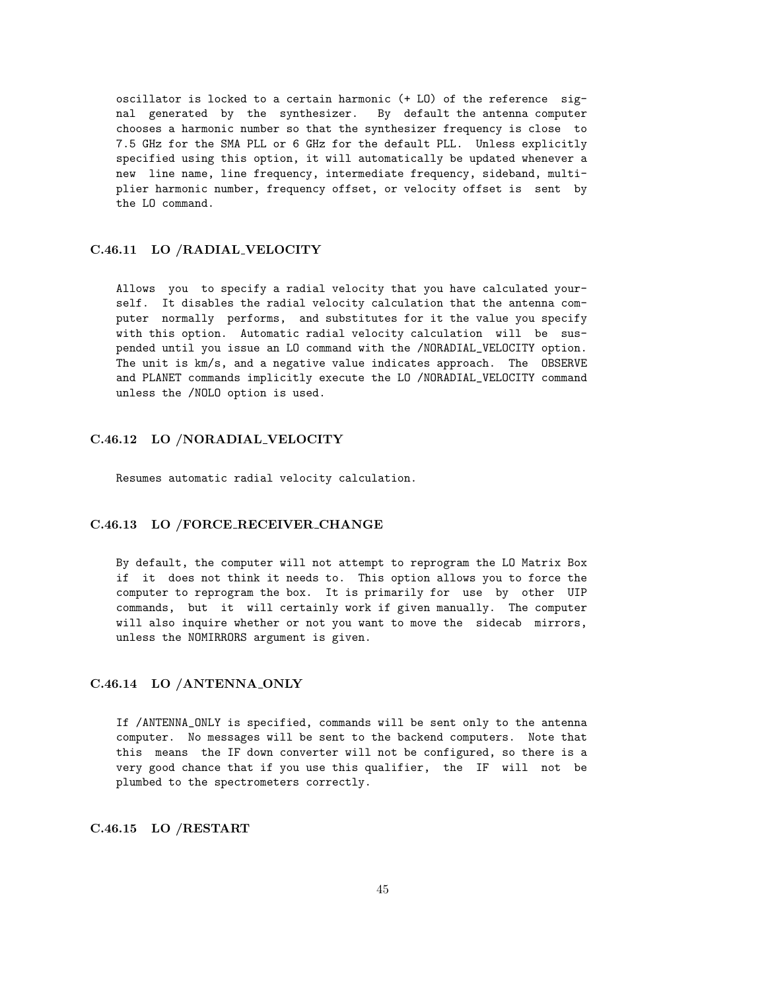oscillator is locked to a certain harmonic (+ LO) of the reference signal generated by the synthesizer. By default the antenna computer chooses a harmonic number so that the synthesizer frequency is close to 7.5 GHz for the SMA PLL or 6 GHz for the default PLL. Unless explicitly specified using this option, it will automatically be updated whenever a new line name, line frequency, intermediate frequency, sideband, multiplier harmonic number, frequency offset, or velocity offset is sent by the LO command.

#### C.46.11 LO /RADIAL VELOCITY

Allows you to specify a radial velocity that you have calculated yourself. It disables the radial velocity calculation that the antenna computer normally performs, and substitutes for it the value you specify with this option. Automatic radial velocity calculation will be suspended until you issue an LO command with the /NORADIAL\_VELOCITY option. The unit is km/s, and a negative value indicates approach. The OBSERVE and PLANET commands implicitly execute the LO /NORADIAL\_VELOCITY command unless the /NOLO option is used.

### C.46.12 LO /NORADIAL VELOCITY

Resumes automatic radial velocity calculation.

# C.46.13 LO /FORCE RECEIVER CHANGE

By default, the computer will not attempt to reprogram the LO Matrix Box if it does not think it needs to. This option allows you to force the computer to reprogram the box. It is primarily for use by other UIP commands, but it will certainly work if given manually. The computer will also inquire whether or not you want to move the sidecab mirrors, unless the NOMIRRORS argument is given.

#### C.46.14 LO /ANTENNA ONLY

If /ANTENNA\_ONLY is specified, commands will be sent only to the antenna computer. No messages will be sent to the backend computers. Note that this means the IF down converter will not be configured, so there is a very good chance that if you use this qualifier, the IF will not be plumbed to the spectrometers correctly.

#### C.46.15 LO /RESTART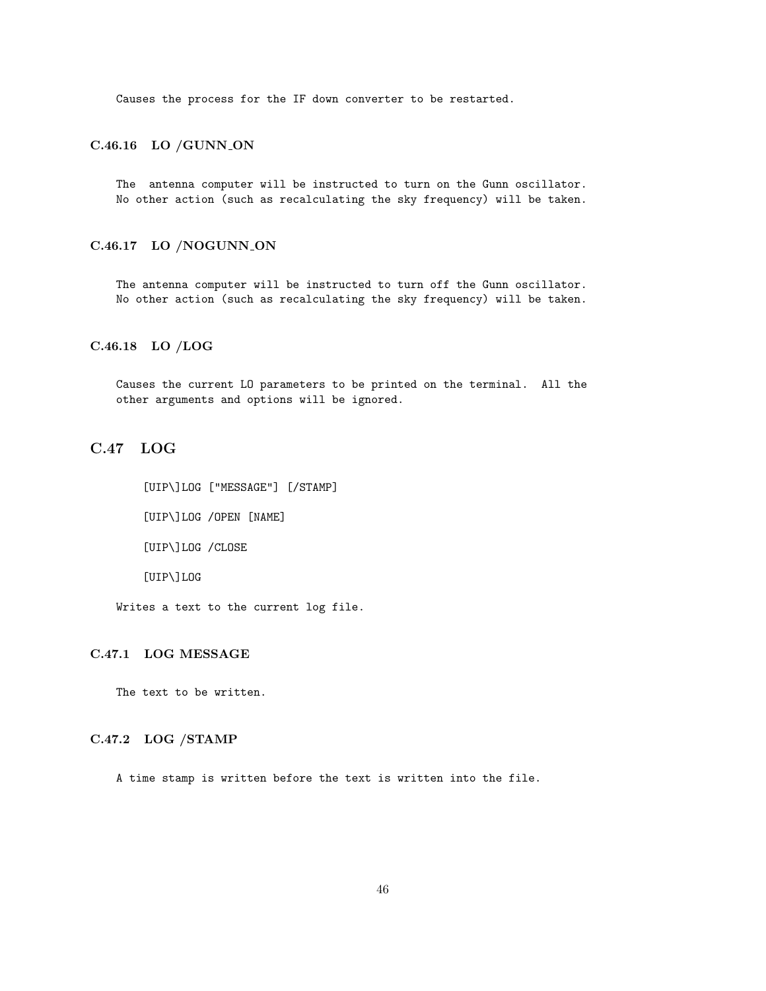Causes the process for the IF down converter to be restarted.

### C.46.16 LO /GUNN\_ON

The antenna computer will be instructed to turn on the Gunn oscillator. No other action (such as recalculating the sky frequency) will be taken.

# C.46.17 LO /NOGUNN ON

The antenna computer will be instructed to turn off the Gunn oscillator. No other action (such as recalculating the sky frequency) will be taken.

## C.46.18 LO /LOG

Causes the current LO parameters to be printed on the terminal. All the other arguments and options will be ignored.

# C.47 LOG

[UIP\]LOG ["MESSAGE"] [/STAMP] [UIP\]LOG /OPEN [NAME] [UIP\]LOG /CLOSE [UIP\]LOG

Writes a text to the current log file.

# C.47.1 LOG MESSAGE

The text to be written.

### C.47.2 LOG /STAMP

A time stamp is written before the text is written into the file.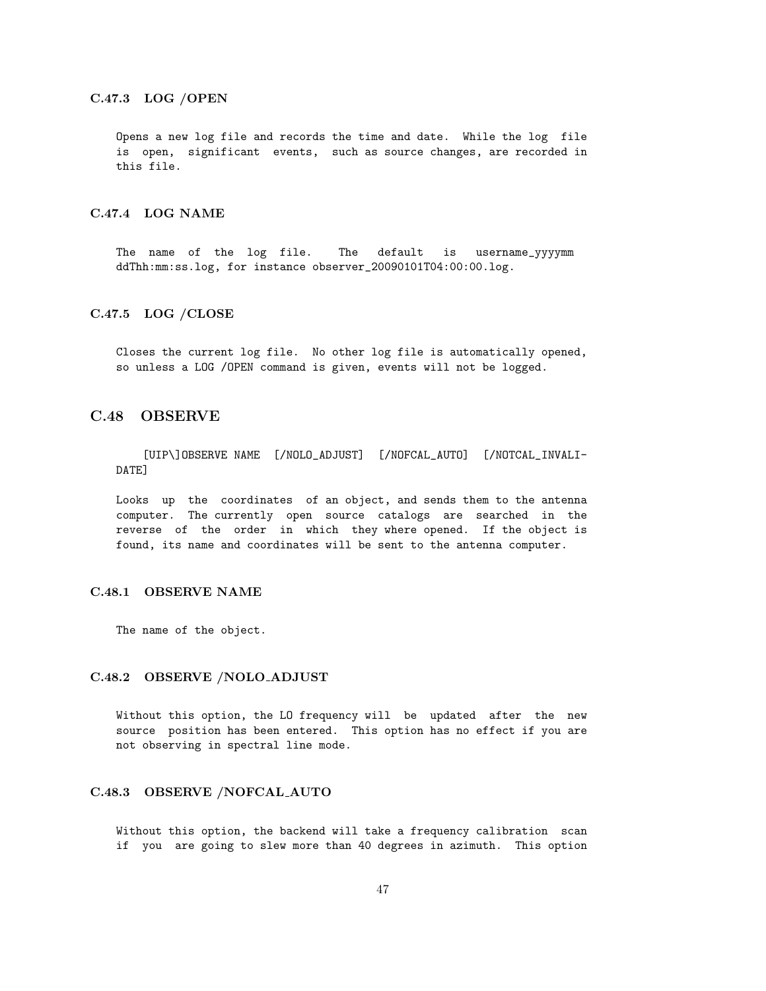#### C.47.3 LOG /OPEN

Opens a new log file and records the time and date. While the log file is open, significant events, such as source changes, are recorded in this file.

# C.47.4 LOG NAME

The name of the log file. The default is username\_yyyymm ddThh:mm:ss.log, for instance observer\_20090101T04:00:00.log.

#### C.47.5 LOG /CLOSE

Closes the current log file. No other log file is automatically opened, so unless a LOG /OPEN command is given, events will not be logged.

# C.48 OBSERVE

[UIP\]OBSERVE NAME [/NOLO\_ADJUST] [/NOFCAL\_AUTO] [/NOTCAL\_INVALI-DATE]

Looks up the coordinates of an object, and sends them to the antenna computer. The currently open source catalogs are searched in the reverse of the order in which they where opened. If the object is found, its name and coordinates will be sent to the antenna computer.

#### C.48.1 OBSERVE NAME

The name of the object.

#### C.48.2 OBSERVE /NOLO ADJUST

Without this option, the LO frequency will be updated after the new source position has been entered. This option has no effect if you are not observing in spectral line mode.

# C.48.3 OBSERVE /NOFCAL AUTO

Without this option, the backend will take a frequency calibration scan if you are going to slew more than 40 degrees in azimuth. This option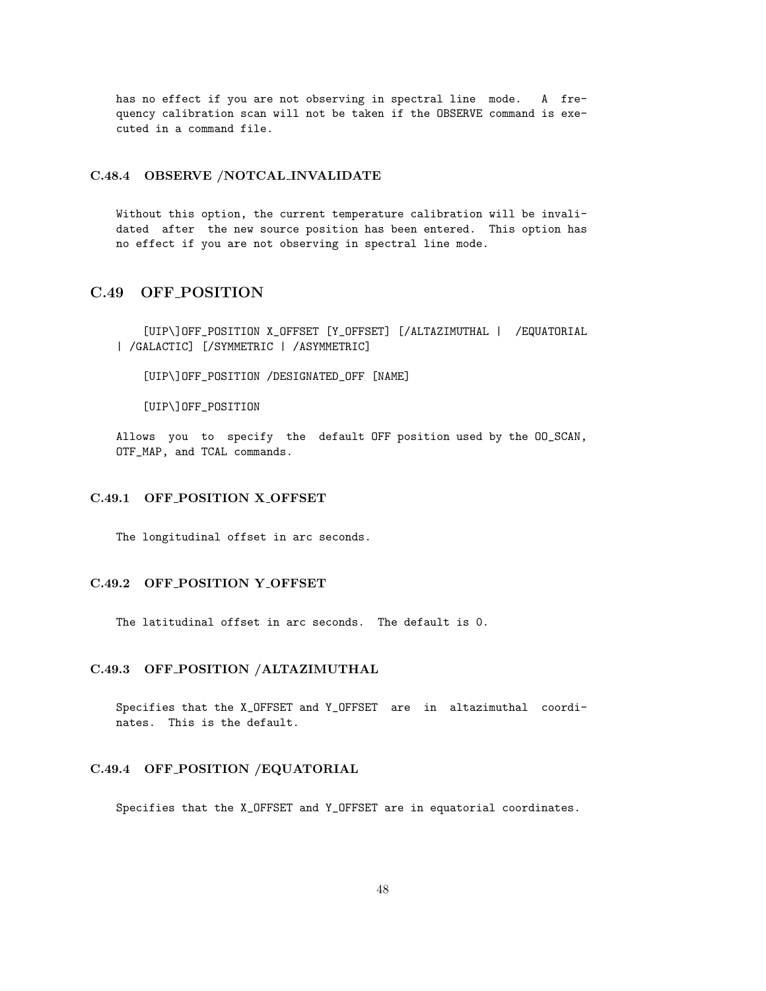has no effect if you are not observing in spectral line mode. A frequency calibration scan will not be taken if the OBSERVE command is executed in a command file.

# C.48.4 OBSERVE /NOTCAL INVALIDATE

Without this option, the current temperature calibration will be invalidated after the new source position has been entered. This option has no effect if you are not observing in spectral line mode.

# C.49 OFF POSITION

[UIP\]OFF\_POSITION X\_OFFSET [Y\_OFFSET] [/ALTAZIMUTHAL | /EQUATORIAL | /GALACTIC] [/SYMMETRIC | /ASYMMETRIC]

[UIP\]OFF\_POSITION /DESIGNATED\_OFF [NAME]

[UIP\]OFF\_POSITION

Allows you to specify the default OFF position used by the OO\_SCAN, OTF\_MAP, and TCAL commands.

# C.49.1 OFF POSITION X OFFSET

The longitudinal offset in arc seconds.

#### C.49.2 OFF POSITION Y OFFSET

The latitudinal offset in arc seconds. The default is 0.

# C.49.3 OFF POSITION /ALTAZIMUTHAL

Specifies that the X\_OFFSET and Y\_OFFSET are in altazimuthal coordinates. This is the default.

#### C.49.4 OFF POSITION /EQUATORIAL

Specifies that the X\_OFFSET and Y\_OFFSET are in equatorial coordinates.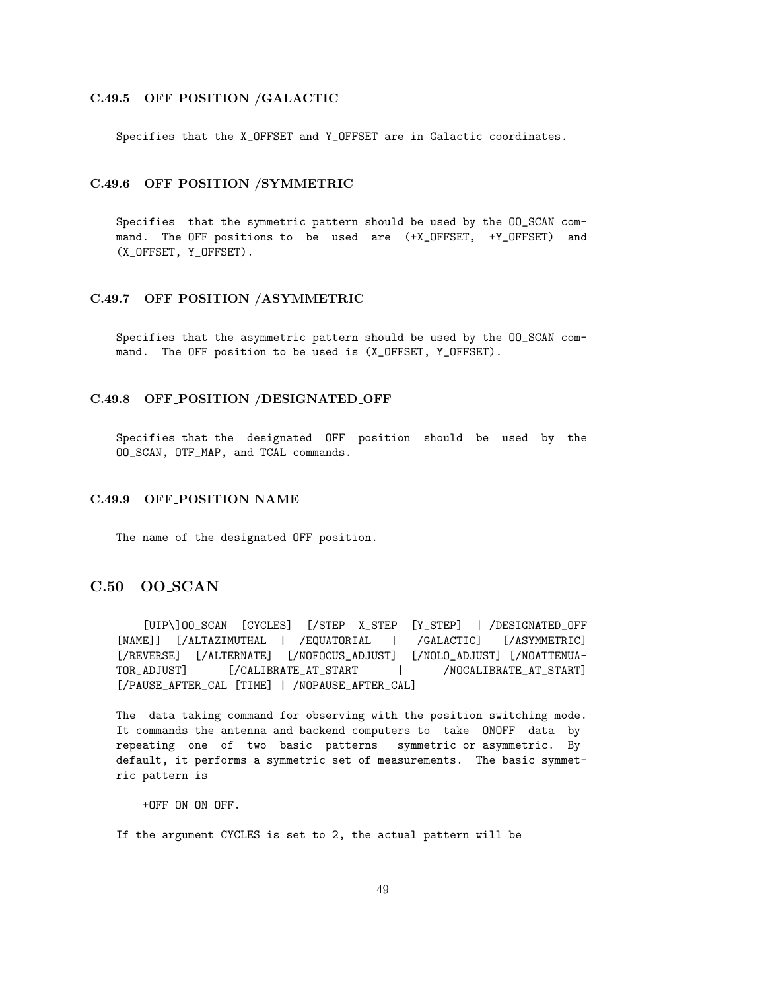#### C.49.5 OFF POSITION /GALACTIC

Specifies that the X\_OFFSET and Y\_OFFSET are in Galactic coordinates.

### C.49.6 OFF POSITION /SYMMETRIC

Specifies that the symmetric pattern should be used by the OO\_SCAN command. The OFF positions to be used are (+X\_OFFSET, +Y\_OFFSET) and (X\_OFFSET, Y\_OFFSET).

#### C.49.7 OFF POSITION /ASYMMETRIC

Specifies that the asymmetric pattern should be used by the OO\_SCAN command. The OFF position to be used is (X\_OFFSET, Y\_OFFSET).

# C.49.8 OFF POSITION /DESIGNATED OFF

Specifies that the designated OFF position should be used by the OO\_SCAN, OTF\_MAP, and TCAL commands.

### C.49.9 OFF POSITION NAME

The name of the designated OFF position.

# C.50 OO SCAN

[UIP\]OO\_SCAN [CYCLES] [/STEP X\_STEP [Y\_STEP] | /DESIGNATED\_OFF [NAME]] [/ALTAZIMUTHAL | /EQUATORIAL | /GALACTIC] [/ASYMMETRIC] [/REVERSE] [/ALTERNATE] [/NOFOCUS\_ADJUST] [/NOLO\_ADJUST] [/NOATTENUA-TOR\_ADJUST] [/CALIBRATE\_AT\_START | /NOCALIBRATE\_AT\_START] [/PAUSE\_AFTER\_CAL [TIME] | /NOPAUSE\_AFTER\_CAL]

The data taking command for observing with the position switching mode. It commands the antenna and backend computers to take ONOFF data by repeating one of two basic patterns symmetric or asymmetric. By default, it performs a symmetric set of measurements. The basic symmetric pattern is

+OFF ON ON OFF.

If the argument CYCLES is set to 2, the actual pattern will be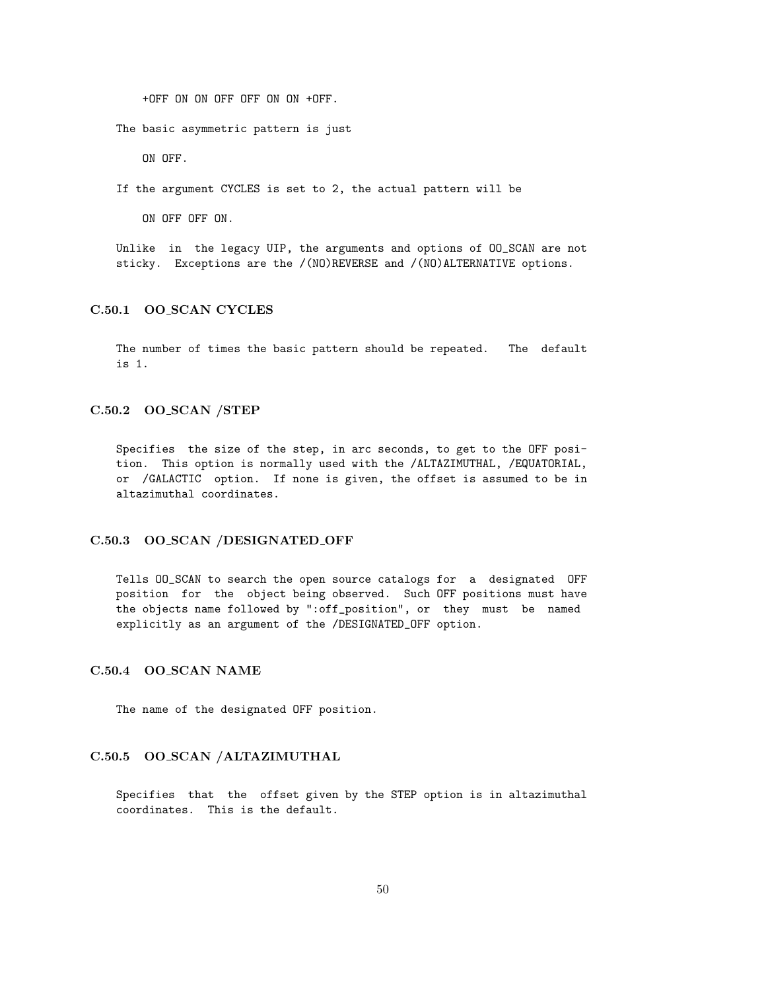+OFF ON ON OFF OFF ON ON +OFF.

The basic asymmetric pattern is just

ON OFF.

If the argument CYCLES is set to 2, the actual pattern will be

ON OFF OFF ON.

Unlike in the legacy UIP, the arguments and options of OO\_SCAN are not sticky. Exceptions are the /(NO)REVERSE and /(NO)ALTERNATIVE options.

# C.50.1 OO SCAN CYCLES

The number of times the basic pattern should be repeated. The default is 1.

#### C.50.2 OO SCAN /STEP

Specifies the size of the step, in arc seconds, to get to the OFF position. This option is normally used with the /ALTAZIMUTHAL, /EQUATORIAL, or /GALACTIC option. If none is given, the offset is assumed to be in altazimuthal coordinates.

#### C.50.3 OO SCAN /DESIGNATED OFF

Tells OO\_SCAN to search the open source catalogs for a designated OFF position for the object being observed. Such OFF positions must have the objects name followed by ":off\_position", or they must be named explicitly as an argument of the /DESIGNATED\_OFF option.

#### C.50.4 OO SCAN NAME

The name of the designated OFF position.

## C.50.5 OO SCAN /ALTAZIMUTHAL

Specifies that the offset given by the STEP option is in altazimuthal coordinates. This is the default.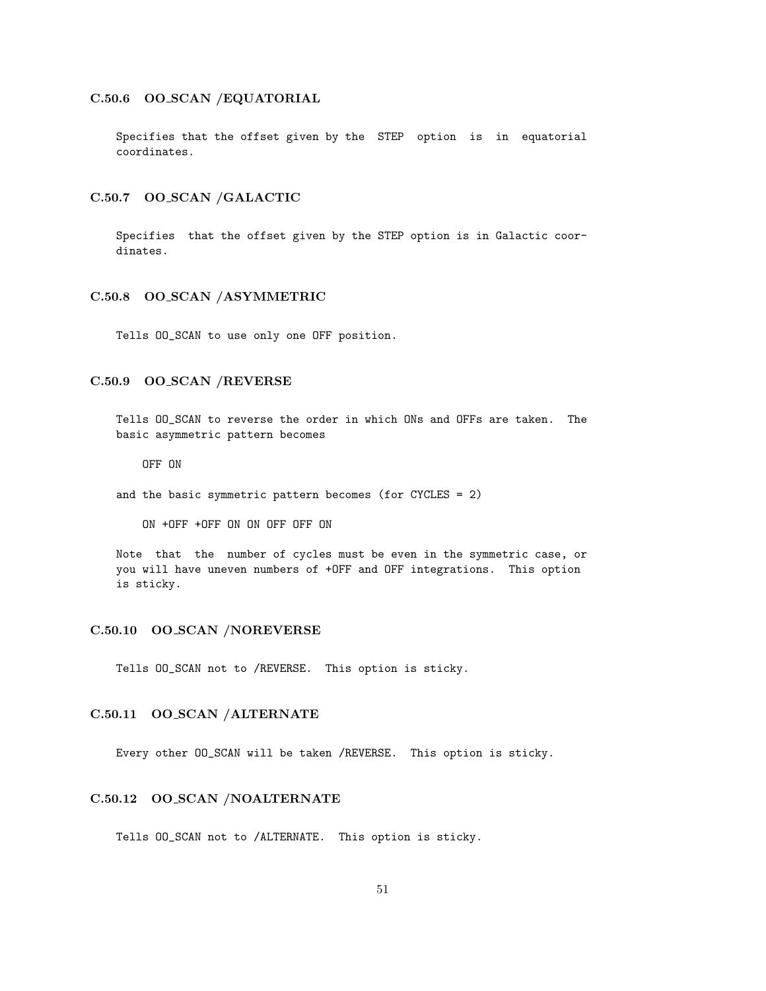## C.50.6 OO SCAN /EQUATORIAL

Specifies that the offset given by the STEP option is in equatorial coordinates.

#### C.50.7 OO SCAN /GALACTIC

Specifies that the offset given by the STEP option is in Galactic coordinates.

#### C.50.8 OO SCAN /ASYMMETRIC

Tells OO\_SCAN to use only one OFF position.

## C.50.9 OO SCAN /REVERSE

Tells OO\_SCAN to reverse the order in which ONs and OFFs are taken. The basic asymmetric pattern becomes

OFF ON

and the basic symmetric pattern becomes (for CYCLES = 2)

ON +OFF +OFF ON ON OFF OFF ON

Note that the number of cycles must be even in the symmetric case, or you will have uneven numbers of +OFF and OFF integrations. This option is sticky.

#### C.50.10 OO SCAN /NOREVERSE

Tells OO\_SCAN not to /REVERSE. This option is sticky.

# C.50.11 OO SCAN /ALTERNATE

Every other OO\_SCAN will be taken /REVERSE. This option is sticky.

# C.50.12 OO SCAN /NOALTERNATE

Tells OO\_SCAN not to /ALTERNATE. This option is sticky.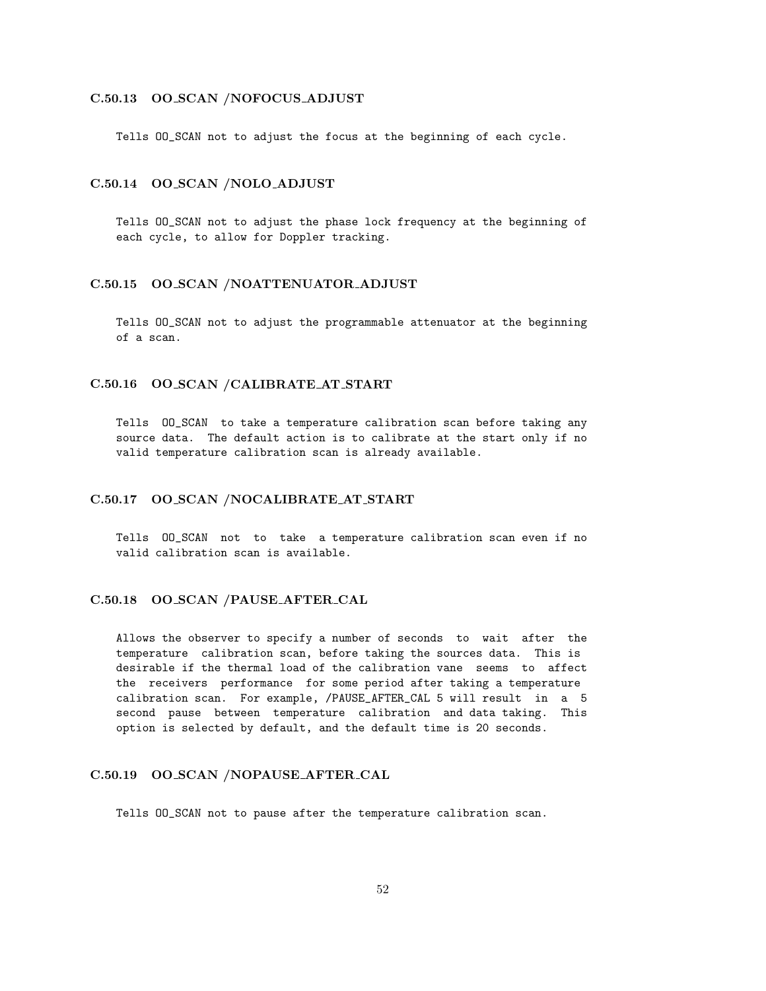### C.50.13 OO SCAN /NOFOCUS ADJUST

Tells OO\_SCAN not to adjust the focus at the beginning of each cycle.

# C.50.14 OO SCAN /NOLO ADJUST

Tells OO\_SCAN not to adjust the phase lock frequency at the beginning of each cycle, to allow for Doppler tracking.

#### C.50.15 OO SCAN /NOATTENUATOR ADJUST

Tells OO\_SCAN not to adjust the programmable attenuator at the beginning of a scan.

### C.50.16 OO SCAN /CALIBRATE AT START

Tells OO\_SCAN to take a temperature calibration scan before taking any source data. The default action is to calibrate at the start only if no valid temperature calibration scan is already available.

#### C.50.17 OO SCAN /NOCALIBRATE AT START

Tells OO\_SCAN not to take a temperature calibration scan even if no valid calibration scan is available.

### C.50.18 OO SCAN /PAUSE AFTER CAL

Allows the observer to specify a number of seconds to wait after the temperature calibration scan, before taking the sources data. This is desirable if the thermal load of the calibration vane seems to affect the receivers performance for some period after taking a temperature calibration scan. For example, /PAUSE\_AFTER\_CAL 5 will result in a 5 second pause between temperature calibration and data taking. This option is selected by default, and the default time is 20 seconds.

#### C.50.19 OO SCAN /NOPAUSE AFTER CAL

Tells OO\_SCAN not to pause after the temperature calibration scan.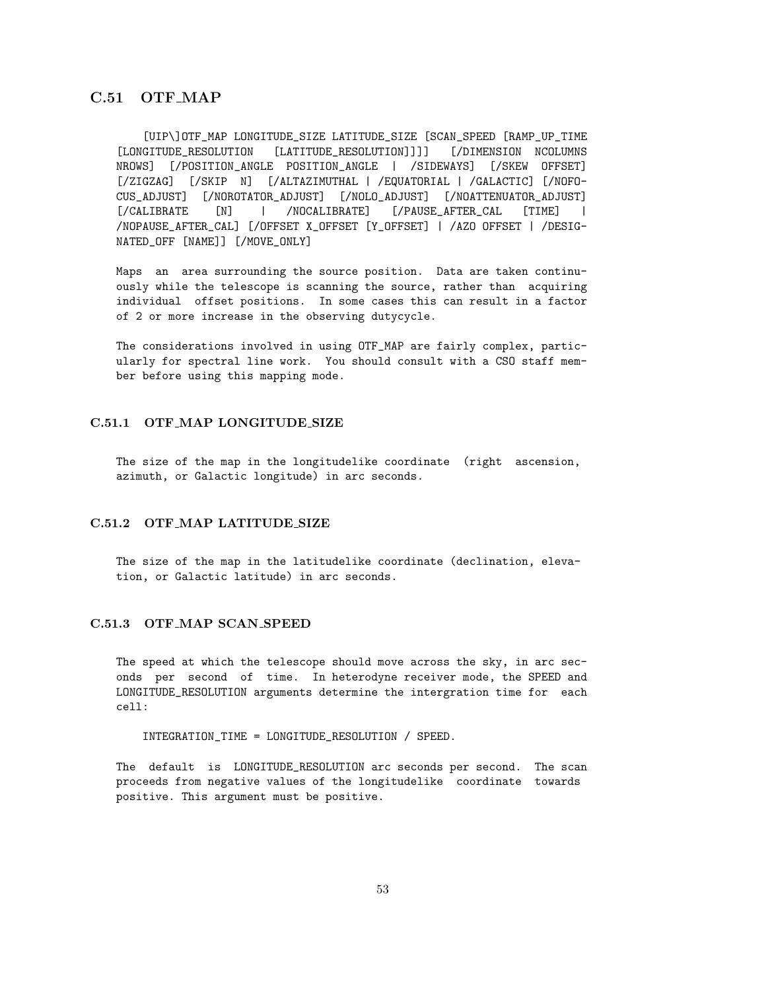# C.51 OTF MAP

[UIP\]OTF\_MAP LONGITUDE\_SIZE LATITUDE\_SIZE [SCAN\_SPEED [RAMP\_UP\_TIME [LONGITUDE\_RESOLUTION [LATITUDE\_RESOLUTION]]]] [/DIMENSION NCOLUMNS NROWS] [/POSITION\_ANGLE POSITION\_ANGLE | /SIDEWAYS] [/SKEW OFFSET] [/ZIGZAG] [/SKIP N] [/ALTAZIMUTHAL | /EQUATORIAL | /GALACTIC] [/NOFO-CUS\_ADJUST] [/NOROTATOR\_ADJUST] [/NOLO\_ADJUST] [/NOATTENUATOR\_ADJUST] [/CALIBRATE [N] | /NOCALIBRATE] [/PAUSE\_AFTER\_CAL [TIME] | /NOPAUSE\_AFTER\_CAL] [/OFFSET X\_OFFSET [Y\_OFFSET] | /AZO OFFSET | /DESIG-NATED\_OFF [NAME]] [/MOVE\_ONLY]

Maps an area surrounding the source position. Data are taken continuously while the telescope is scanning the source, rather than acquiring individual offset positions. In some cases this can result in a factor of 2 or more increase in the observing dutycycle.

The considerations involved in using OTF\_MAP are fairly complex, particularly for spectral line work. You should consult with a CSO staff member before using this mapping mode.

#### C.51.1 OTF MAP LONGITUDE SIZE

The size of the map in the longitudelike coordinate (right ascension, azimuth, or Galactic longitude) in arc seconds.

## C.51.2 OTF MAP LATITUDE SIZE

The size of the map in the latitudelike coordinate (declination, elevation, or Galactic latitude) in arc seconds.

#### C.51.3 OTF MAP SCAN SPEED

The speed at which the telescope should move across the sky, in arc seconds per second of time. In heterodyne receiver mode, the SPEED and LONGITUDE\_RESOLUTION arguments determine the intergration time for each cell:

#### INTEGRATION\_TIME = LONGITUDE\_RESOLUTION / SPEED.

The default is LONGITUDE\_RESOLUTION arc seconds per second. The scan proceeds from negative values of the longitudelike coordinate towards positive. This argument must be positive.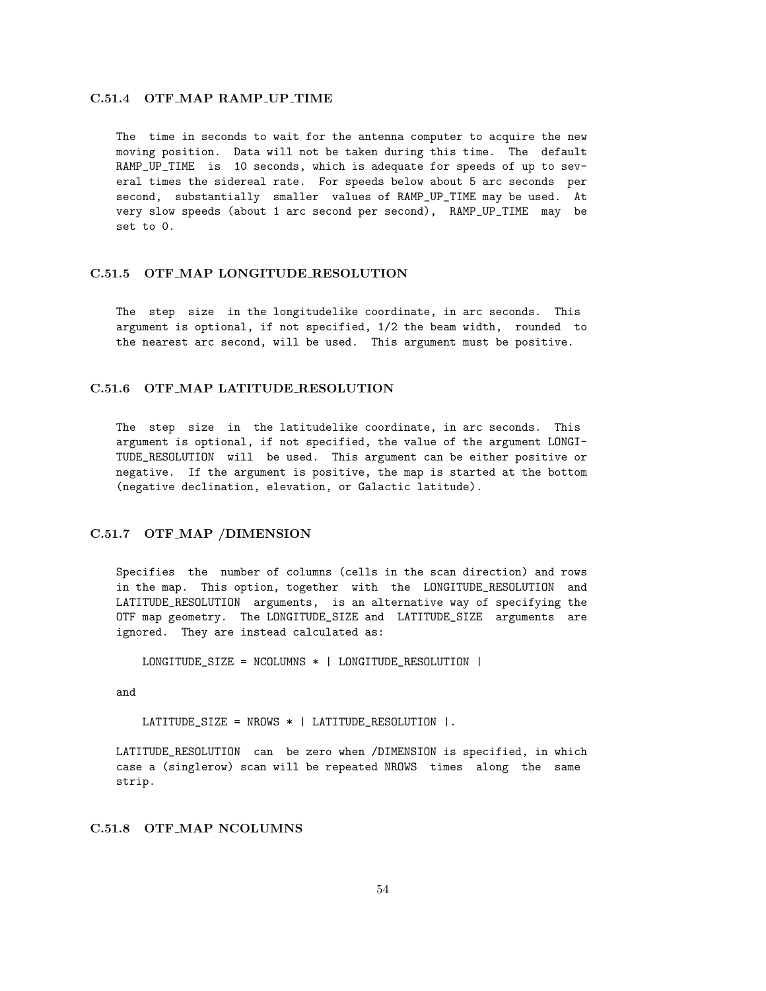### C.51.4 OTF\_MAP RAMP\_UP\_TIME

The time in seconds to wait for the antenna computer to acquire the new moving position. Data will not be taken during this time. The default RAMP\_UP\_TIME is 10 seconds, which is adequate for speeds of up to several times the sidereal rate. For speeds below about 5 arc seconds per second, substantially smaller values of RAMP\_UP\_TIME may be used. At very slow speeds (about 1 arc second per second), RAMP\_UP\_TIME may be set to 0.

#### C.51.5 OTF MAP LONGITUDE RESOLUTION

The step size in the longitudelike coordinate, in arc seconds. This argument is optional, if not specified, 1/2 the beam width, rounded to the nearest arc second, will be used. This argument must be positive.

# C.51.6 OTF MAP LATITUDE RESOLUTION

The step size in the latitudelike coordinate, in arc seconds. This argument is optional, if not specified, the value of the argument LONGI-TUDE\_RESOLUTION will be used. This argument can be either positive or negative. If the argument is positive, the map is started at the bottom (negative declination, elevation, or Galactic latitude).

# C.51.7 OTF MAP /DIMENSION

Specifies the number of columns (cells in the scan direction) and rows in the map. This option, together with the LONGITUDE\_RESOLUTION and LATITUDE\_RESOLUTION arguments, is an alternative way of specifying the OTF map geometry. The LONGITUDE\_SIZE and LATITUDE\_SIZE arguments are ignored. They are instead calculated as:

LONGITUDE\_SIZE = NCOLUMNS \* | LONGITUDE\_RESOLUTION |

and

LATITUDE\_SIZE = NROWS \* | LATITUDE\_RESOLUTION |.

LATITUDE\_RESOLUTION can be zero when /DIMENSION is specified, in which case a (singlerow) scan will be repeated NROWS times along the same strip.

## C.51.8 OTF MAP NCOLUMNS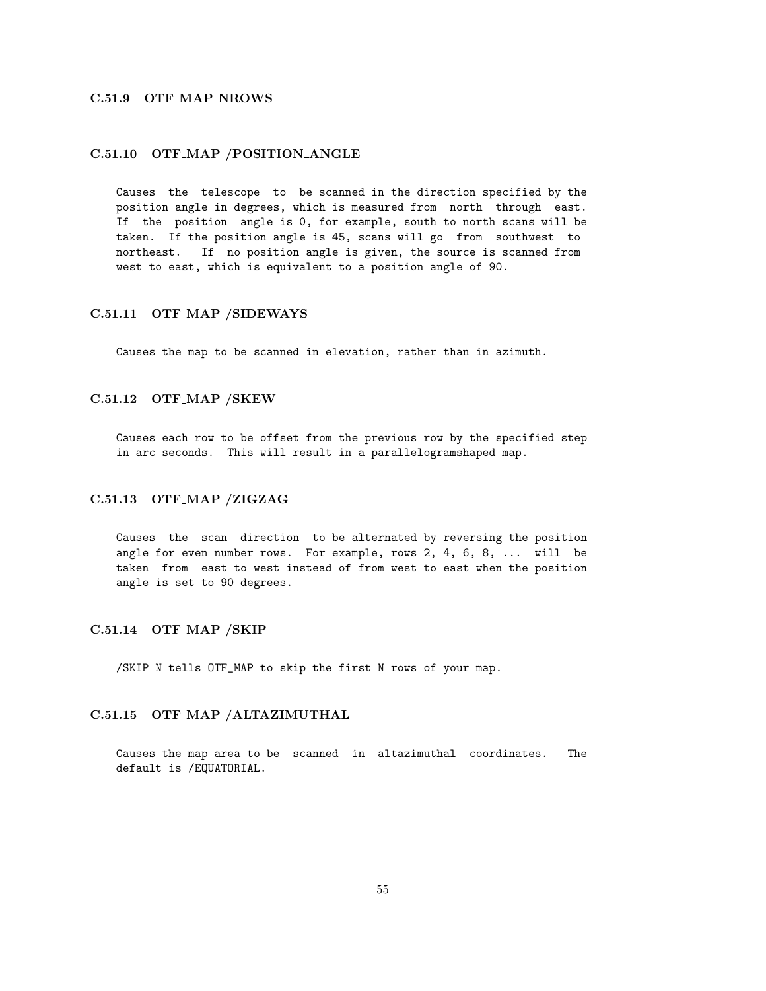# C.51.9 OTF MAP NROWS

### C.51.10 OTF MAP /POSITION ANGLE

Causes the telescope to be scanned in the direction specified by the position angle in degrees, which is measured from north through east. If the position angle is 0, for example, south to north scans will be taken. If the position angle is 45, scans will go from southwest to northeast. If no position angle is given, the source is scanned from west to east, which is equivalent to a position angle of 90.

#### C.51.11 OTF MAP /SIDEWAYS

Causes the map to be scanned in elevation, rather than in azimuth.

### C.51.12 OTF MAP /SKEW

Causes each row to be offset from the previous row by the specified step in arc seconds. This will result in a parallelogramshaped map.

#### C.51.13 OTF MAP /ZIGZAG

Causes the scan direction to be alternated by reversing the position angle for even number rows. For example, rows 2, 4, 6, 8, ... will be taken from east to west instead of from west to east when the position angle is set to 90 degrees.

#### C.51.14 OTF MAP /SKIP

/SKIP N tells OTF\_MAP to skip the first N rows of your map.

# C.51.15 OTF MAP /ALTAZIMUTHAL

Causes the map area to be scanned in altazimuthal coordinates. The default is /EQUATORIAL.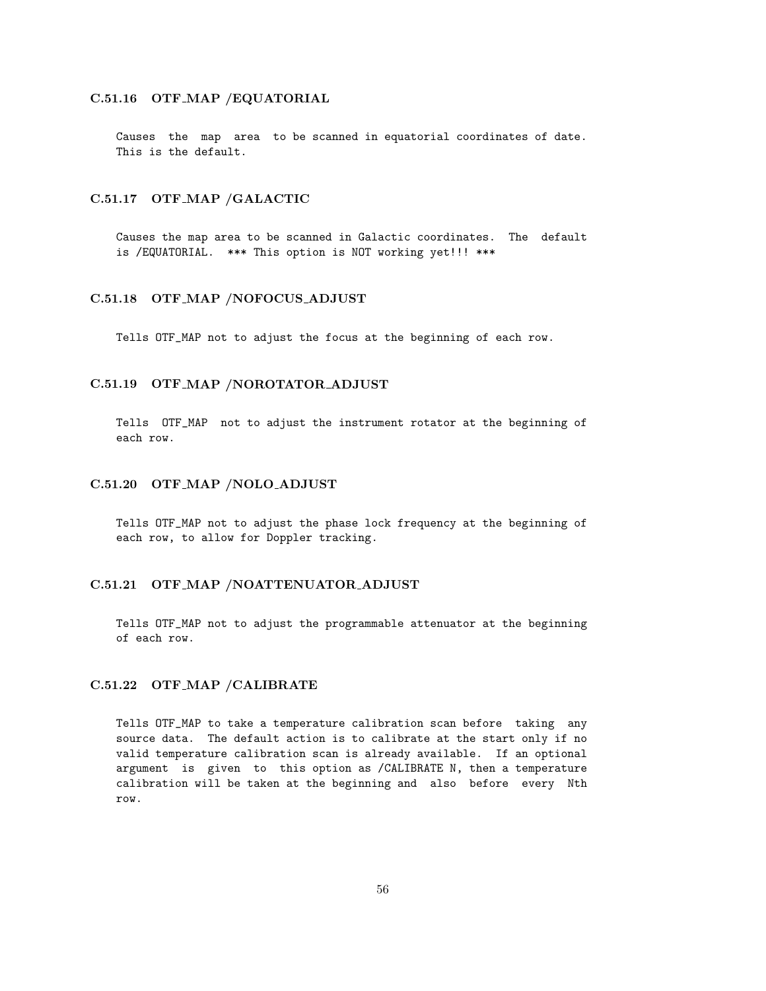### C.51.16 OTF MAP /EQUATORIAL

Causes the map area to be scanned in equatorial coordinates of date. This is the default.

### C.51.17 OTF MAP /GALACTIC

Causes the map area to be scanned in Galactic coordinates. The default is /EQUATORIAL. \*\*\* This option is NOT working yet!!! \*\*\*

### C.51.18 OTF MAP /NOFOCUS ADJUST

Tells OTF\_MAP not to adjust the focus at the beginning of each row.

## C.51.19 OTF MAP /NOROTATOR ADJUST

Tells OTF\_MAP not to adjust the instrument rotator at the beginning of each row.

#### C.51.20 OTF MAP /NOLO ADJUST

Tells OTF\_MAP not to adjust the phase lock frequency at the beginning of each row, to allow for Doppler tracking.

# C.51.21 OTF MAP /NOATTENUATOR ADJUST

Tells OTF\_MAP not to adjust the programmable attenuator at the beginning of each row.

# C.51.22 OTF MAP /CALIBRATE

Tells OTF\_MAP to take a temperature calibration scan before taking any source data. The default action is to calibrate at the start only if no valid temperature calibration scan is already available. If an optional argument is given to this option as /CALIBRATE N, then a temperature calibration will be taken at the beginning and also before every Nth row.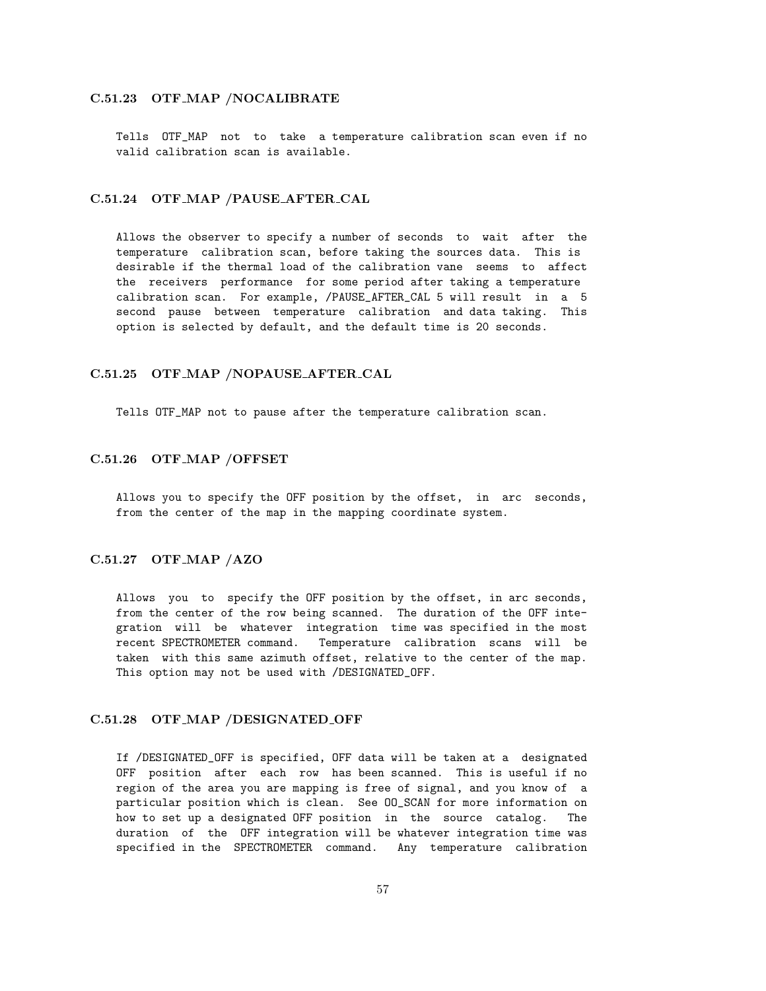#### C.51.23 OTF MAP /NOCALIBRATE

Tells OTF\_MAP not to take a temperature calibration scan even if no valid calibration scan is available.

#### C.51.24 OTF MAP /PAUSE AFTER CAL

Allows the observer to specify a number of seconds to wait after the temperature calibration scan, before taking the sources data. This is desirable if the thermal load of the calibration vane seems to affect the receivers performance for some period after taking a temperature calibration scan. For example, /PAUSE\_AFTER\_CAL 5 will result in a 5 second pause between temperature calibration and data taking. This option is selected by default, and the default time is 20 seconds.

## C.51.25 OTF MAP /NOPAUSE AFTER CAL

Tells OTF\_MAP not to pause after the temperature calibration scan.

#### C.51.26 OTF MAP /OFFSET

Allows you to specify the OFF position by the offset, in arc seconds, from the center of the map in the mapping coordinate system.

# C.51.27 OTF MAP /AZO

Allows you to specify the OFF position by the offset, in arc seconds, from the center of the row being scanned. The duration of the OFF integration will be whatever integration time was specified in the most recent SPECTROMETER command. Temperature calibration scans will be taken with this same azimuth offset, relative to the center of the map. This option may not be used with /DESIGNATED\_OFF.

#### C.51.28 OTF MAP /DESIGNATED OFF

If /DESIGNATED\_OFF is specified, OFF data will be taken at a designated OFF position after each row has been scanned. This is useful if no region of the area you are mapping is free of signal, and you know of a particular position which is clean. See OO\_SCAN for more information on how to set up a designated OFF position in the source catalog. The duration of the OFF integration will be whatever integration time was specified in the SPECTROMETER command. Any temperature calibration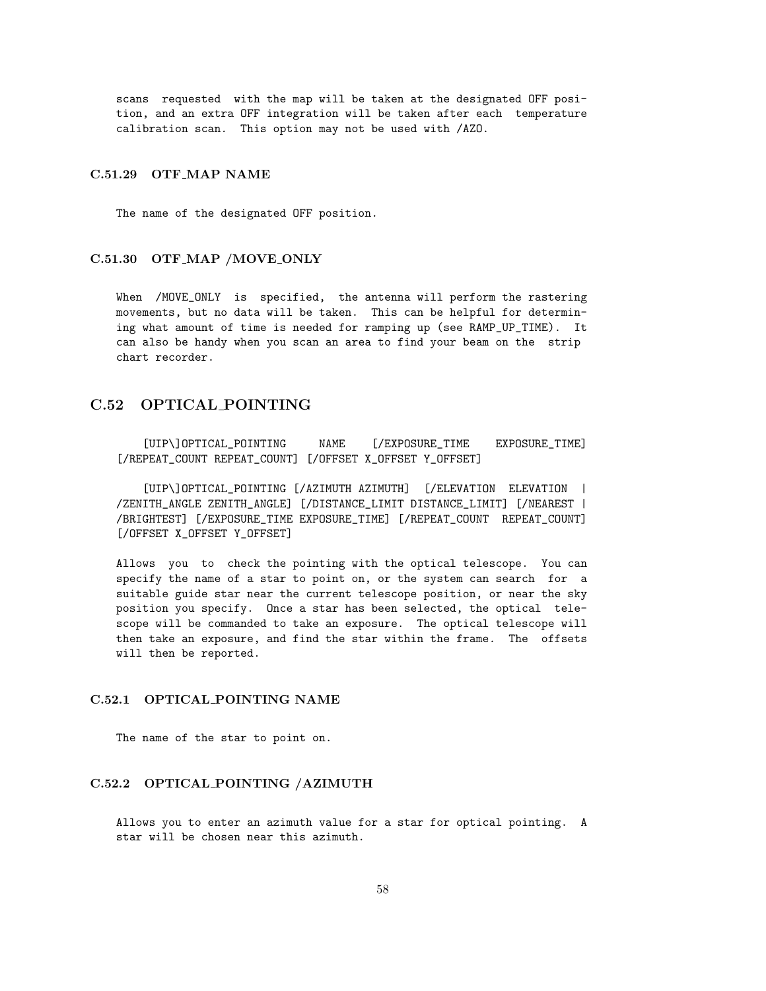scans requested with the map will be taken at the designated OFF position, and an extra OFF integration will be taken after each temperature calibration scan. This option may not be used with /AZO.

#### C.51.29 OTF MAP NAME

The name of the designated OFF position.

### C.51.30 OTF MAP /MOVE ONLY

When /MOVE\_ONLY is specified, the antenna will perform the rastering movements, but no data will be taken. This can be helpful for determining what amount of time is needed for ramping up (see RAMP\_UP\_TIME). It can also be handy when you scan an area to find your beam on the strip chart recorder.

# C.52 OPTICAL POINTING

[UIP\]OPTICAL\_POINTING NAME [/EXPOSURE\_TIME EXPOSURE\_TIME] [/REPEAT\_COUNT REPEAT\_COUNT] [/OFFSET X\_OFFSET Y\_OFFSET]

[UIP\]OPTICAL\_POINTING [/AZIMUTH AZIMUTH] [/ELEVATION ELEVATION | /ZENITH\_ANGLE ZENITH\_ANGLE] [/DISTANCE\_LIMIT DISTANCE\_LIMIT] [/NEAREST | /BRIGHTEST] [/EXPOSURE\_TIME EXPOSURE\_TIME] [/REPEAT\_COUNT REPEAT\_COUNT] [/OFFSET X\_OFFSET Y\_OFFSET]

Allows you to check the pointing with the optical telescope. You can specify the name of a star to point on, or the system can search for a suitable guide star near the current telescope position, or near the sky position you specify. Once a star has been selected, the optical telescope will be commanded to take an exposure. The optical telescope will then take an exposure, and find the star within the frame. The offsets will then be reported.

### C.52.1 OPTICAL POINTING NAME

The name of the star to point on.

# C.52.2 OPTICAL POINTING /AZIMUTH

Allows you to enter an azimuth value for a star for optical pointing. A star will be chosen near this azimuth.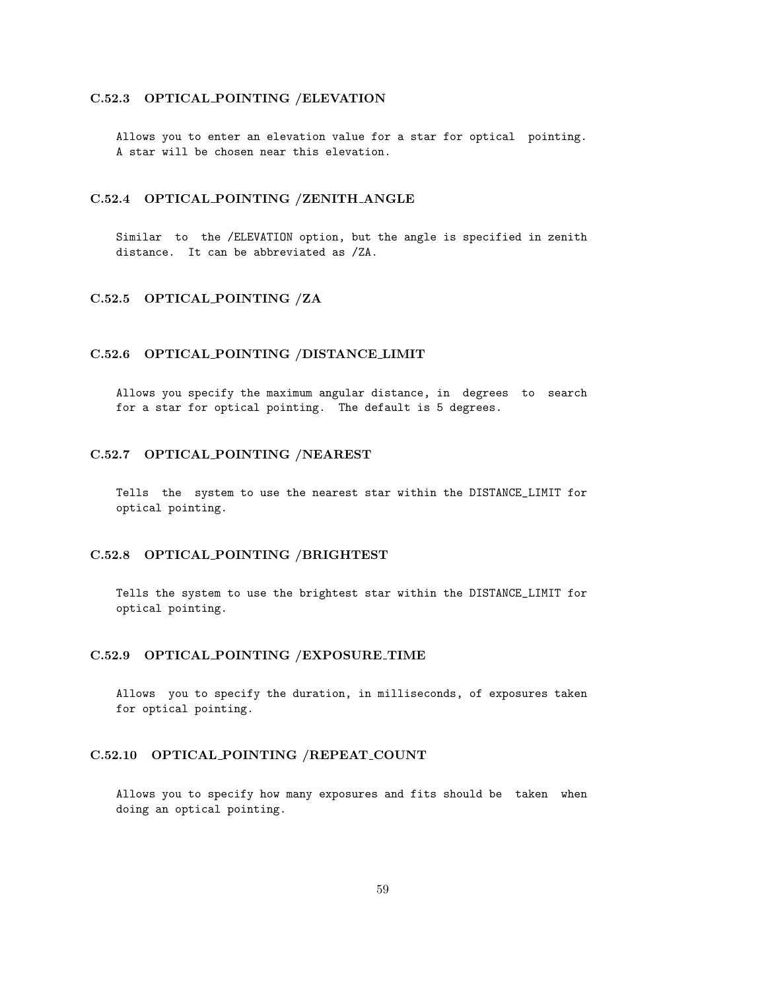### C.52.3 OPTICAL POINTING /ELEVATION

Allows you to enter an elevation value for a star for optical pointing. A star will be chosen near this elevation.

### C.52.4 OPTICAL POINTING /ZENITH ANGLE

Similar to the /ELEVATION option, but the angle is specified in zenith distance. It can be abbreviated as /ZA.

### C.52.5 OPTICAL POINTING /ZA

#### C.52.6 OPTICAL POINTING /DISTANCE LIMIT

Allows you specify the maximum angular distance, in degrees to search for a star for optical pointing. The default is 5 degrees.

# C.52.7 OPTICAL POINTING /NEAREST

Tells the system to use the nearest star within the DISTANCE\_LIMIT for optical pointing.

#### C.52.8 OPTICAL POINTING /BRIGHTEST

Tells the system to use the brightest star within the DISTANCE\_LIMIT for optical pointing.

### C.52.9 OPTICAL POINTING /EXPOSURE TIME

Allows you to specify the duration, in milliseconds, of exposures taken for optical pointing.

## C.52.10 OPTICAL POINTING /REPEAT COUNT

Allows you to specify how many exposures and fits should be taken when doing an optical pointing.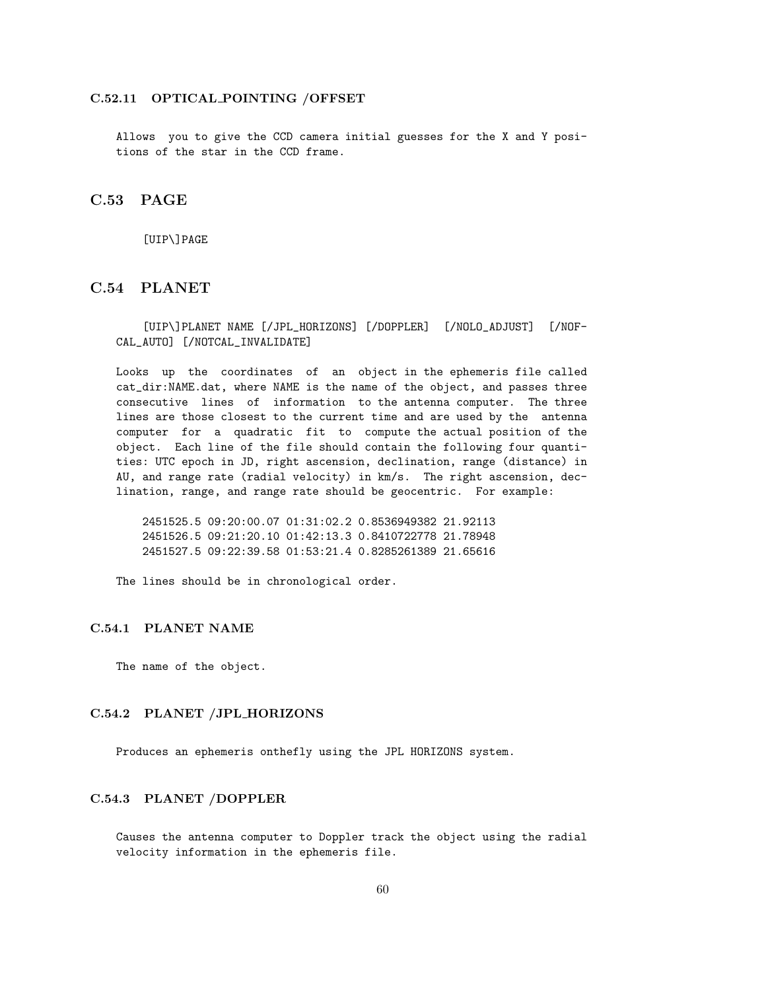#### C.52.11 OPTICAL POINTING /OFFSET

Allows you to give the CCD camera initial guesses for the X and Y positions of the star in the CCD frame.

# C.53 PAGE

[UIP\]PAGE

# C.54 PLANET

[UIP\]PLANET NAME [/JPL\_HORIZONS] [/DOPPLER] [/NOLO\_ADJUST] [/NOF-CAL\_AUTO] [/NOTCAL\_INVALIDATE]

Looks up the coordinates of an object in the ephemeris file called cat\_dir:NAME.dat, where NAME is the name of the object, and passes three consecutive lines of information to the antenna computer. The three lines are those closest to the current time and are used by the antenna computer for a quadratic fit to compute the actual position of the object. Each line of the file should contain the following four quantities: UTC epoch in JD, right ascension, declination, range (distance) in AU, and range rate (radial velocity) in km/s. The right ascension, declination, range, and range rate should be geocentric. For example:

2451525.5 09:20:00.07 01:31:02.2 0.8536949382 21.92113 2451526.5 09:21:20.10 01:42:13.3 0.8410722778 21.78948 2451527.5 09:22:39.58 01:53:21.4 0.8285261389 21.65616

The lines should be in chronological order.

#### C.54.1 PLANET NAME

The name of the object.

#### C.54.2 PLANET /JPL HORIZONS

Produces an ephemeris onthefly using the JPL HORIZONS system.

# C.54.3 PLANET /DOPPLER

Causes the antenna computer to Doppler track the object using the radial velocity information in the ephemeris file.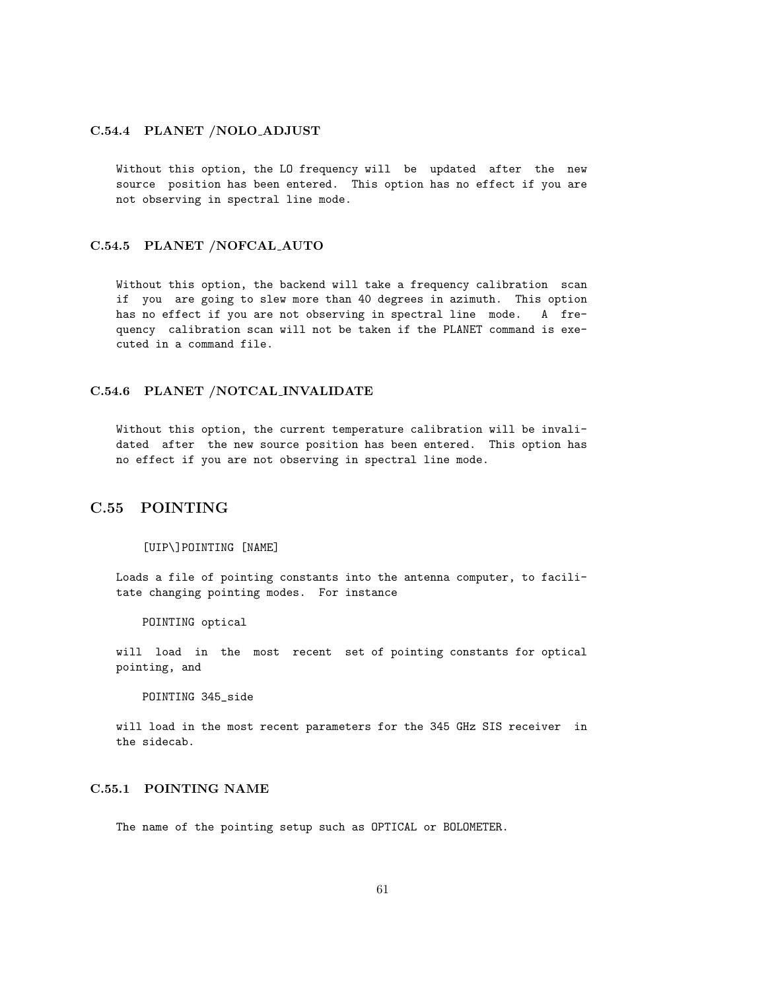### C.54.4 PLANET /NOLO ADJUST

Without this option, the LO frequency will be updated after the new source position has been entered. This option has no effect if you are not observing in spectral line mode.

### C.54.5 PLANET /NOFCAL AUTO

Without this option, the backend will take a frequency calibration scan if you are going to slew more than 40 degrees in azimuth. This option has no effect if you are not observing in spectral line mode. A frequency calibration scan will not be taken if the PLANET command is executed in a command file.

## C.54.6 PLANET /NOTCAL INVALIDATE

Without this option, the current temperature calibration will be invalidated after the new source position has been entered. This option has no effect if you are not observing in spectral line mode.

# C.55 POINTING

#### [UIP\]POINTING [NAME]

Loads a file of pointing constants into the antenna computer, to facilitate changing pointing modes. For instance

POINTING optical

will load in the most recent set of pointing constants for optical pointing, and

POINTING 345\_side

will load in the most recent parameters for the 345 GHz SIS receiver in the sidecab.

# C.55.1 POINTING NAME

The name of the pointing setup such as OPTICAL or BOLOMETER.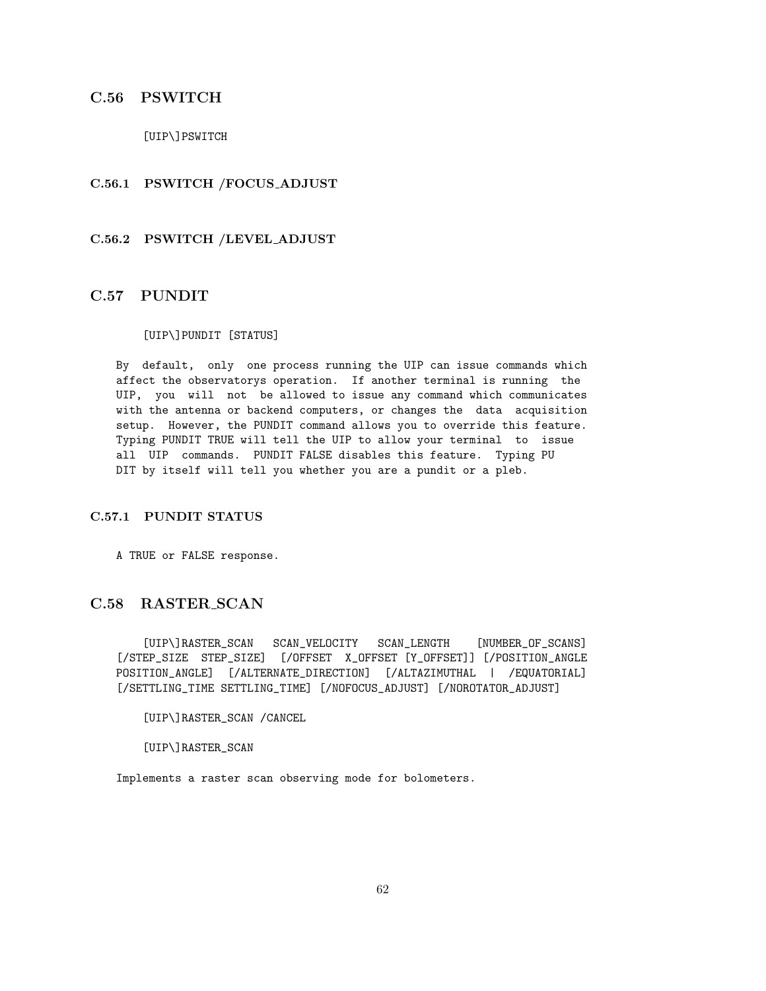# C.56 PSWITCH

[UIP\]PSWITCH

# C.56.1 PSWITCH /FOCUS ADJUST

## C.56.2 PSWITCH /LEVEL ADJUST

# C.57 PUNDIT

## [UIP\]PUNDIT [STATUS]

By default, only one process running the UIP can issue commands which affect the observatorys operation. If another terminal is running the UIP, you will not be allowed to issue any command which communicates with the antenna or backend computers, or changes the data acquisition setup. However, the PUNDIT command allows you to override this feature. Typing PUNDIT TRUE will tell the UIP to allow your terminal to issue all UIP commands. PUNDIT FALSE disables this feature. Typing PU DIT by itself will tell you whether you are a pundit or a pleb.

# C.57.1 PUNDIT STATUS

A TRUE or FALSE response.

# C.58 RASTER SCAN

[UIP\]RASTER\_SCAN SCAN\_VELOCITY SCAN\_LENGTH [NUMBER\_OF\_SCANS] [/STEP\_SIZE STEP\_SIZE] [/OFFSET X\_OFFSET [Y\_OFFSET]] [/POSITION\_ANGLE POSITION\_ANGLE] [/ALTERNATE\_DIRECTION] [/ALTAZIMUTHAL | /EQUATORIAL] [/SETTLING\_TIME SETTLING\_TIME] [/NOFOCUS\_ADJUST] [/NOROTATOR\_ADJUST]

[UIP\]RASTER\_SCAN /CANCEL

[UIP\]RASTER\_SCAN

Implements a raster scan observing mode for bolometers.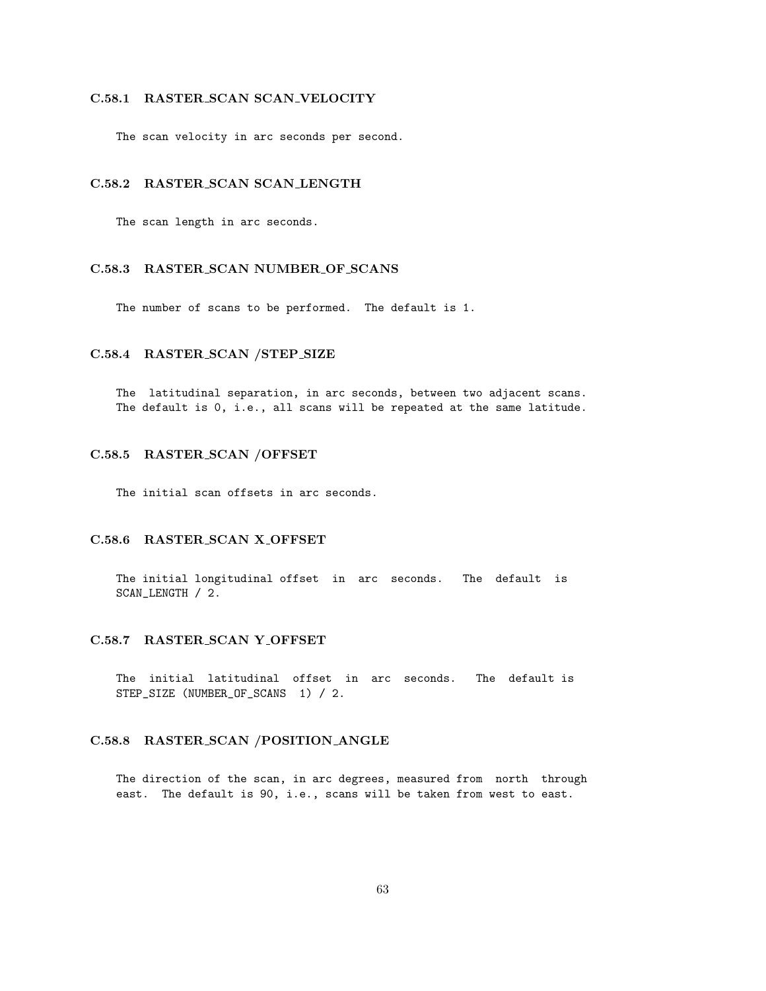### C.58.1 RASTER SCAN SCAN VELOCITY

The scan velocity in arc seconds per second.

# C.58.2 RASTER SCAN SCAN LENGTH

The scan length in arc seconds.

# C.58.3 RASTER SCAN NUMBER OF SCANS

The number of scans to be performed. The default is 1.

# C.58.4 RASTER SCAN /STEP SIZE

The latitudinal separation, in arc seconds, between two adjacent scans. The default is 0, i.e., all scans will be repeated at the same latitude.

### C.58.5 RASTER SCAN /OFFSET

The initial scan offsets in arc seconds.

# C.58.6 RASTER SCAN X OFFSET

The initial longitudinal offset in arc seconds. The default is SCAN\_LENGTH / 2.

# C.58.7 RASTER SCAN Y OFFSET

The initial latitudinal offset in arc seconds. The default is STEP\_SIZE (NUMBER\_OF\_SCANS 1) / 2.

# C.58.8 RASTER SCAN /POSITION ANGLE

The direction of the scan, in arc degrees, measured from north through east. The default is 90, i.e., scans will be taken from west to east.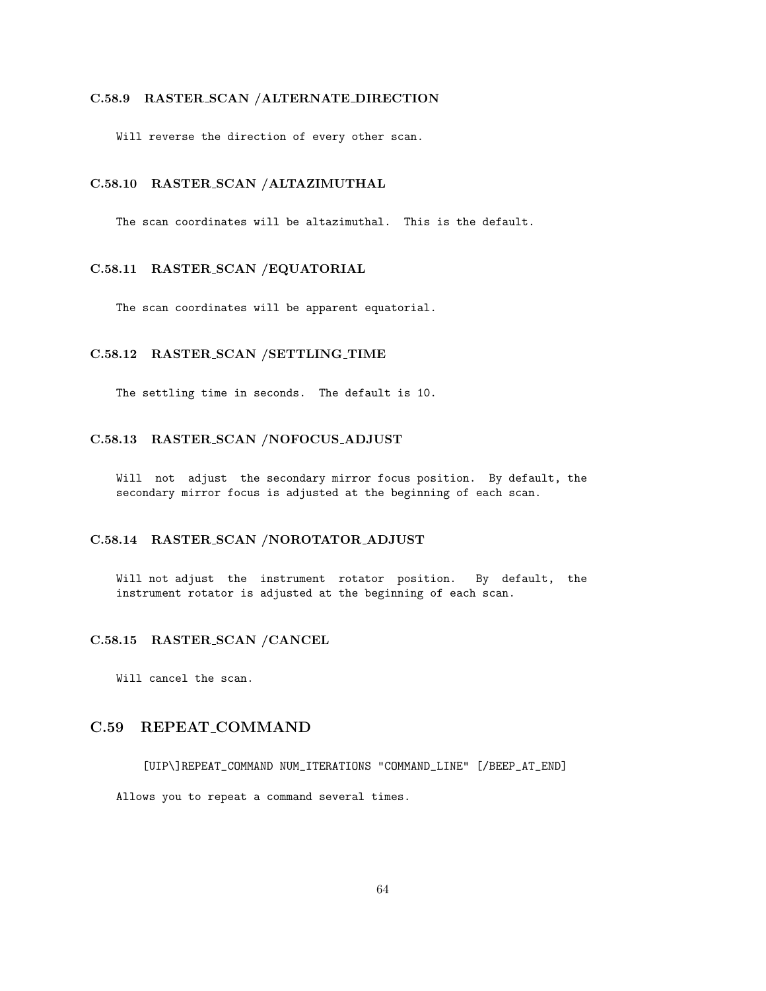#### C.58.9 RASTER SCAN /ALTERNATE DIRECTION

Will reverse the direction of every other scan.

### C.58.10 RASTER SCAN /ALTAZIMUTHAL

The scan coordinates will be altazimuthal. This is the default.

### C.58.11 RASTER SCAN /EQUATORIAL

The scan coordinates will be apparent equatorial.

# C.58.12 RASTER SCAN /SETTLING TIME

The settling time in seconds. The default is 10.

# C.58.13 RASTER SCAN /NOFOCUS ADJUST

Will not adjust the secondary mirror focus position. By default, the secondary mirror focus is adjusted at the beginning of each scan.

# C.58.14 RASTER SCAN /NOROTATOR ADJUST

Will not adjust the instrument rotator position. By default, the instrument rotator is adjusted at the beginning of each scan.

# C.58.15 RASTER SCAN /CANCEL

Will cancel the scan.

# C.59 REPEAT COMMAND

[UIP\]REPEAT\_COMMAND NUM\_ITERATIONS "COMMAND\_LINE" [/BEEP\_AT\_END]

Allows you to repeat a command several times.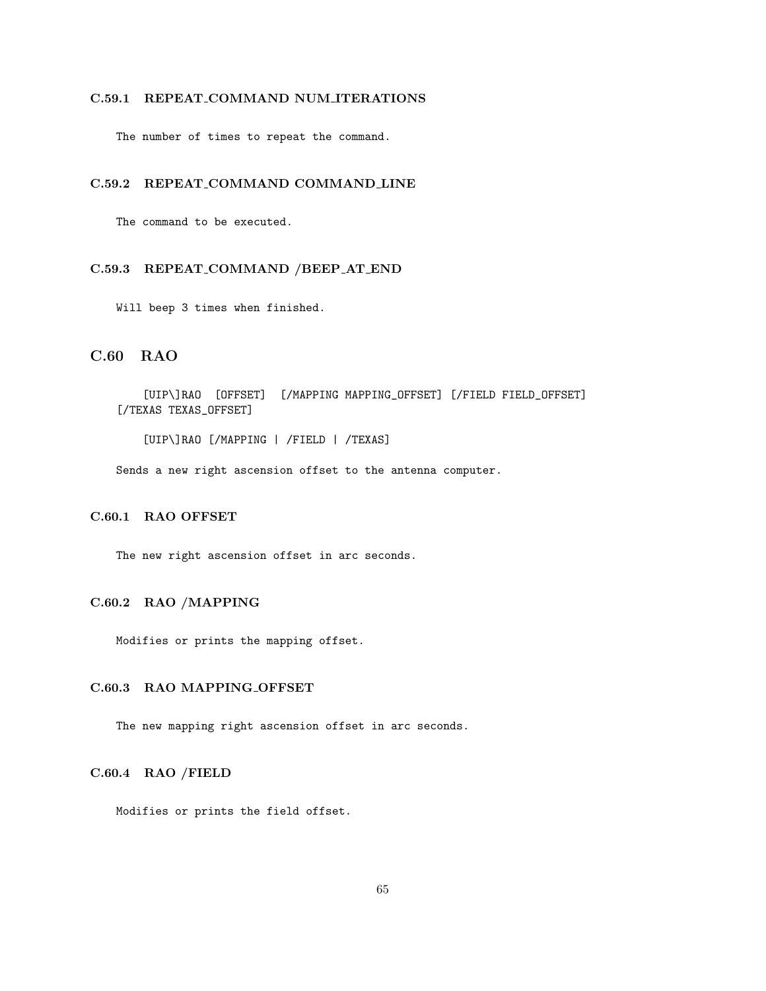# C.59.1 REPEAT COMMAND NUM ITERATIONS

The number of times to repeat the command.

### C.59.2 REPEAT COMMAND COMMAND LINE

The command to be executed.

# C.59.3 REPEAT COMMAND /BEEP AT END

Will beep 3 times when finished.

# C.60 RAO

[UIP\]RAO [OFFSET] [/MAPPING MAPPING\_OFFSET] [/FIELD FIELD\_OFFSET] [/TEXAS TEXAS\_OFFSET]

[UIP\]RAO [/MAPPING | /FIELD | /TEXAS]

Sends a new right ascension offset to the antenna computer.

# C.60.1 RAO OFFSET

The new right ascension offset in arc seconds.

# C.60.2 RAO /MAPPING

Modifies or prints the mapping offset.

### C.60.3 RAO MAPPING OFFSET

The new mapping right ascension offset in arc seconds.

### C.60.4 RAO /FIELD

Modifies or prints the field offset.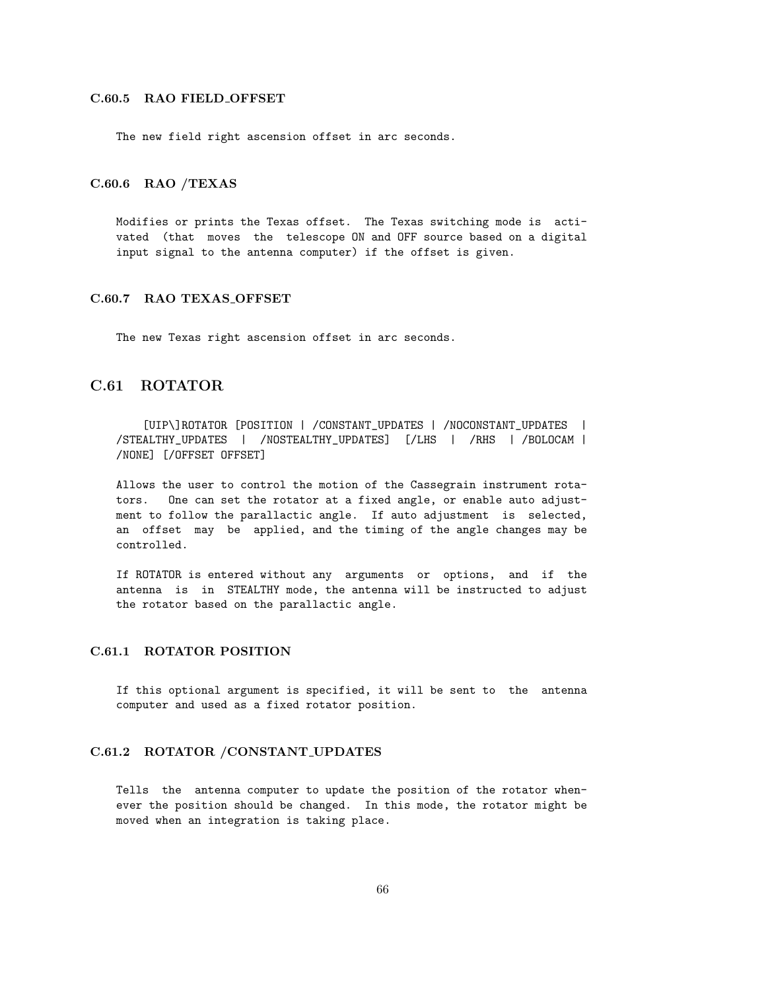#### C.60.5 RAO FIELD OFFSET

The new field right ascension offset in arc seconds.

# C.60.6 RAO /TEXAS

Modifies or prints the Texas offset. The Texas switching mode is activated (that moves the telescope ON and OFF source based on a digital input signal to the antenna computer) if the offset is given.

#### C.60.7 RAO TEXAS OFFSET

The new Texas right ascension offset in arc seconds.

# C.61 ROTATOR

[UIP\]ROTATOR [POSITION | /CONSTANT\_UPDATES | /NOCONSTANT\_UPDATES | /STEALTHY\_UPDATES | /NOSTEALTHY\_UPDATES] [/LHS | /RHS | /BOLOCAM | /NONE] [/OFFSET OFFSET]

Allows the user to control the motion of the Cassegrain instrument rotators. One can set the rotator at a fixed angle, or enable auto adjustment to follow the parallactic angle. If auto adjustment is selected, an offset may be applied, and the timing of the angle changes may be controlled.

If ROTATOR is entered without any arguments or options, and if the antenna is in STEALTHY mode, the antenna will be instructed to adjust the rotator based on the parallactic angle.

#### C.61.1 ROTATOR POSITION

If this optional argument is specified, it will be sent to the antenna computer and used as a fixed rotator position.

# C.61.2 ROTATOR /CONSTANT UPDATES

Tells the antenna computer to update the position of the rotator whenever the position should be changed. In this mode, the rotator might be moved when an integration is taking place.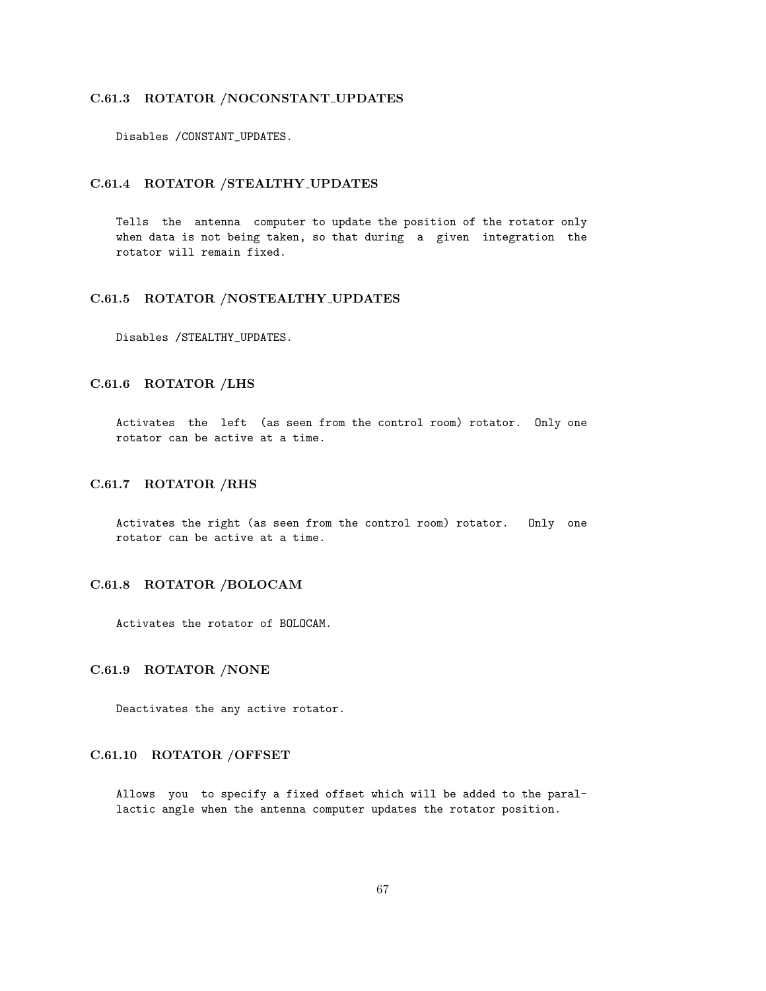### C.61.3 ROTATOR /NOCONSTANT UPDATES

Disables /CONSTANT\_UPDATES.

### C.61.4 ROTATOR /STEALTHY UPDATES

Tells the antenna computer to update the position of the rotator only when data is not being taken, so that during a given integration the rotator will remain fixed.

### C.61.5 ROTATOR /NOSTEALTHY UPDATES

Disables /STEALTHY\_UPDATES.

# C.61.6 ROTATOR /LHS

Activates the left (as seen from the control room) rotator. Only one rotator can be active at a time.

### C.61.7 ROTATOR /RHS

Activates the right (as seen from the control room) rotator. Only one rotator can be active at a time.

# C.61.8 ROTATOR /BOLOCAM

Activates the rotator of BOLOCAM.

#### C.61.9 ROTATOR /NONE

Deactivates the any active rotator.

# C.61.10 ROTATOR /OFFSET

Allows you to specify a fixed offset which will be added to the parallactic angle when the antenna computer updates the rotator position.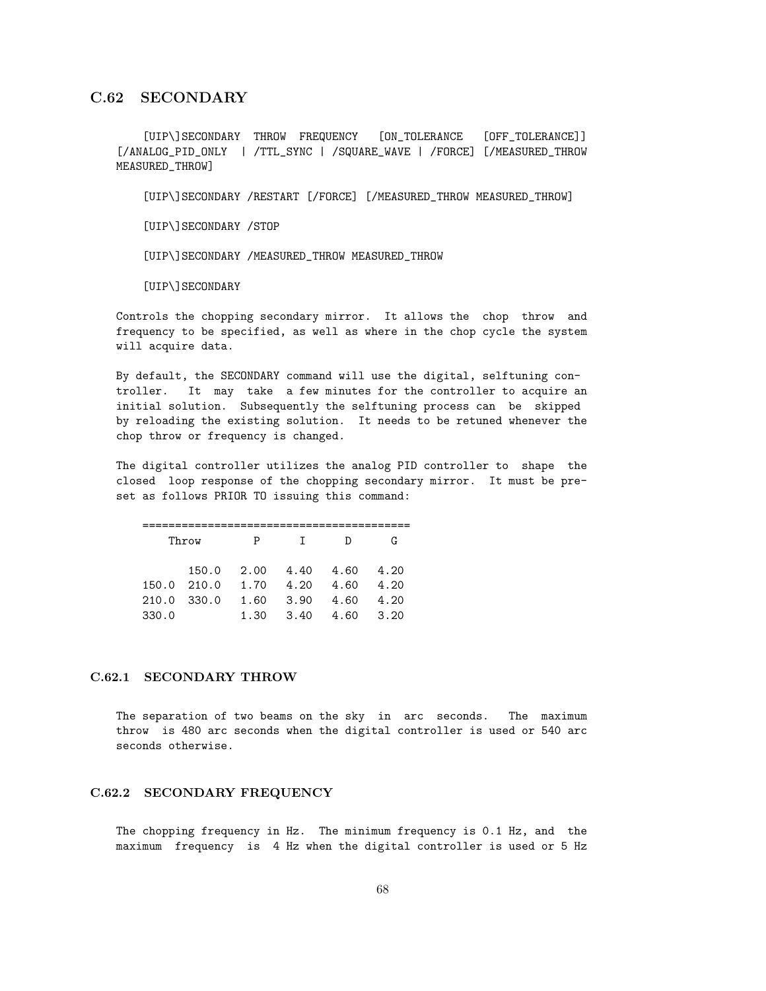# C.62 SECONDARY

[UIP\]SECONDARY THROW FREQUENCY [ON\_TOLERANCE [OFF\_TOLERANCE]] [/ANALOG\_PID\_ONLY | /TTL\_SYNC | /SQUARE\_WAVE | /FORCE] [/MEASURED\_THROW MEASURED\_THROW]

[UIP\]SECONDARY /RESTART [/FORCE] [/MEASURED\_THROW MEASURED\_THROW]

[UIP\]SECONDARY /STOP

[UIP\]SECONDARY /MEASURED\_THROW MEASURED\_THROW

[UIP\]SECONDARY

Controls the chopping secondary mirror. It allows the chop throw and frequency to be specified, as well as where in the chop cycle the system will acquire data.

By default, the SECONDARY command will use the digital, selftuning controller. It may take a few minutes for the controller to acquire an initial solution. Subsequently the selftuning process can be skipped by reloading the existing solution. It needs to be retuned whenever the chop throw or frequency is changed.

The digital controller utilizes the analog PID controller to shape the closed loop response of the chopping secondary mirror. It must be preset as follows PRIOR TO issuing this command:

|             | Throw       | P           | $\mathbf{T}$ | Ð    | G    |
|-------------|-------------|-------------|--------------|------|------|
|             | 150.0       | 2.00        | 4.40 4.60    |      | 4.20 |
|             | 150.0 210.0 | 1.70        | 4.20         | 4.60 | 4.20 |
| 210.0 330.0 |             | 1.60        | 3.90         | 4.60 | 4.20 |
| 330.0       |             | 1.30 $\sim$ | 3.40         | 4.60 | 3.20 |

### C.62.1 SECONDARY THROW

The separation of two beams on the sky in arc seconds. The maximum throw is 480 arc seconds when the digital controller is used or 540 arc seconds otherwise.

# C.62.2 SECONDARY FREQUENCY

The chopping frequency in Hz. The minimum frequency is 0.1 Hz, and the maximum frequency is 4 Hz when the digital controller is used or 5 Hz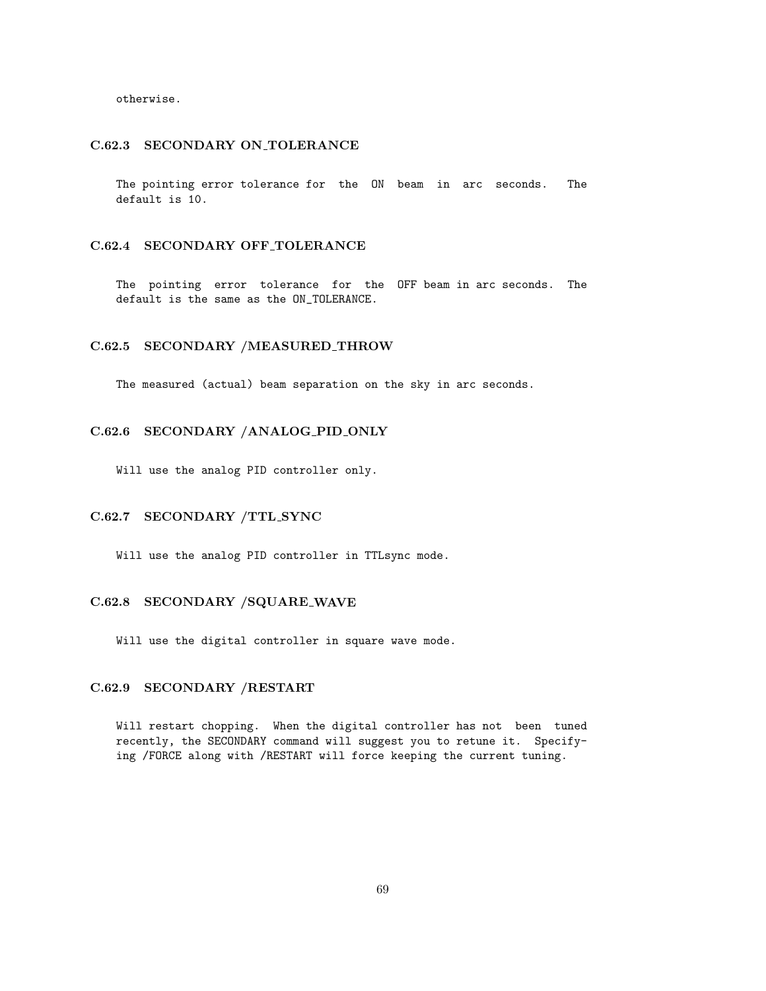otherwise.

#### C.62.3 SECONDARY ON TOLERANCE

The pointing error tolerance for the ON beam in arc seconds. The default is 10.

### C.62.4 SECONDARY OFF TOLERANCE

The pointing error tolerance for the OFF beam in arc seconds. The default is the same as the ON\_TOLERANCE.

### C.62.5 SECONDARY /MEASURED THROW

The measured (actual) beam separation on the sky in arc seconds.

# C.62.6 SECONDARY /ANALOG PID ONLY

Will use the analog PID controller only.

### C.62.7 SECONDARY /TTL SYNC

Will use the analog PID controller in TTLsync mode.

# C.62.8 SECONDARY /SQUARE WAVE

Will use the digital controller in square wave mode.

# C.62.9 SECONDARY /RESTART

Will restart chopping. When the digital controller has not been tuned recently, the SECONDARY command will suggest you to retune it. Specifying /FORCE along with /RESTART will force keeping the current tuning.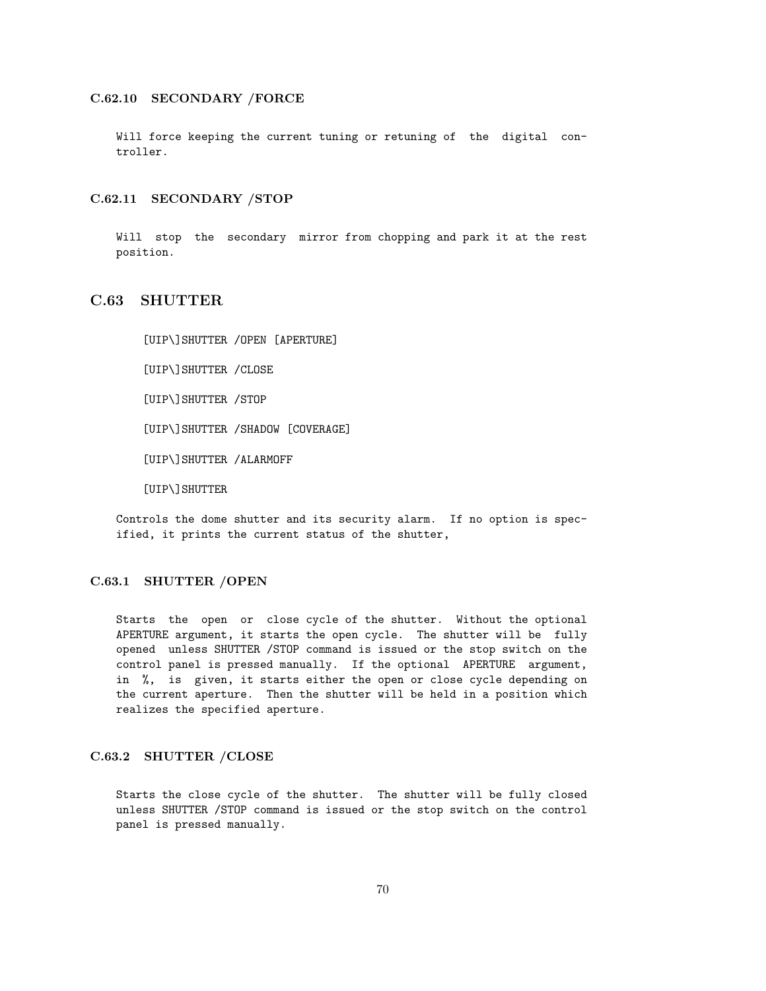### C.62.10 SECONDARY /FORCE

Will force keeping the current tuning or retuning of the digital controller.

#### C.62.11 SECONDARY /STOP

Will stop the secondary mirror from chopping and park it at the rest position.

# C.63 SHUTTER

[UIP\]SHUTTER /OPEN [APERTURE]

[UIP\]SHUTTER /CLOSE

[UIP\]SHUTTER /STOP

[UIP\]SHUTTER /SHADOW [COVERAGE]

[UIP\]SHUTTER /ALARMOFF

[UIP\]SHUTTER

Controls the dome shutter and its security alarm. If no option is specified, it prints the current status of the shutter,

#### C.63.1 SHUTTER /OPEN

Starts the open or close cycle of the shutter. Without the optional APERTURE argument, it starts the open cycle. The shutter will be fully opened unless SHUTTER /STOP command is issued or the stop switch on the control panel is pressed manually. If the optional APERTURE argument, in %, is given, it starts either the open or close cycle depending on the current aperture. Then the shutter will be held in a position which realizes the specified aperture.

### C.63.2 SHUTTER /CLOSE

Starts the close cycle of the shutter. The shutter will be fully closed unless SHUTTER /STOP command is issued or the stop switch on the control panel is pressed manually.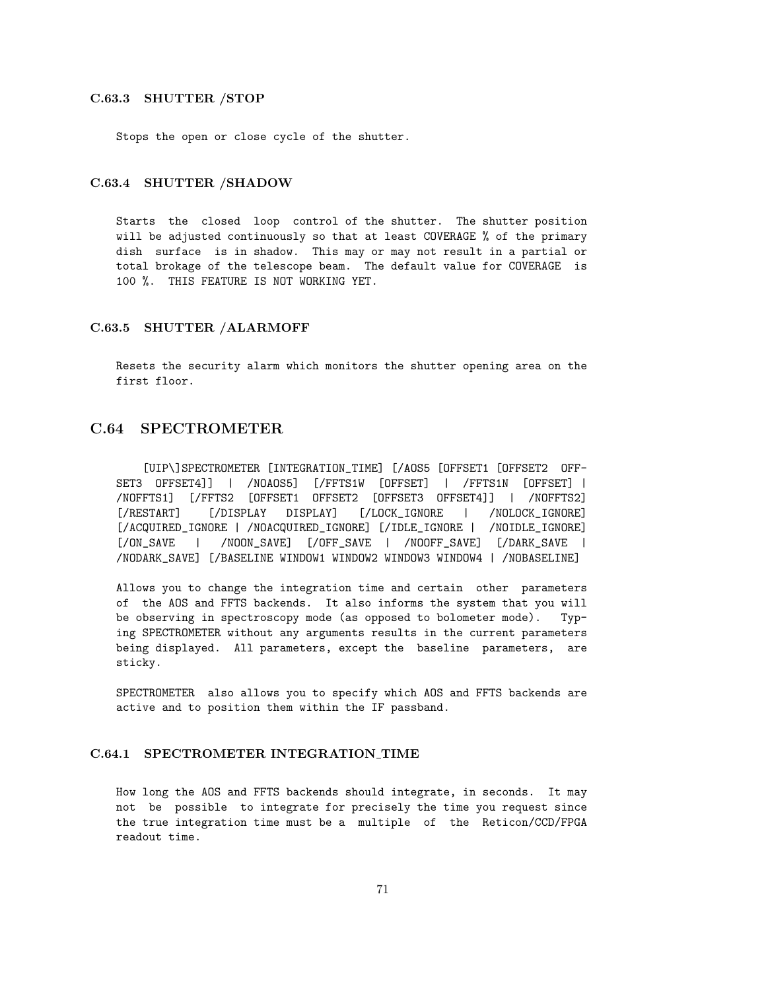#### C.63.3 SHUTTER /STOP

Stops the open or close cycle of the shutter.

# C.63.4 SHUTTER /SHADOW

Starts the closed loop control of the shutter. The shutter position will be adjusted continuously so that at least COVERAGE % of the primary dish surface is in shadow. This may or may not result in a partial or total brokage of the telescope beam. The default value for COVERAGE is 100 %. THIS FEATURE IS NOT WORKING YET.

#### C.63.5 SHUTTER /ALARMOFF

Resets the security alarm which monitors the shutter opening area on the first floor.

# C.64 SPECTROMETER

[UIP\]SPECTROMETER [INTEGRATION\_TIME] [/AOS5 [OFFSET1 [OFFSET2 OFF-SET3 OFFSET4]] | /NOAOS5] [/FFTS1W [OFFSET] | /FFTS1N [OFFSET] | /NOFFTS1] [/FFTS2 [OFFSET1 OFFSET2 [OFFSET3 OFFSET4]] | /NOFFTS2] [/RESTART] [/DISPLAY DISPLAY] [/LOCK\_IGNORE | /NOLOCK\_IGNORE] [/ACQUIRED\_IGNORE | /NOACQUIRED\_IGNORE] [/IDLE\_IGNORE | /NOIDLE\_IGNORE] [/ON\_SAVE | /NOON\_SAVE] [/OFF\_SAVE | /NOOFF\_SAVE] [/DARK\_SAVE | /NODARK\_SAVE] [/BASELINE WINDOW1 WINDOW2 WINDOW3 WINDOW4 | /NOBASELINE]

Allows you to change the integration time and certain other parameters of the AOS and FFTS backends. It also informs the system that you will be observing in spectroscopy mode (as opposed to bolometer mode). Typing SPECTROMETER without any arguments results in the current parameters being displayed. All parameters, except the baseline parameters, are sticky.

SPECTROMETER also allows you to specify which AOS and FFTS backends are active and to position them within the IF passband.

### C.64.1 SPECTROMETER INTEGRATION TIME

How long the AOS and FFTS backends should integrate, in seconds. It may not be possible to integrate for precisely the time you request since the true integration time must be a multiple of the Reticon/CCD/FPGA readout time.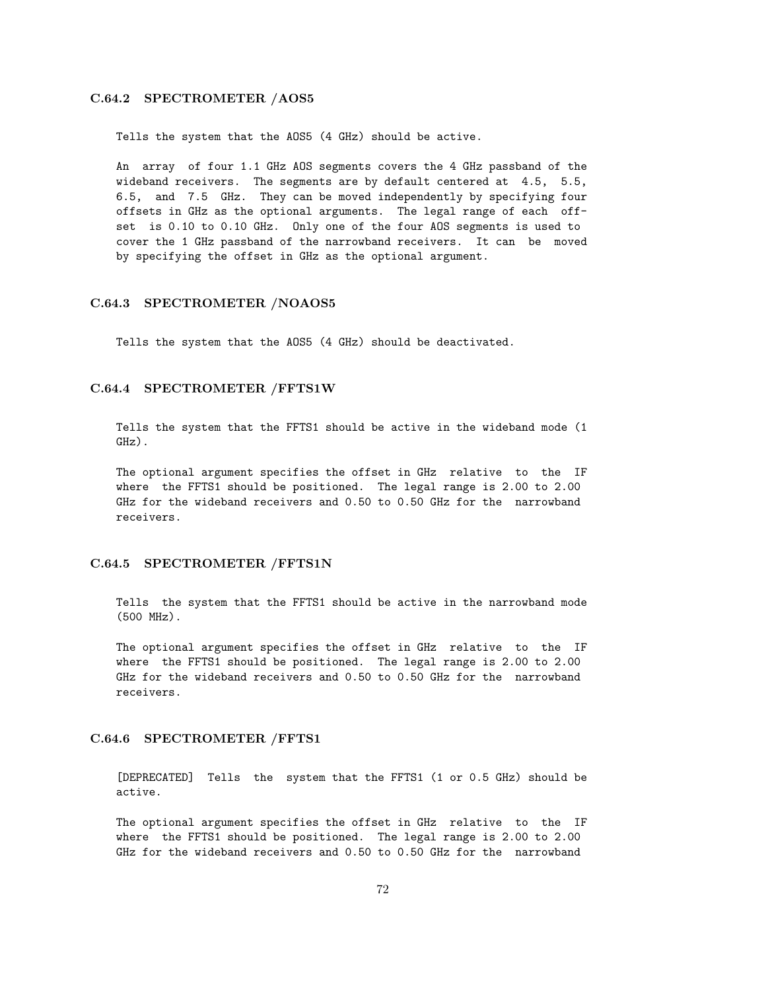#### C.64.2 SPECTROMETER /AOS5

Tells the system that the AOS5 (4 GHz) should be active.

An array of four 1.1 GHz AOS segments covers the 4 GHz passband of the wideband receivers. The segments are by default centered at 4.5, 5.5, 6.5, and 7.5 GHz. They can be moved independently by specifying four offsets in GHz as the optional arguments. The legal range of each offset is 0.10 to 0.10 GHz. Only one of the four AOS segments is used to cover the 1 GHz passband of the narrowband receivers. It can be moved by specifying the offset in GHz as the optional argument.

#### C.64.3 SPECTROMETER /NOAOS5

Tells the system that the AOS5 (4 GHz) should be deactivated.

#### C.64.4 SPECTROMETER /FFTS1W

Tells the system that the FFTS1 should be active in the wideband mode (1 GHz).

The optional argument specifies the offset in GHz relative to the IF where the FFTS1 should be positioned. The legal range is 2.00 to 2.00 GHz for the wideband receivers and 0.50 to 0.50 GHz for the narrowband receivers.

#### C.64.5 SPECTROMETER /FFTS1N

Tells the system that the FFTS1 should be active in the narrowband mode (500 MHz).

The optional argument specifies the offset in GHz relative to the IF where the FFTS1 should be positioned. The legal range is 2.00 to 2.00 GHz for the wideband receivers and 0.50 to 0.50 GHz for the narrowband receivers.

#### C.64.6 SPECTROMETER /FFTS1

[DEPRECATED] Tells the system that the FFTS1 (1 or 0.5 GHz) should be active.

The optional argument specifies the offset in GHz relative to the IF where the FFTS1 should be positioned. The legal range is 2.00 to 2.00 GHz for the wideband receivers and 0.50 to 0.50 GHz for the narrowband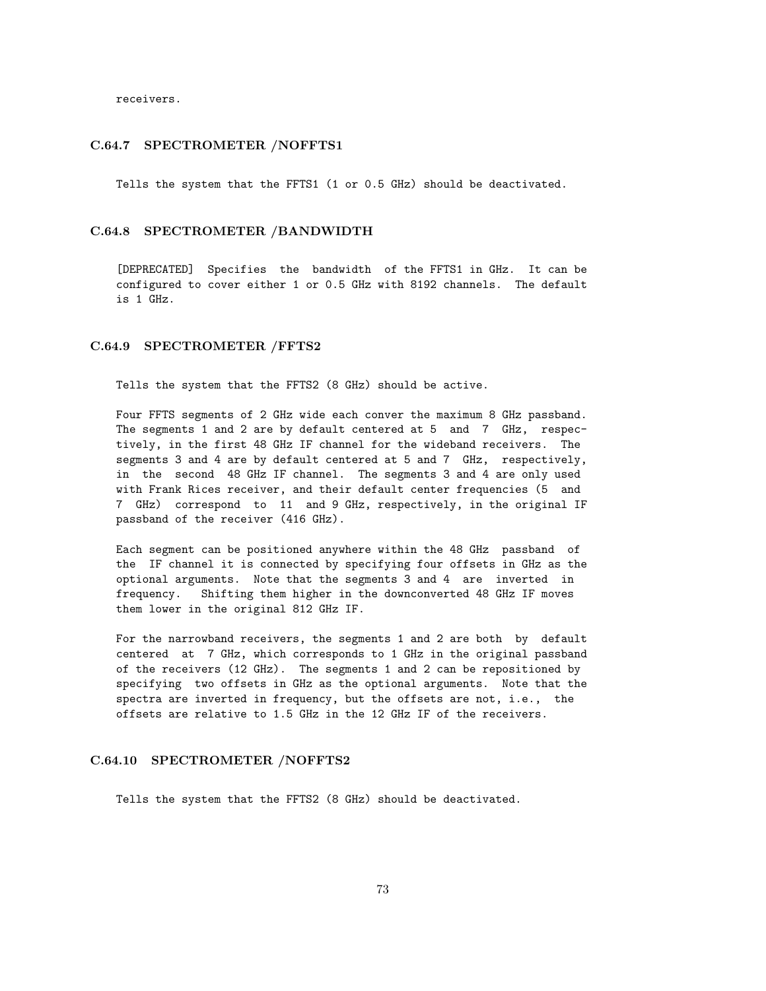receivers.

#### C.64.7 SPECTROMETER /NOFFTS1

Tells the system that the FFTS1 (1 or 0.5 GHz) should be deactivated.

#### C.64.8 SPECTROMETER /BANDWIDTH

[DEPRECATED] Specifies the bandwidth of the FFTS1 in GHz. It can be configured to cover either 1 or 0.5 GHz with 8192 channels. The default is 1 GHz.

#### C.64.9 SPECTROMETER /FFTS2

Tells the system that the FFTS2 (8 GHz) should be active.

Four FFTS segments of 2 GHz wide each conver the maximum 8 GHz passband. The segments 1 and 2 are by default centered at 5 and 7 GHz, respectively, in the first 48 GHz IF channel for the wideband receivers. The segments 3 and 4 are by default centered at 5 and 7 GHz, respectively, in the second 48 GHz IF channel. The segments 3 and 4 are only used with Frank Rices receiver, and their default center frequencies (5 and 7 GHz) correspond to 11 and 9 GHz, respectively, in the original IF passband of the receiver (416 GHz).

Each segment can be positioned anywhere within the 48 GHz passband of the IF channel it is connected by specifying four offsets in GHz as the optional arguments. Note that the segments 3 and 4 are inverted in frequency. Shifting them higher in the downconverted 48 GHz IF moves them lower in the original 812 GHz IF.

For the narrowband receivers, the segments 1 and 2 are both by default centered at 7 GHz, which corresponds to 1 GHz in the original passband of the receivers (12 GHz). The segments 1 and 2 can be repositioned by specifying two offsets in GHz as the optional arguments. Note that the spectra are inverted in frequency, but the offsets are not, i.e., the offsets are relative to 1.5 GHz in the 12 GHz IF of the receivers.

#### C.64.10 SPECTROMETER /NOFFTS2

Tells the system that the FFTS2 (8 GHz) should be deactivated.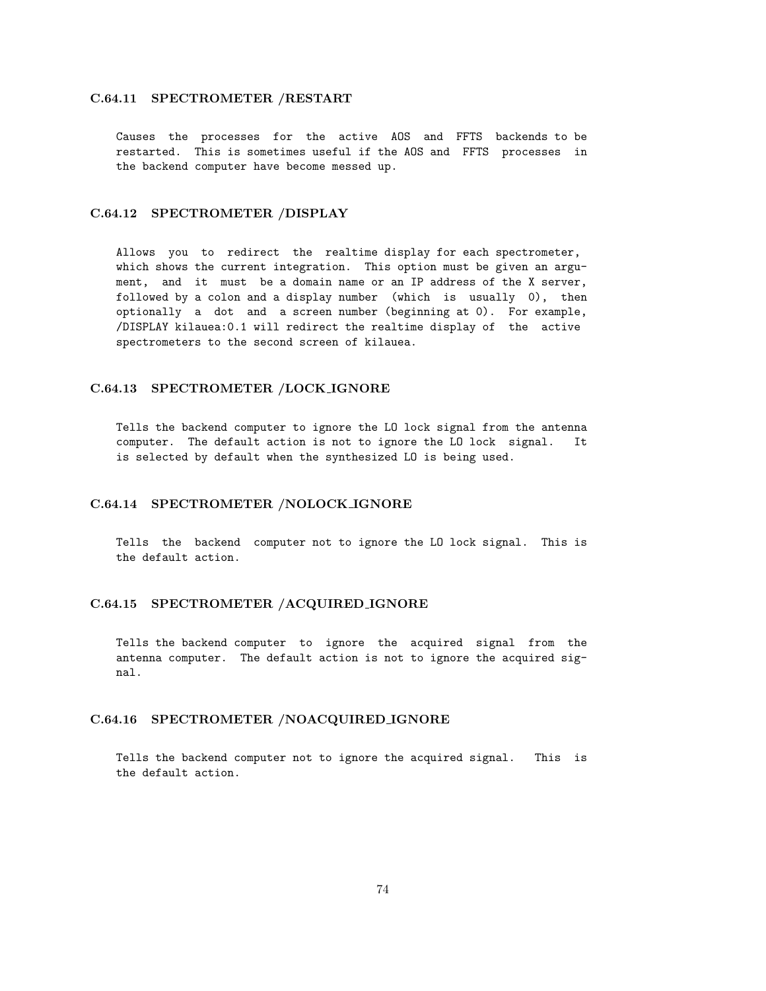#### C.64.11 SPECTROMETER /RESTART

Causes the processes for the active AOS and FFTS backends to be restarted. This is sometimes useful if the AOS and FFTS processes in the backend computer have become messed up.

### C.64.12 SPECTROMETER /DISPLAY

Allows you to redirect the realtime display for each spectrometer, which shows the current integration. This option must be given an argument, and it must be a domain name or an IP address of the X server, followed by a colon and a display number (which is usually 0), then optionally a dot and a screen number (beginning at 0). For example, /DISPLAY kilauea:0.1 will redirect the realtime display of the active spectrometers to the second screen of kilauea.

#### C.64.13 SPECTROMETER /LOCK IGNORE

Tells the backend computer to ignore the LO lock signal from the antenna computer. The default action is not to ignore the LO lock signal. It is selected by default when the synthesized LO is being used.

## C.64.14 SPECTROMETER /NOLOCK IGNORE

Tells the backend computer not to ignore the LO lock signal. This is the default action.

#### C.64.15 SPECTROMETER /ACQUIRED IGNORE

Tells the backend computer to ignore the acquired signal from the antenna computer. The default action is not to ignore the acquired signal.

### C.64.16 SPECTROMETER /NOACQUIRED IGNORE

Tells the backend computer not to ignore the acquired signal. This is the default action.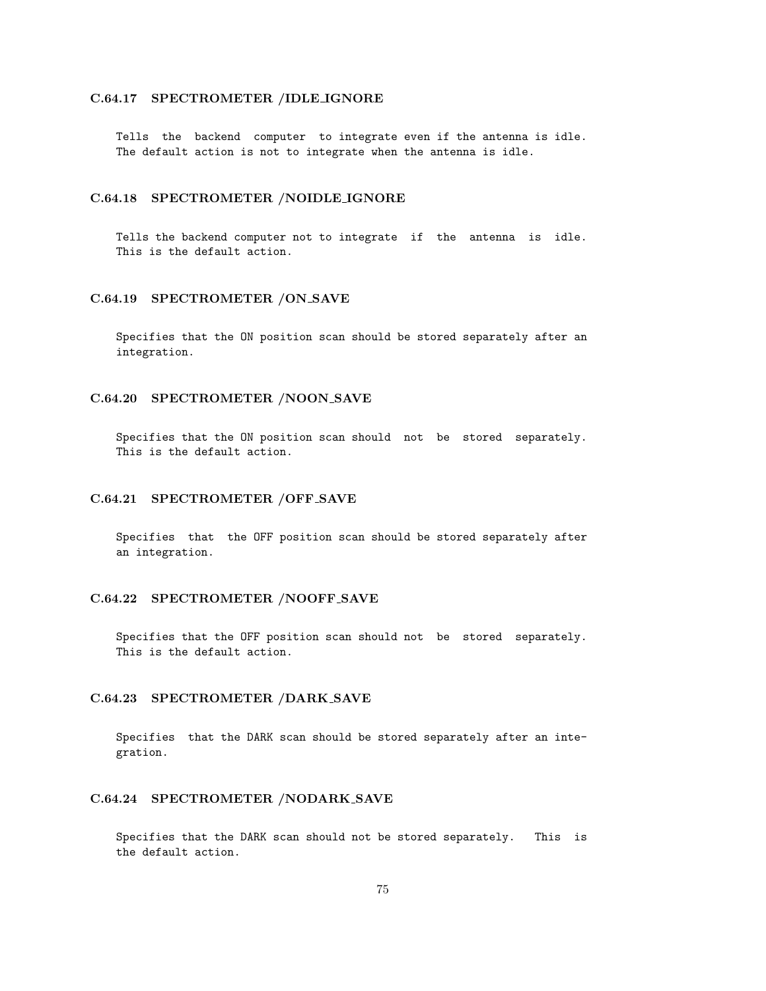## C.64.17 SPECTROMETER /IDLE IGNORE

Tells the backend computer to integrate even if the antenna is idle. The default action is not to integrate when the antenna is idle.

### C.64.18 SPECTROMETER /NOIDLE IGNORE

Tells the backend computer not to integrate if the antenna is idle. This is the default action.

### C.64.19 SPECTROMETER /ON SAVE

Specifies that the ON position scan should be stored separately after an integration.

### C.64.20 SPECTROMETER /NOON SAVE

Specifies that the ON position scan should not be stored separately. This is the default action.

#### C.64.21 SPECTROMETER /OFF SAVE

Specifies that the OFF position scan should be stored separately after an integration.

### C.64.22 SPECTROMETER /NOOFF SAVE

Specifies that the OFF position scan should not be stored separately. This is the default action.

## C.64.23 SPECTROMETER /DARK SAVE

Specifies that the DARK scan should be stored separately after an integration.

## C.64.24 SPECTROMETER /NODARK SAVE

Specifies that the DARK scan should not be stored separately. This is the default action.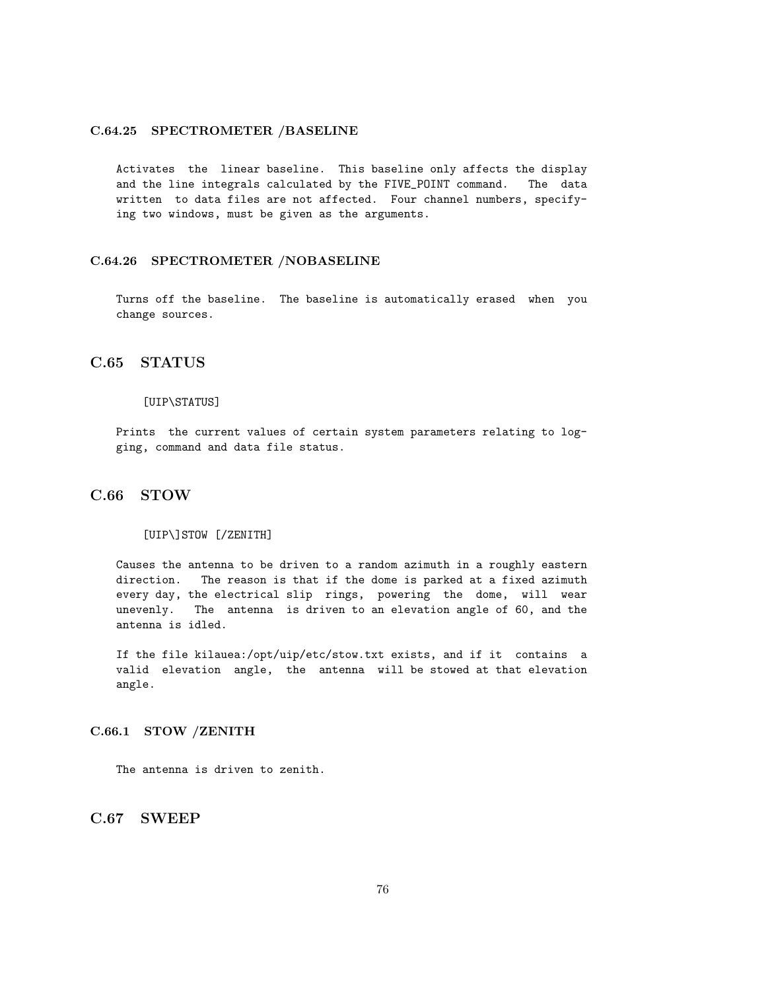### C.64.25 SPECTROMETER /BASELINE

Activates the linear baseline. This baseline only affects the display and the line integrals calculated by the FIVE\_POINT command. The data written to data files are not affected. Four channel numbers, specifying two windows, must be given as the arguments.

### C.64.26 SPECTROMETER /NOBASELINE

Turns off the baseline. The baseline is automatically erased when you change sources.

## C.65 STATUS

#### [UIP\STATUS]

Prints the current values of certain system parameters relating to logging, command and data file status.

# C.66 STOW

#### [UIP\]STOW [/ZENITH]

Causes the antenna to be driven to a random azimuth in a roughly eastern direction. The reason is that if the dome is parked at a fixed azimuth every day, the electrical slip rings, powering the dome, will wear unevenly. The antenna is driven to an elevation angle of 60, and the antenna is idled.

If the file kilauea:/opt/uip/etc/stow.txt exists, and if it contains a valid elevation angle, the antenna will be stowed at that elevation angle.

### C.66.1 STOW /ZENITH

The antenna is driven to zenith.

C.67 SWEEP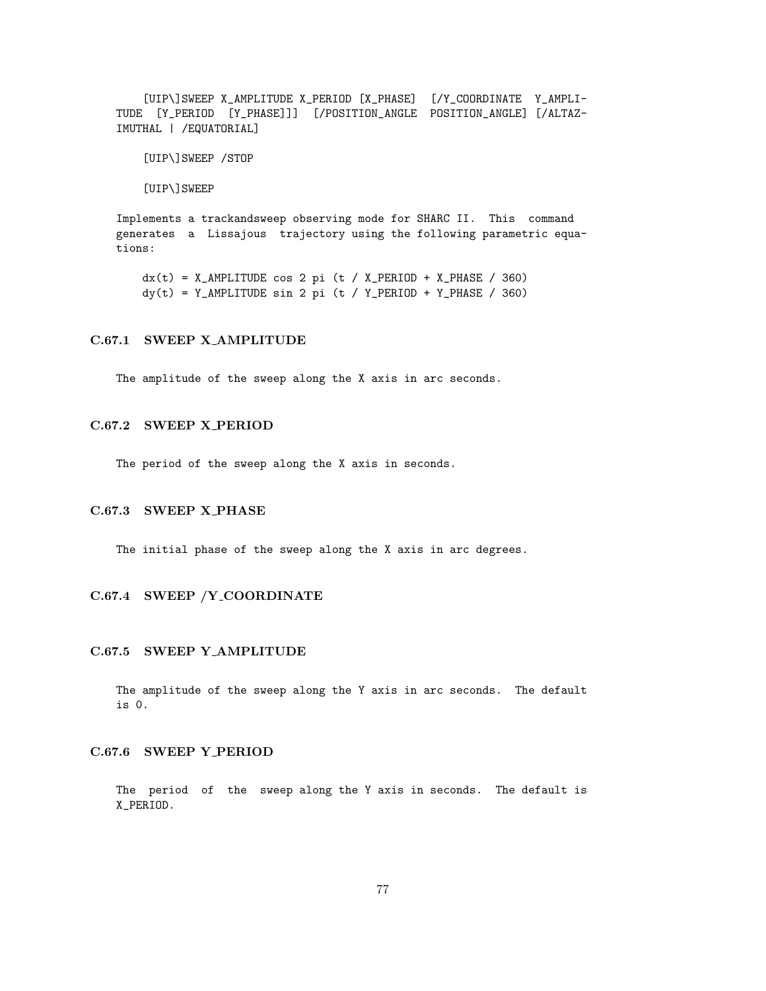[UIP\]SWEEP X\_AMPLITUDE X\_PERIOD [X\_PHASE] [/Y\_COORDINATE Y\_AMPLI-TUDE [Y\_PERIOD [Y\_PHASE]]] [/POSITION\_ANGLE POSITION\_ANGLE] [/ALTAZ-IMUTHAL | /EQUATORIAL]

[UIP\]SWEEP /STOP

[UIP\]SWEEP

Implements a trackandsweep observing mode for SHARC II. This command generates a Lissajous trajectory using the following parametric equations:

 $dx(t) = X_MMPLITUDE cos 2 pi (t / X_PERIOD + X_PHASE / 360)$  $dy(t) = Y_AMPLITUDE \sin 2pi (t / Y_PERIOD + Y_PHASE / 360)$ 

### C.67.1 SWEEP X AMPLITUDE

The amplitude of the sweep along the X axis in arc seconds.

### C.67.2 SWEEP X PERIOD

The period of the sweep along the X axis in seconds.

### C.67.3 SWEEP X PHASE

The initial phase of the sweep along the X axis in arc degrees.

### C.67.4 SWEEP /Y COORDINATE

#### C.67.5 SWEEP Y AMPLITUDE

The amplitude of the sweep along the Y axis in arc seconds. The default is 0.

### C.67.6 SWEEP Y PERIOD

The period of the sweep along the Y axis in seconds. The default is X\_PERIOD.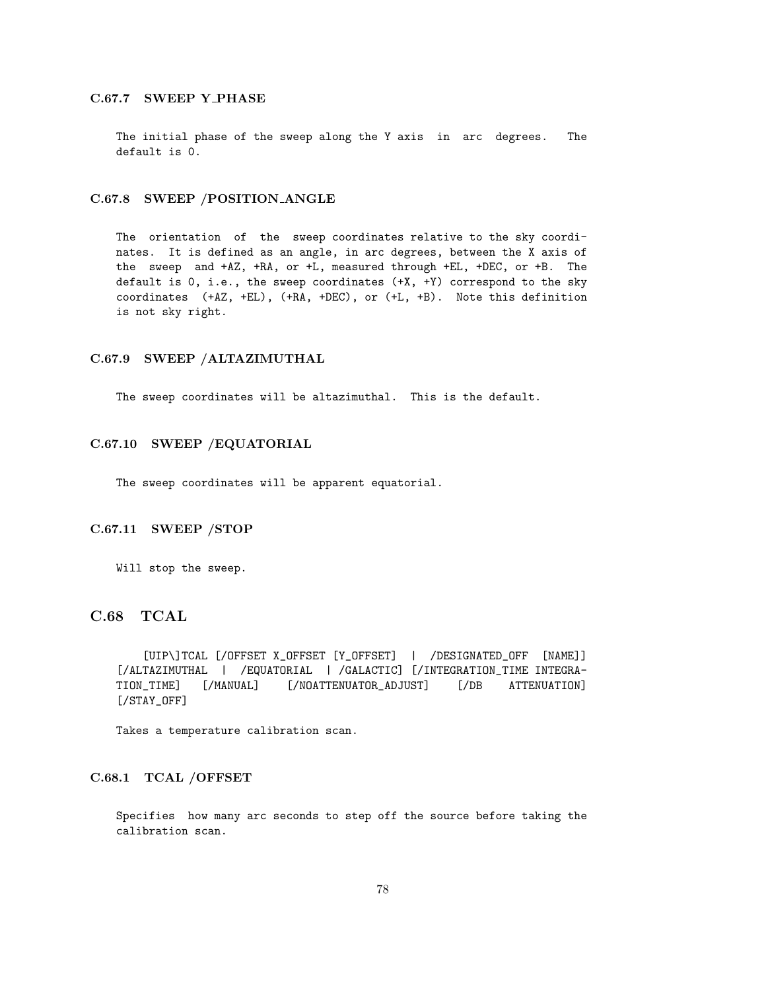## C.67.7 SWEEP Y PHASE

The initial phase of the sweep along the Y axis in arc degrees. The default is 0.

### C.67.8 SWEEP /POSITION ANGLE

The orientation of the sweep coordinates relative to the sky coordinates. It is defined as an angle, in arc degrees, between the X axis of the sweep and +AZ, +RA, or +L, measured through +EL, +DEC, or +B. The default is 0, i.e., the sweep coordinates (+X, +Y) correspond to the sky coordinates (+AZ, +EL), (+RA, +DEC), or (+L, +B). Note this definition is not sky right.

### C.67.9 SWEEP /ALTAZIMUTHAL

The sweep coordinates will be altazimuthal. This is the default.

### C.67.10 SWEEP /EQUATORIAL

The sweep coordinates will be apparent equatorial.

### C.67.11 SWEEP /STOP

Will stop the sweep.

# C.68 TCAL

[UIP\]TCAL [/OFFSET X\_OFFSET [Y\_OFFSET] | /DESIGNATED\_OFF [NAME]] [/ALTAZIMUTHAL | /EQUATORIAL | /GALACTIC] [/INTEGRATION\_TIME INTEGRA-TION\_TIME] [/MANUAL] [/NOATTENUATOR\_ADJUST] [/DB ATTENUATION] [/STAY\_OFF]

Takes a temperature calibration scan.

### C.68.1 TCAL /OFFSET

Specifies how many arc seconds to step off the source before taking the calibration scan.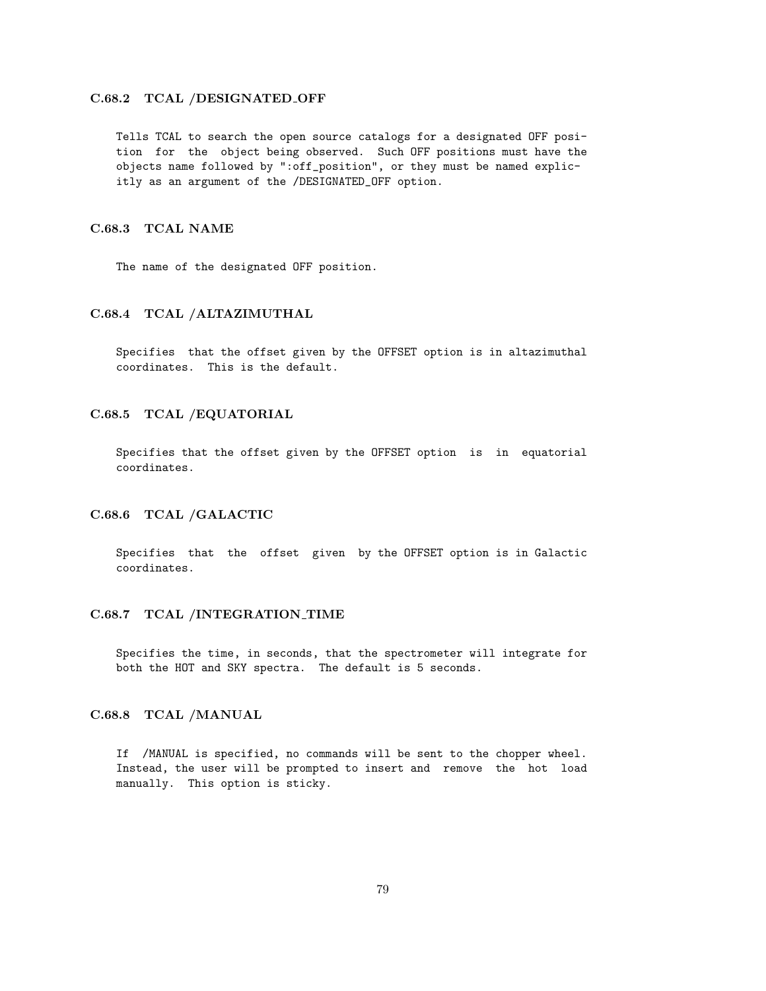## C.68.2 TCAL /DESIGNATED OFF

Tells TCAL to search the open source catalogs for a designated OFF position for the object being observed. Such OFF positions must have the objects name followed by ":off\_position", or they must be named explicitly as an argument of the /DESIGNATED\_OFF option.

### C.68.3 TCAL NAME

The name of the designated OFF position.

#### C.68.4 TCAL /ALTAZIMUTHAL

Specifies that the offset given by the OFFSET option is in altazimuthal coordinates. This is the default.

### C.68.5 TCAL /EQUATORIAL

Specifies that the offset given by the OFFSET option is in equatorial coordinates.

## C.68.6 TCAL /GALACTIC

Specifies that the offset given by the OFFSET option is in Galactic coordinates.

### C.68.7 TCAL /INTEGRATION\_TIME

Specifies the time, in seconds, that the spectrometer will integrate for both the HOT and SKY spectra. The default is 5 seconds.

## C.68.8 TCAL /MANUAL

If /MANUAL is specified, no commands will be sent to the chopper wheel. Instead, the user will be prompted to insert and remove the hot load manually. This option is sticky.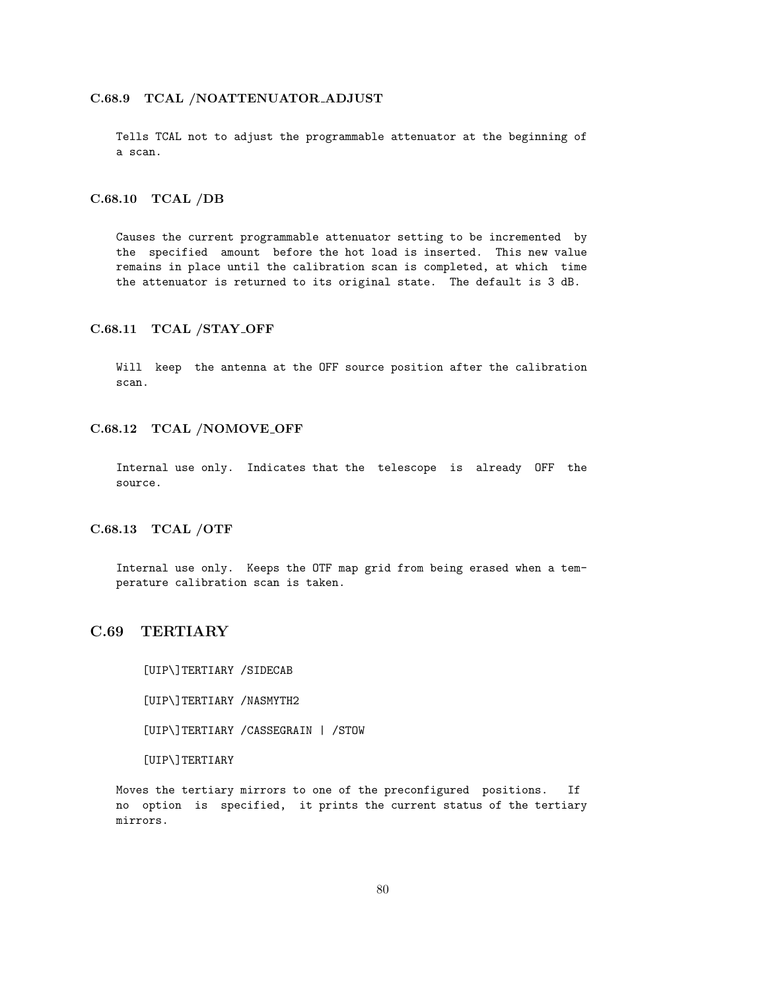### C.68.9 TCAL /NOATTENUATOR ADJUST

Tells TCAL not to adjust the programmable attenuator at the beginning of a scan.

### C.68.10 TCAL /DB

Causes the current programmable attenuator setting to be incremented by the specified amount before the hot load is inserted. This new value remains in place until the calibration scan is completed, at which time the attenuator is returned to its original state. The default is 3 dB.

### C.68.11 TCAL /STAY OFF

Will keep the antenna at the OFF source position after the calibration scan.

### C.68.12 TCAL /NOMOVE OFF

Internal use only. Indicates that the telescope is already OFF the source.

## C.68.13 TCAL /OTF

Internal use only. Keeps the OTF map grid from being erased when a temperature calibration scan is taken.

## C.69 TERTIARY

[UIP\]TERTIARY /SIDECAB

[UIP\]TERTIARY /NASMYTH2

[UIP\]TERTIARY /CASSEGRAIN | /STOW

[UIP\]TERTIARY

Moves the tertiary mirrors to one of the preconfigured positions. If no option is specified, it prints the current status of the tertiary mirrors.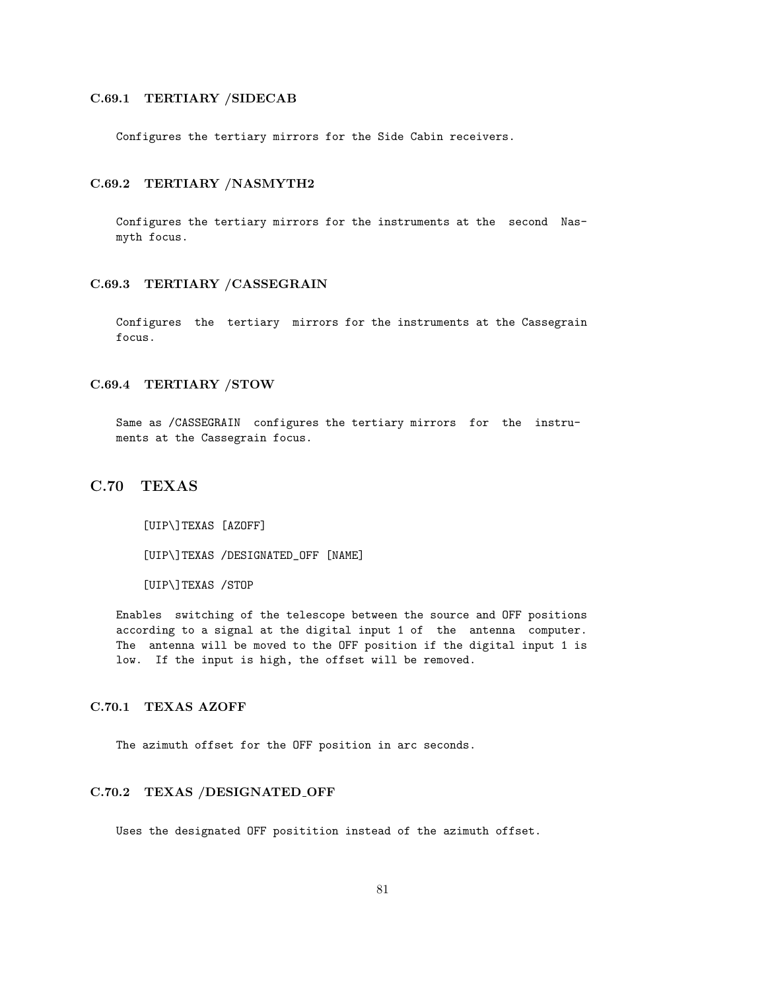### C.69.1 TERTIARY /SIDECAB

Configures the tertiary mirrors for the Side Cabin receivers.

### C.69.2 TERTIARY /NASMYTH2

Configures the tertiary mirrors for the instruments at the second Nasmyth focus.

### C.69.3 TERTIARY /CASSEGRAIN

Configures the tertiary mirrors for the instruments at the Cassegrain focus.

### C.69.4 TERTIARY /STOW

Same as /CASSEGRAIN configures the tertiary mirrors for the instruments at the Cassegrain focus.

## C.70 TEXAS

[UIP\]TEXAS [AZOFF]

[UIP\]TEXAS /DESIGNATED\_OFF [NAME]

[UIP\]TEXAS /STOP

Enables switching of the telescope between the source and OFF positions according to a signal at the digital input 1 of the antenna computer. The antenna will be moved to the OFF position if the digital input 1 is low. If the input is high, the offset will be removed.

### C.70.1 TEXAS AZOFF

The azimuth offset for the OFF position in arc seconds.

### C.70.2 TEXAS /DESIGNATED OFF

Uses the designated OFF positition instead of the azimuth offset.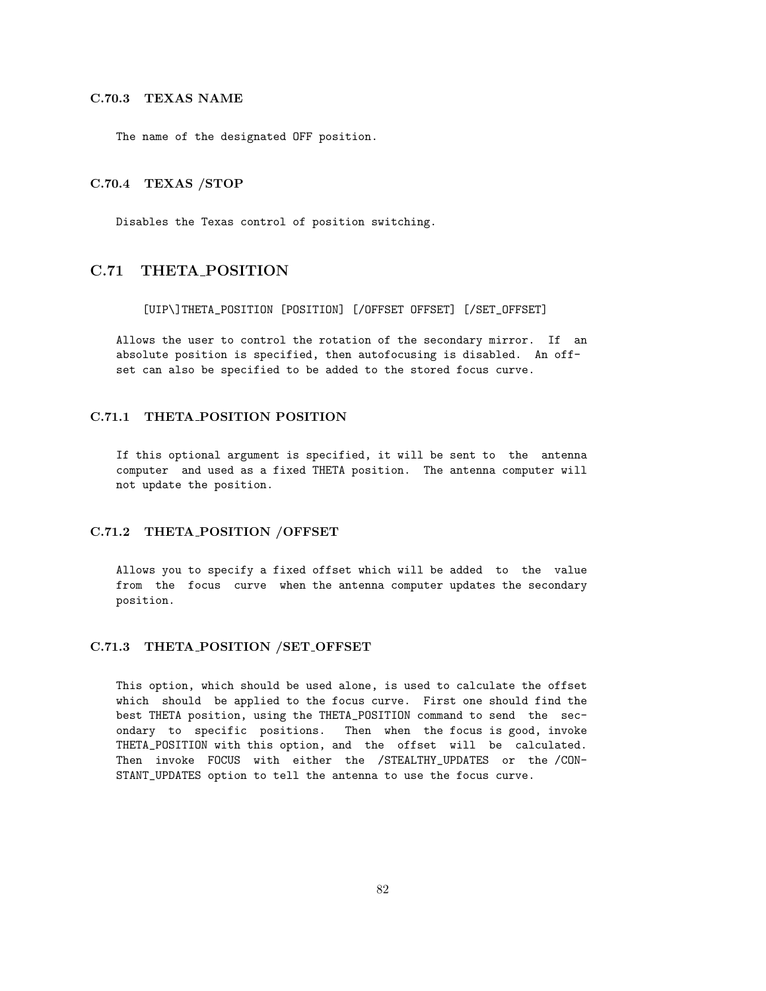## C.70.3 TEXAS NAME

The name of the designated OFF position.

### C.70.4 TEXAS /STOP

Disables the Texas control of position switching.

# C.71 THETA POSITION

[UIP\]THETA\_POSITION [POSITION] [/OFFSET OFFSET] [/SET\_OFFSET]

Allows the user to control the rotation of the secondary mirror. If an absolute position is specified, then autofocusing is disabled. An offset can also be specified to be added to the stored focus curve.

### C.71.1 THETA POSITION POSITION

If this optional argument is specified, it will be sent to the antenna computer and used as a fixed THETA position. The antenna computer will not update the position.

### C.71.2 THETA POSITION /OFFSET

Allows you to specify a fixed offset which will be added to the value from the focus curve when the antenna computer updates the secondary position.

#### C.71.3 THETA POSITION /SET OFFSET

This option, which should be used alone, is used to calculate the offset which should be applied to the focus curve. First one should find the best THETA position, using the THETA\_POSITION command to send the secondary to specific positions. Then when the focus is good, invoke THETA\_POSITION with this option, and the offset will be calculated. Then invoke FOCUS with either the /STEALTHY\_UPDATES or the /CON-STANT\_UPDATES option to tell the antenna to use the focus curve.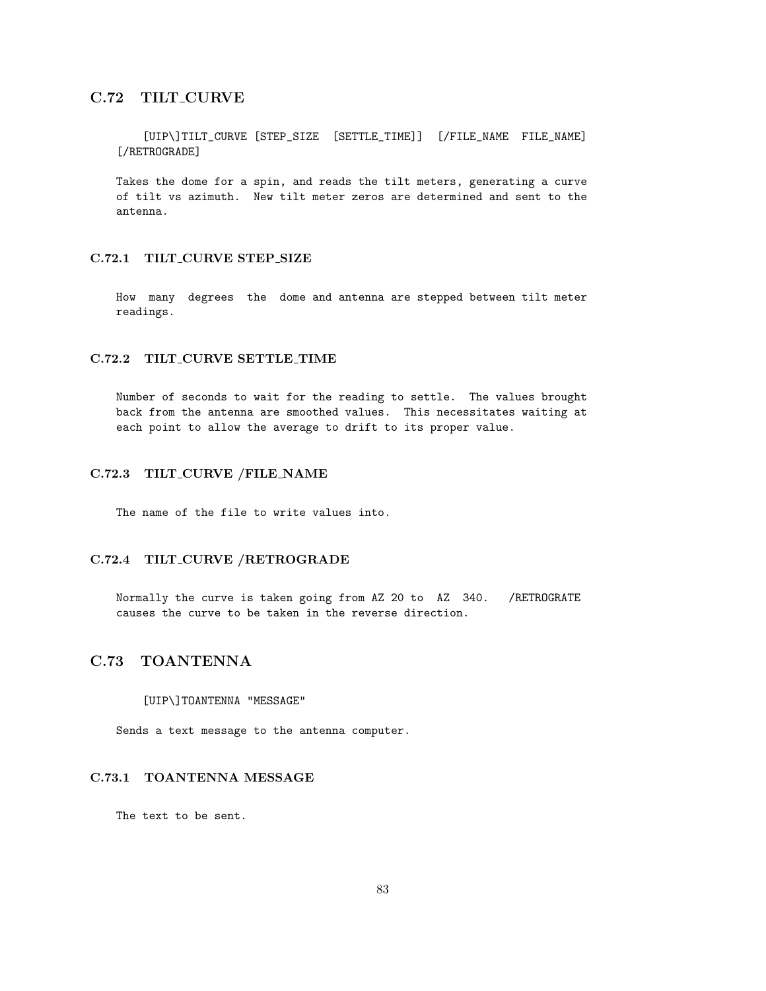# C.72 TILT CURVE

[UIP\]TILT\_CURVE [STEP\_SIZE [SETTLE\_TIME]] [/FILE\_NAME FILE\_NAME] [/RETROGRADE]

Takes the dome for a spin, and reads the tilt meters, generating a curve of tilt vs azimuth. New tilt meter zeros are determined and sent to the antenna.

### C.72.1 TILT CURVE STEP SIZE

How many degrees the dome and antenna are stepped between tilt meter readings.

## C.72.2 TILT\_CURVE SETTLE\_TIME

Number of seconds to wait for the reading to settle. The values brought back from the antenna are smoothed values. This necessitates waiting at each point to allow the average to drift to its proper value.

# C.72.3 TILT CURVE /FILE NAME

The name of the file to write values into.

## C.72.4 TILT CURVE /RETROGRADE

Normally the curve is taken going from AZ 20 to AZ 340. /RETROGRATE causes the curve to be taken in the reverse direction.

# C.73 TOANTENNA

#### [UIP\]TOANTENNA "MESSAGE"

Sends a text message to the antenna computer.

## C.73.1 TOANTENNA MESSAGE

The text to be sent.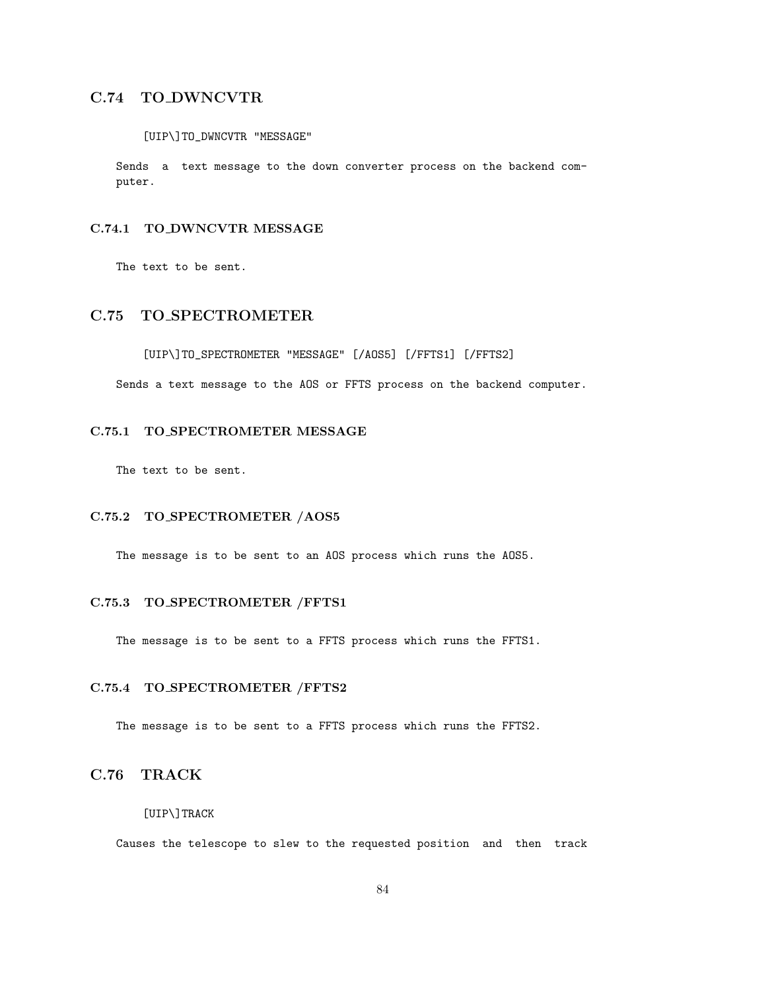# C.74 TO DWNCVTR

### [UIP\]TO\_DWNCVTR "MESSAGE"

Sends a text message to the down converter process on the backend computer.

### C.74.1 TO DWNCVTR MESSAGE

The text to be sent.

# C.75 TO SPECTROMETER

[UIP\]TO\_SPECTROMETER "MESSAGE" [/AOS5] [/FFTS1] [/FFTS2]

Sends a text message to the AOS or FFTS process on the backend computer.

### C.75.1 TO SPECTROMETER MESSAGE

The text to be sent.

### C.75.2 TO SPECTROMETER /AOS5

The message is to be sent to an AOS process which runs the AOS5.

### C.75.3 TO SPECTROMETER /FFTS1

The message is to be sent to a FFTS process which runs the FFTS1.

## C.75.4 TO SPECTROMETER /FFTS2

The message is to be sent to a FFTS process which runs the FFTS2.

# C.76 TRACK

### [UIP\]TRACK

Causes the telescope to slew to the requested position and then track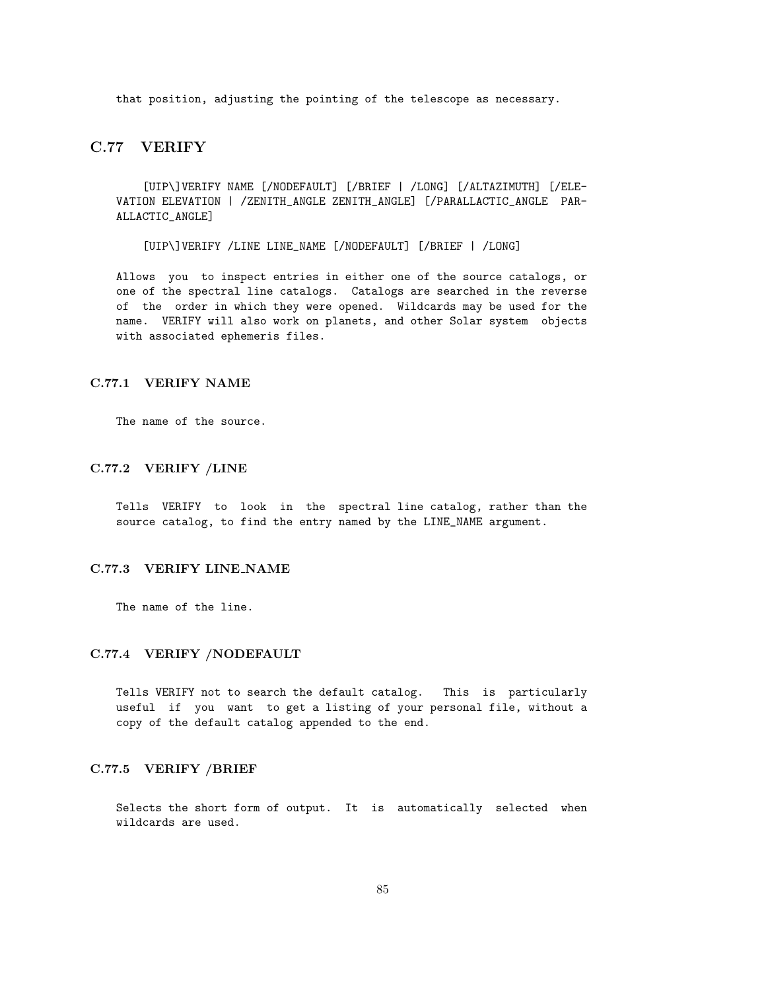that position, adjusting the pointing of the telescope as necessary.

# C.77 VERIFY

[UIP\]VERIFY NAME [/NODEFAULT] [/BRIEF | /LONG] [/ALTAZIMUTH] [/ELE-VATION ELEVATION | /ZENITH\_ANGLE ZENITH\_ANGLE] [/PARALLACTIC\_ANGLE PAR-ALLACTIC\_ANGLE]

[UIP\]VERIFY /LINE LINE\_NAME [/NODEFAULT] [/BRIEF | /LONG]

Allows you to inspect entries in either one of the source catalogs, or one of the spectral line catalogs. Catalogs are searched in the reverse of the order in which they were opened. Wildcards may be used for the name. VERIFY will also work on planets, and other Solar system objects with associated ephemeris files.

#### C.77.1 VERIFY NAME

The name of the source.

### C.77.2 VERIFY /LINE

Tells VERIFY to look in the spectral line catalog, rather than the source catalog, to find the entry named by the LINE\_NAME argument.

### C.77.3 VERIFY LINE NAME

The name of the line.

### C.77.4 VERIFY /NODEFAULT

Tells VERIFY not to search the default catalog. This is particularly useful if you want to get a listing of your personal file, without a copy of the default catalog appended to the end.

#### C.77.5 VERIFY /BRIEF

Selects the short form of output. It is automatically selected when wildcards are used.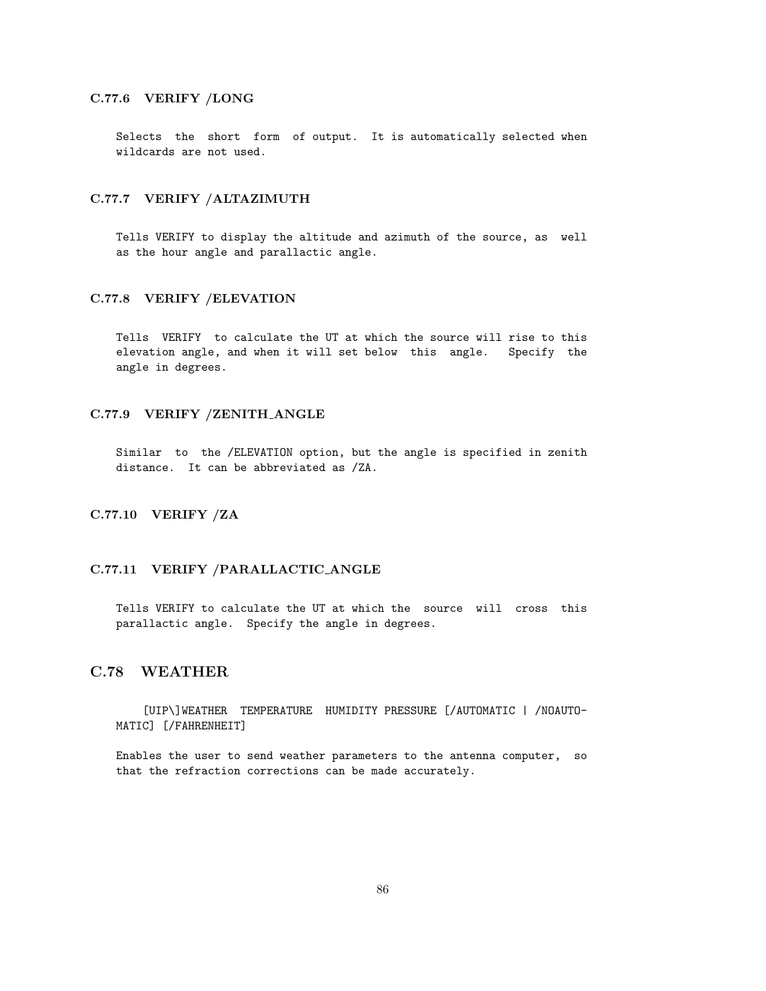## C.77.6 VERIFY /LONG

Selects the short form of output. It is automatically selected when wildcards are not used.

### C.77.7 VERIFY /ALTAZIMUTH

Tells VERIFY to display the altitude and azimuth of the source, as well as the hour angle and parallactic angle.

### C.77.8 VERIFY /ELEVATION

Tells VERIFY to calculate the UT at which the source will rise to this elevation angle, and when it will set below this angle. Specify the angle in degrees.

### C.77.9 VERIFY /ZENITH ANGLE

Similar to the /ELEVATION option, but the angle is specified in zenith distance. It can be abbreviated as /ZA.

## C.77.10 VERIFY /ZA

### C.77.11 VERIFY /PARALLACTIC ANGLE

Tells VERIFY to calculate the UT at which the source will cross this parallactic angle. Specify the angle in degrees.

## C.78 WEATHER

[UIP\]WEATHER TEMPERATURE HUMIDITY PRESSURE [/AUTOMATIC | /NOAUTO-MATIC] [/FAHRENHEIT]

Enables the user to send weather parameters to the antenna computer, so that the refraction corrections can be made accurately.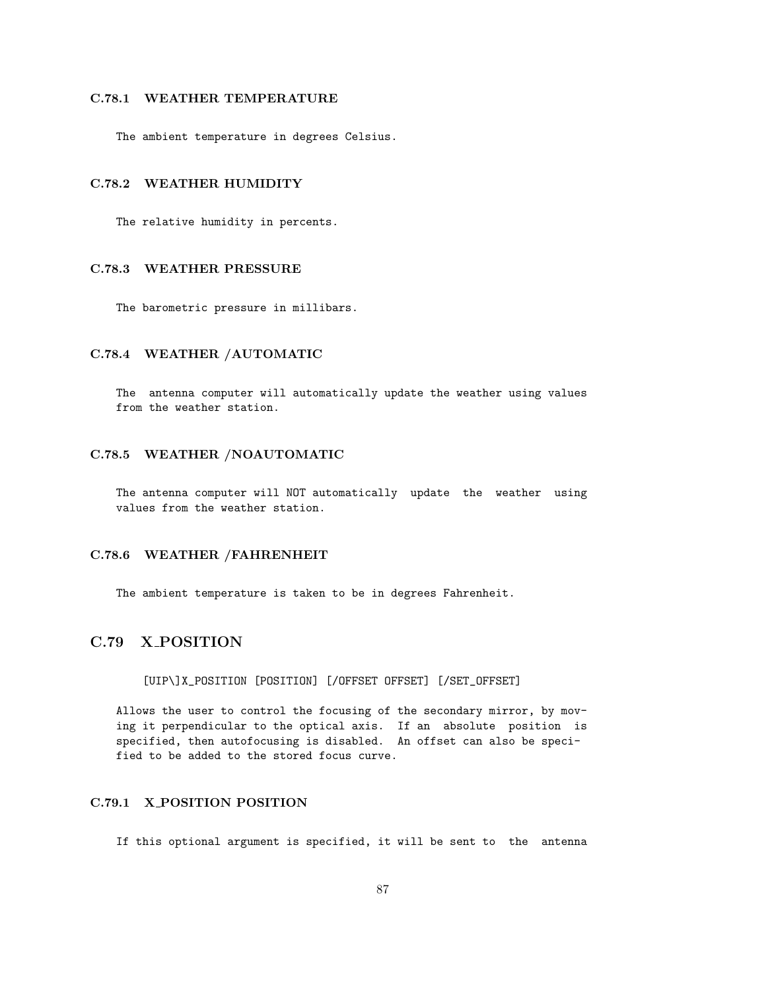## C.78.1 WEATHER TEMPERATURE

The ambient temperature in degrees Celsius.

### C.78.2 WEATHER HUMIDITY

The relative humidity in percents.

## C.78.3 WEATHER PRESSURE

The barometric pressure in millibars.

### C.78.4 WEATHER /AUTOMATIC

The antenna computer will automatically update the weather using values from the weather station.

## C.78.5 WEATHER /NOAUTOMATIC

The antenna computer will NOT automatically update the weather using values from the weather station.

#### C.78.6 WEATHER /FAHRENHEIT

The ambient temperature is taken to be in degrees Fahrenheit.

# C.79 X POSITION

[UIP\]X\_POSITION [POSITION] [/OFFSET OFFSET] [/SET\_OFFSET]

Allows the user to control the focusing of the secondary mirror, by moving it perpendicular to the optical axis. If an absolute position is specified, then autofocusing is disabled. An offset can also be specified to be added to the stored focus curve.

## C.79.1 X POSITION POSITION

If this optional argument is specified, it will be sent to the antenna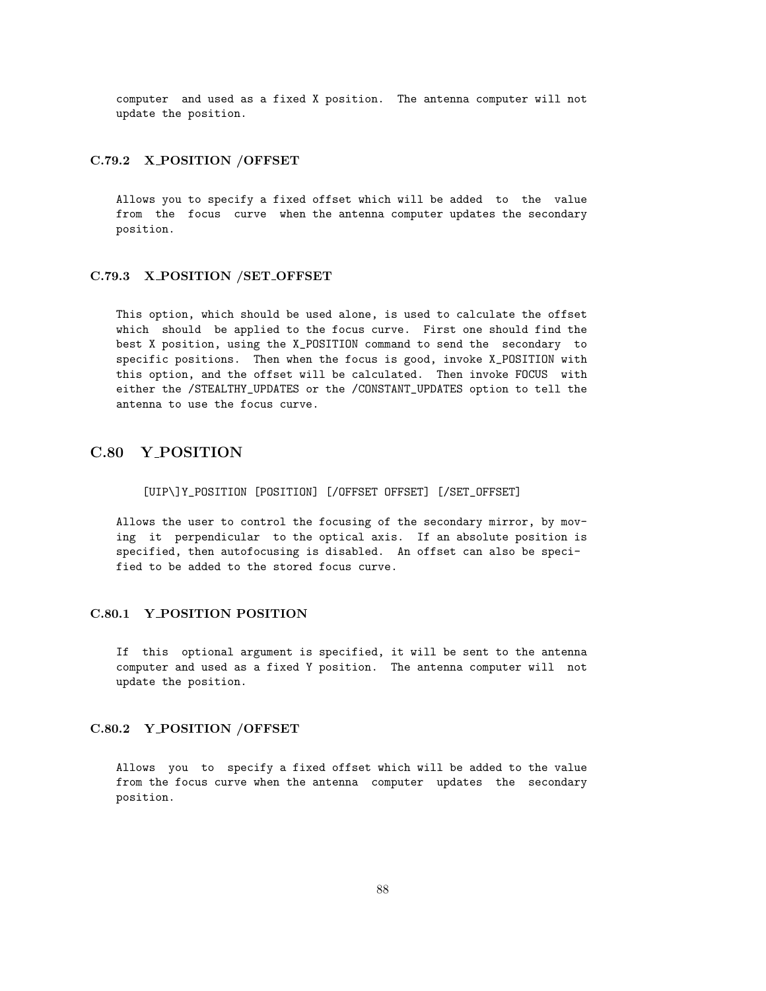computer and used as a fixed X position. The antenna computer will not update the position.

#### C.79.2 X POSITION /OFFSET

Allows you to specify a fixed offset which will be added to the value from the focus curve when the antenna computer updates the secondary position.

### C.79.3 X POSITION /SET OFFSET

This option, which should be used alone, is used to calculate the offset which should be applied to the focus curve. First one should find the best X position, using the X\_POSITION command to send the secondary to specific positions. Then when the focus is good, invoke X\_POSITION with this option, and the offset will be calculated. Then invoke FOCUS with either the /STEALTHY\_UPDATES or the /CONSTANT\_UPDATES option to tell the antenna to use the focus curve.

# C.80 Y POSITION

#### [UIP\]Y\_POSITION [POSITION] [/OFFSET OFFSET] [/SET\_OFFSET]

Allows the user to control the focusing of the secondary mirror, by moving it perpendicular to the optical axis. If an absolute position is specified, then autofocusing is disabled. An offset can also be specified to be added to the stored focus curve.

# C.80.1 Y POSITION POSITION

If this optional argument is specified, it will be sent to the antenna computer and used as a fixed Y position. The antenna computer will not update the position.

### C.80.2 Y POSITION /OFFSET

Allows you to specify a fixed offset which will be added to the value from the focus curve when the antenna computer updates the secondary position.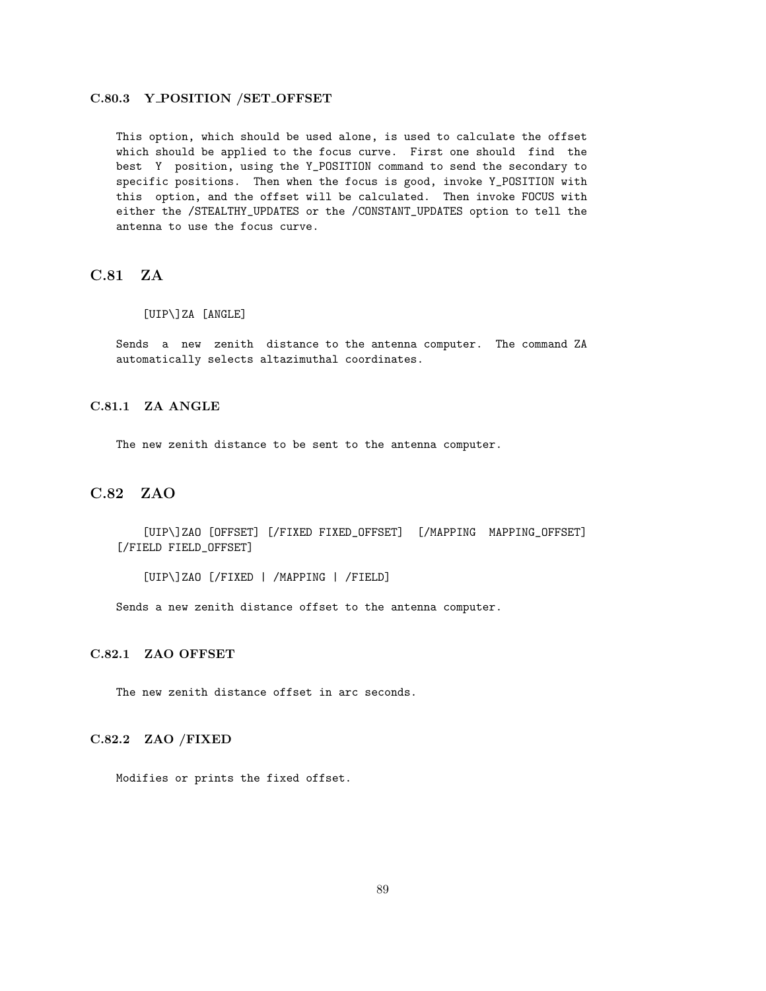### C.80.3 Y POSITION /SET OFFSET

This option, which should be used alone, is used to calculate the offset which should be applied to the focus curve. First one should find the best Y position, using the Y\_POSITION command to send the secondary to specific positions. Then when the focus is good, invoke Y\_POSITION with this option, and the offset will be calculated. Then invoke FOCUS with either the /STEALTHY\_UPDATES or the /CONSTANT\_UPDATES option to tell the antenna to use the focus curve.

# C.81 ZA

#### [UIP\]ZA [ANGLE]

Sends a new zenith distance to the antenna computer. The command ZA automatically selects altazimuthal coordinates.

## C.81.1 ZA ANGLE

The new zenith distance to be sent to the antenna computer.

## C.82 ZAO

[UIP\]ZAO [OFFSET] [/FIXED FIXED\_OFFSET] [/MAPPING MAPPING\_OFFSET] [/FIELD FIELD\_OFFSET]

[UIP\]ZAO [/FIXED | /MAPPING | /FIELD]

Sends a new zenith distance offset to the antenna computer.

## C.82.1 ZAO OFFSET

The new zenith distance offset in arc seconds.

### C.82.2 ZAO /FIXED

Modifies or prints the fixed offset.